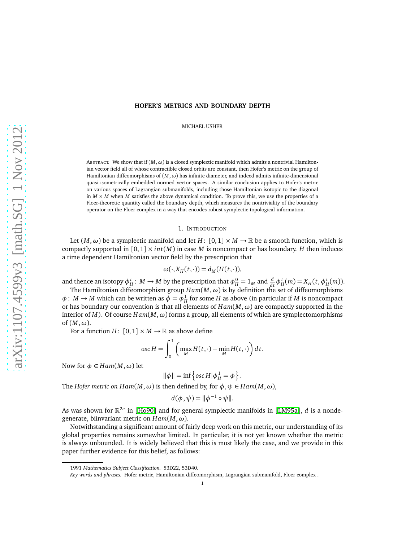# **HOFER'S METRICS AND BOUNDARY DEPTH**

MICHAEL USHER

ABSTRACT. We show that if  $(M, \omega)$  is a closed symplectic manifold which admits a nontrivial Hamiltonian vector field all of whose contractible closed orbits are constant, then Hofer's metric on the group of Hamiltonian diffeomorphisms of (*M*, *ω*) has infinite diameter, and indeed admits infinite-dimensional quasi-isometrically embedded normed vector spaces. A similar conclusion applies to Hofer's metric on various spaces of Lagrangian submanifolds, including those Hamiltonian-isotopic to the diagonal in  $M \times M$  when  $M$  satisfies the above dynamical condition. To prove this, we use the properties of a Floer-theoretic quantity called the boundary depth, which measures the nontriviality of the boundary operator on the Floer complex in a way that encodes robust symplectic-topological information.

### 1. INTRODUCTION

Let  $(M, \omega)$  be a symplectic manifold and let *H* :  $[0, 1] \times M \rightarrow \mathbb{R}$  be a smooth function, which is compactly supported in  $[0, 1] \times int(M)$  in case M is noncompact or has boundary. H then induces a time dependent Hamiltonian vector field by the prescription that

$$
\omega(\cdot, X_H(t, \cdot)) = d_M(H(t, \cdot)),
$$

and thence an isotopy  $\phi_H^t$ :  $M \to M$  by the prescription that  $\phi_H^0 = 1_M$  and  $\frac{d}{dt} \phi_H^t(m) = X_H(t, \phi_H^t(m))$ .

The Hamiltonian diffeomorphism group *Ham*(*M*,*ω*) is by definition the set of diffeomorphisms  $\phi: M \to M$  which can be written as  $\phi = \phi_H^1$  for some *H* as above (in particular if *M* is noncompact or has boundary our convention is that all elements of  $Ham(M, \omega)$  are compactly supported in the interior of *M*). Of course  $Ham(M, \omega)$  forms a group, all elements of which are symplectomorphisms of  $(M, \omega)$ .

For a function  $H: [0,1] \times M \rightarrow \mathbb{R}$  as above define

$$
osc H = \int_0^1 \left( \max_M H(t, \cdot) - \min_M H(t, \cdot) \right) dt.
$$

Now for  $φ ∈ Ham(M, ω)$  let

$$
\|\phi\| = \inf \left\{ \operatorname{osc} H | \phi_H^1 = \phi \right\}.
$$

The *Hofer metric on Ham*( $M, \omega$ ) is then defined by, for  $\phi, \psi \in Ham(M, \omega)$ ,

$$
d(\phi, \psi) = ||\phi^{-1} \circ \psi||.
$$

As was shown for  $\mathbb{R}^{2n}$  in [[Ho90](#page-60-0)] and for general symplectic manifolds in [[LM95a](#page-60-1)], *d* is a nondegenerate, biinvariant metric on *Ham*(*M*,*ω*).

Notwithstanding a significant amount of fairly deep work on this metric, our understanding of its global properties remains somewhat limited. In particular, it is not yet known whether the metric is always unbounded. It is widely believed that this is most likely the case, and we provide in this paper further evidence for this belief, as follows:

<sup>1991</sup> *Mathematics Subject Classification.* 53D22, 53D40.

*Key words and phrases.* Hofer metric, Hamiltonian diffeomorphism, Lagrangian submanifold, Floer complex .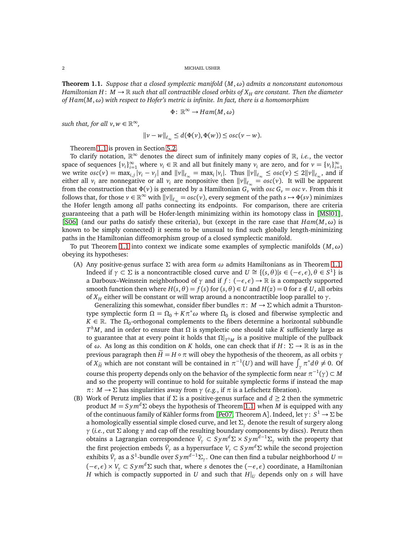<span id="page-1-0"></span>**Theorem 1.1.** *Suppose that a closed symplectic manifold* (*M*,*ω*) *admits a nonconstant autonomous Hamiltonian H* :  $M \to \mathbb{R}$  *such that all contractible closed orbits of*  $X_H$  *are constant. Then the diameter of Ham*(*M*,*ω*) *with respect to Hofer's metric is infinite. In fact, there is a homomorphism*

$$
\Phi\colon\mathbb{R}^\infty\to Ham(M,\omega)
$$

*such that, for all*  $v, w \in \mathbb{R}^{\infty}$ ,

$$
||v - w||_{\ell_{\infty}} \leq d(\Phi(v), \Phi(w)) \leq osc(v - w).
$$

Theorem [1.1](#page-1-0) is proven in Section [5.2.](#page-26-0)

To clarify notation,  $\mathbb{R}^{\infty}$  denotes the direct sum of infinitely many copies of  $\mathbb{R}$ , *i.e.*, the vector space of sequences  $\{v_i\}_{i=1}^{\infty}$  where  $v_i \in \mathbb{R}$  and all but finitely many  $v_i$  are zero, and for  $v = \{v_i\}_{i=1}^{\infty}$ we write  $osc(v) = \max_{i,j} |v_i - v_j|$  and  $||v||_{\ell_{\infty}} = \max_i |v_i|$ . Thus  $||v||_{\ell_{\infty}} \leq osc(v) \leq 2||v||_{\ell_{\infty}}$ , and if either all  $v_i$  are nonnegative or all  $v_i$  are nonpositive then  $||v||_{\ell_\infty} = osc(v)$ . It will be apparent from the construction that  $\Phi(v)$  is generated by a Hamiltonian  $G_v$ <sup>*v*</sup> with *osc*  $G_v = \text{osc } v$ . From this it follows that, for those  $v \in \mathbb{R}^{\infty}$  with  $||v||_{\ell_{\infty}} = osc(v)$ , every segment of the path  $s \mapsto \Phi(sv)$  minimizes the Hofer length among *all* paths connecting its endpoints. For comparison, there are criteria guaranteeing that a path will be Hofer-length minimizing within its homotopy class in [[MSl01](#page-61-0)], [[S06](#page-61-1)] (and our paths do satisfy these criteria), but (except in the rare case that  $Ham(M, \omega)$  is known to be simply connected) it seems to be unusual to find such globally length-minimizing paths in the Hamiltonian diffeomorphism group of a closed symplectic manifold.

To put Theorem [1.1](#page-1-0) into context we indicate some examples of symplectic manifolds (*M*,*ω*) obeying its hypotheses:

(A) Any positive-genus surface Σ with area form *ω* admits Hamiltonians as in Theorem [1.1.](#page-1-0) Indeed if *γ* ⊂ Σ is a noncontractible closed curve and *U* ≅ {(*s*, *θ*)|*s* ∈ (−*ε*, *ε*), *θ* ∈ *S*<sup>1</sup>} is a Darboux–Weinstein neighborhood of *γ* and if *f* : (−*ε*, *ε*) → R is a compactly supported smooth function then where  $H(s, \theta) = f(s)$  for  $(s, \theta) \in U$  and  $H(z) = 0$  for  $z \notin U$ , all orbits of  $X<sub>H</sub>$  either will be constant or will wrap around a noncontractible loop parallel to *γ*.

Generalizing this somewhat, consider fiber bundles  $\pi: M \to \Sigma$  which admit a Thurstontype symplectic form  $\Omega = \Omega_0 + K\pi^*\omega$  where  $\Omega_0$  is closed and fiberwise symplectic and  $K \in \mathbb{R}$ . The  $\Omega_0$ -orthogonal complements to the fibers determine a horizontal subbundle  $T^h$ *M*, and in order to ensure that  $\Omega$  is symplectic one should take *K* sufficiently large as to guarantee that at every point it holds that Ω|*<sup>T</sup> <sup>h</sup><sup>M</sup>* is a positive multiple of the pullback of  $\omega$ . As long as this condition on *K* holds, one can check that if *H* :  $\Sigma \to \mathbb{R}$  is as in the previous paragraph then  $H = H \circ π$  will obey the hypothesis of the theorem, as all orbits *γ* of  $X_{\tilde{H}}$  which are not constant will be contained in  $\pi^{-1}(U)$  and will have  $\int_{\gamma} \pi^* d\theta \neq 0$ . Of course this property depends only on the behavior of the symplectic form near  $\pi^{-1}(\gamma) \subset M$ and so the property will continue to hold for suitable symplectic forms if instead the map *π*: *M* → Σ has singularities away from *γ* (*e.g.*, if *π* is a Lefschetz fibration).

(B) Work of Perutz implies that if  $\Sigma$  is a positive-genus surface and  $d \geq 2$  then the symmetric product  $M = S y m^d \Sigma$  obeys the hypothesis of Theorem [1.1,](#page-1-0) when M is equipped with any of the continuous family of Kähler forms from [[Pe07,](#page-61-2) Theorem A]. Indeed, let *γ*: *S* <sup>1</sup> → Σ be a homologically essential simple closed curve, and let Σ*<sup>γ</sup>* denote the result of surgery along *γ* (*i.e.*, cut Σ along *γ* and cap off the resulting boundary components by discs). Perutz then obtains a Lagrangian correspondence  $\hat{V}_\gamma \subset Sym^d \Sigma \times Sym^{d-1} \Sigma_\gamma$  with the property that the first projection embeds  $\hat{V}_{\gamma}$  as a hypersurface  $V_{\gamma}\subset Sym^d\Sigma$  while the second projection exhibits  $\hat{V}_\gamma$  as a  $S^1$ -bundle over  $Sym^{d-1}\Sigma_\gamma.$  One can then find a tubular neighborhood  $U=$  $(-\epsilon, \epsilon) \times V$ <sup>*γ*</sup> ⊂ *Sym<sup>d</sup>* Σ such that, where *s* denotes the  $(-\epsilon, \epsilon)$  coordinate, a Hamiltonian *H* which is compactly supported in *U* and such that  $H|_U$  depends only on *s* will have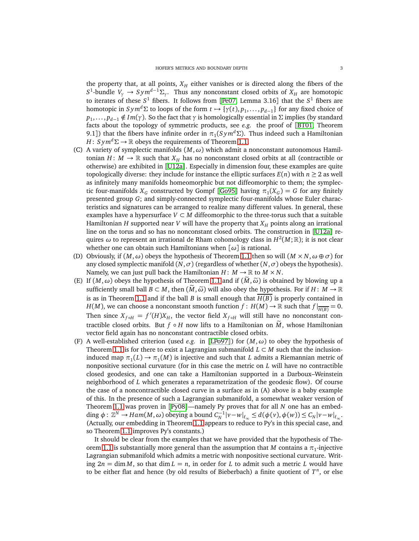the property that, at all points,  $X_H$  either vanishes or is directed along the fibers of the  $S^1$ -bundle  $V_\gamma \to Sym^{d-1} \Sigma_\gamma$ . Thus any nonconstant closed orbits of  $X_H$  are homotopic to iterates of these *S* <sup>1</sup> fibers. It follows from [[Pe07,](#page-61-2) Lemma 3.16] that the *S* <sup>1</sup> fibers are homotopic in  $Sym^d \Sigma$  to loops of the form  $t \mapsto \{\gamma(t), p_1, \ldots, p_{d-1}\}$  for any fixed choice of *p*<sub>1</sub>, . . . , *p*<sub>*d*−1</sub> ∉ *Im*(*γ*). So the fact that *γ* is homologically essential in Σ implies (by standard facts about the topology of symmetric products, see *e.g.* the proof of [[BT01,](#page-59-0) Theorem 9.1]) that the fibers have infinite order in  $\pi_1(Sym^d\Sigma)$ . Thus indeed such a Hamiltonian *H* : *Sym<sup>d</sup>* $\Sigma \rightarrow \mathbb{R}$  obeys the requirements of Theorem [1.1.](#page-1-0)

- (C) A variety of symplectic manifolds (*M*,*ω*) which admit a nonconstant autonomous Hamiltonian *H* :  $M \to \mathbb{R}$  such that  $X_H$  has no nonconstant closed orbits at all (contractible or otherwise) are exhibited in [[U12a](#page-61-3)]. Especially in dimension four, these examples are quite topologically diverse: they include for instance the elliptic surfaces  $E(n)$  with  $n \geq 2$  as well as infinitely many manifolds homeomorphic but not diffeomorphic to them; the symplectic four-manifolds  $X_G$  constructed by Gompf [[Go95](#page-60-2)] having  $\pi_1(X_G) = G$  for any finitely presented group *G*; and simply-connected symplectic four-manifolds whose Euler characteristics and signatures can be arranged to realize many different values. In general, these examples have a hypersurface  $V \subset M$  diffeomorphic to the three-torus such that a suitable Hamiltonian *H* supported near *V* will have the property that  $X_H$  points along an irrational line on the torus and so has no nonconstant closed orbits. The construction in [[U12a](#page-61-3)] requires *ω* to represent an irrational de Rham cohomology class in *H* 2 (*M*;R); it is not clear whether one can obtain such Hamiltonians when [*ω*] is rational.
- (D) Obviously, if  $(M, \omega)$  obeys the hypothesis of Theorem [1.1](#page-1-0) then so will  $(M \times N, \omega \oplus \sigma)$  for any closed symplectic manifold  $(N, \sigma)$  (regardless of whether  $(N, \sigma)$  obeys the hypothesis). Namely, we can just pull back the Hamiltonian  $H: M \to \mathbb{R}$  to  $M \times N$ .
- (E) If  $(M, \omega)$  obeys the hypothesis of Theorem [1.1](#page-1-0) and if  $(M, \tilde{\omega})$  is obtained by blowing up a sufficiently small ball  $B \subset M$ , then  $(\widetilde{M}, \widetilde{\omega})$  will also obey the hypothesis. For if  $H: M \to \mathbb{R}$ is as in Theorem [1.1](#page-1-0) and if the ball *B* is small enough that *H*(*B*) is properly contained in *H*(*M*), we can choose a nonconstant smooth function *f* : *H*(*M*)  $\rightarrow \mathbb{R}$  such that  $f|_{\overline{H(B)}} = 0$ . Then since  $X_{f \circ H} = f'(H)X_H$ , the vector field  $X_{f \circ H}$  will still have no nonconstant contractible closed orbits. But  $f \circ H$  now lifts to a Hamiltonian on  $\dot{M}$ , whose Hamiltonian vector field again has no nonconstant contractible closed orbits.
- (F) A well-established criterion (used *e.g.* in [[LPo97](#page-60-3)]) for  $(M, \omega)$  to obey the hypothesis of Theorem [1.1](#page-1-0) is for there to exist a Lagrangian submanifold  $L \subset M$  such that the inclusioninduced map  $\pi_1(L) \to \pi_1(M)$  is injective and such that *L* admits a Riemannian metric of nonpositive sectional curvature (for in this case the metric on *L* will have no contractible closed geodesics, and one can take a Hamiltonian supported in a Darboux–Weinstein neighborhood of *L* which generates a reparametrization of the geodesic flow). Of course the case of a noncontractible closed curve in a surface as in (A) above is a baby example of this. In the presence of such a Lagrangian submanifold, a somewhat weaker version of Theorem [1.1](#page-1-0) was proven in [[Py08](#page-61-4)]—namely Py proves that for all *N* one has an embedding  $\phi: \mathbb{Z}^N \to Ham(M, \omega)$  obeying a bound  $C_N^{-1} |v - w|_{\ell_\infty} \leq d(\phi(v), \phi(w)) \leq C_N |v - w|_{\ell_\infty}$ . (Actually, our embedding in Theorem [1.1](#page-1-0) appears to reduce to Py's in this special case, and so Theorem [1.1](#page-1-0) improves Py's constants.)

It should be clear from the examples that we have provided that the hypothesis of The-orem [1.1](#page-1-0) is substantially more general than the assumption that  $M$  contains a  $\pi_1$ -injective Lagrangian submanifold which admits a metric with nonpositive sectional curvature. Writing  $2n = \dim M$ , so that  $\dim L = n$ , in order for *L* to admit such a metric *L* would have to be either flat and hence (by old results of Bieberbach) a finite quotient of *T n* , or else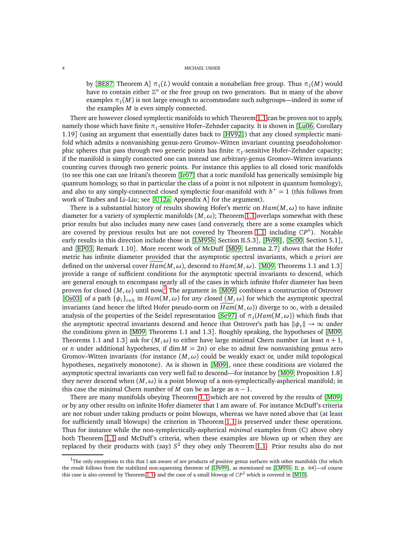by [[BE87,](#page-59-1) Theorem A]  $\pi_1(L)$  would contain a nonabelian free group. Thus  $\pi_1(M)$  would have to contain either  $\mathbb{Z}^n$  or the free group on two generators. But in many of the above examples  $\pi_1(M)$  is not large enough to accommodate such subgroups—indeed in some of the examples *M* is even simply connected.

There are however closed symplectic manifolds to which Theorem [1.1](#page-1-0) can be proven not to apply, namely those which have finite  $\pi_1$ -sensitive Hofer–Zehnder capacity. It is shown in [[Lu06,](#page-60-4) Corollary 1.19] (using an argument that essentially dates back to [[HV92](#page-60-5)]) that any closed symplectic manifold which admits a nonvanishing genus-zero Gromov–Witten invariant counting pseudoholomorphic spheres that pass through two generic points has finite  $\pi_1$ -sensitive Hofer–Zehnder capacity; if the manifold is simply connected one can instead use arbitrary-genus Gromov–Witten invariants counting curves through two generic points. For instance this applies to all closed toric manifolds (to see this one can use Iritani's theorem [[Ir07](#page-60-6)] that a toric manifold has generically semisimple big quantum homology, so that in particular the class of a point is not nilpotent in quantum homology), and also to any simply-connected closed symplectic four-manifold with  $b<sup>+</sup> = 1$  (this follows from work of Taubes and Li–Liu; see [[U12a,](#page-61-3) Appendix A] for the argument).

There is a substantial history of results showing Hofer's metric on  $Ham(M, \omega)$  to have infinite diameter for a variety of symplectic manifolds  $(M, \omega)$ ; Theorem [1.1](#page-1-0) overlaps somewhat with these prior results but also includes many new cases (and conversely, there are a some examples which are covered by previous results but are not covered by Theorem [1.1,](#page-1-0) including  $\mathbb{C}P^n$ ). Notable early results in this direction include those in [[LM95b,](#page-60-7) Section II.5.3], [[Po98](#page-61-5)], [[Sc00,](#page-61-6) Section 5.1], and [[EP03,](#page-60-8) Remark 1.10]. More recent work of McDuff [[M09,](#page-60-9) Lemma 2.7] shows that the Hofer metric has infinite diameter provided that the asymptotic spectral invariants, which *a priori* are defined on the universal cover  $Ham(M, \omega)$ , descend to  $Ham(M, \omega)$ . [[M09,](#page-60-9) Theorems 1.1 and 1.3] provide a range of sufficient conditions for the asymptotic spectral invariants to descend, which are general enough to encompass nearly all of the cases in which infinite Hofer diameter has been proven for closed  $(M, \omega)$  until now.<sup>[1](#page-3-0)</sup> The argument in [[M09](#page-60-9)] combines a construction of Ostrover [[Os03](#page-61-7)] of a path  $\{\phi_t\}_{t\in\mathbb{R}}$  in  $Ham(M, \omega)$  for any closed  $(M, \omega)$  for which the asymptotic spectral invariants (and hence the lifted Hofer pseudo-norm on  $Ham(M, \omega)$ ) diverge to  $\infty$ , with a detailed analysis of the properties of the Seidel representation [[Se97](#page-61-8)] of  $\pi_1(Ham(M, \omega))$  which finds that the asymptotic spectral invariants descend and hence that Ostrover's path has  $\|\phi_t\| \to \infty$  under the conditions given in [[M09,](#page-60-9) Theorems 1.1 and 1.3]. Roughly speaking, the hypotheses of [[M09,](#page-60-9) Theorems 1.1 and 1.3] ask for  $(M, \omega)$  to either have large minimal Chern number (at least  $n + 1$ , or *n* under additional hypotheses, if dim  $M = 2n$  or else to admit few nonvanishing genus zero Gromov–Witten invariants (for instance  $(M, \omega)$  could be weakly exact or, under mild topological hypotheses, negatively monotone). As is shown in [[M09](#page-60-9)], once these conditions are violated the asymptotic spectral invariants can very well fail to descend—for instance by [[M09,](#page-60-9) Proposition 1.8] they never descend when  $(M, \omega)$  is a point blowup of a non-symplectically-aspherical manifold; in this case the minimal Chern number of *M* can be as large as  $n - 1$ .

There are many manifolds obeying Theorem [1.1](#page-1-0) which are not covered by the results of [[M09](#page-60-9)] or by any other results on infinite Hofer diameter that I am aware of. For instance McDuff's criteria are not robust under taking products or point blowups, whereas we have noted above that (at least for sufficiently small blowups) the criterion in Theorem [1.1](#page-1-0) is preserved under these operations. Thus for instance while the non-symplectically-aspherical *minimal* examples from (C) above obey both Theorem [1.1](#page-1-0) and McDuff's criteria, when these examples are blown up or when they are replaced by their products with (say) *S* 2 they obey only Theorem [1.1.](#page-1-0) Prior results also do not

<span id="page-3-0"></span> $1$ The only exceptions to this that I am aware of are products of positive genus surfaces with other manifolds (for which the result follows from the stabilized non-squeezing theorem of [[LPe99](#page-60-10)], as mentioned on [[LM95b,](#page-60-7) II, p. 64]—of course this case is also covered by Theorem [1.1\)](#page-1-0) and the case of a small blowup of  $\mathbb{CP}^2$  which is covered in [[M10](#page-61-9)].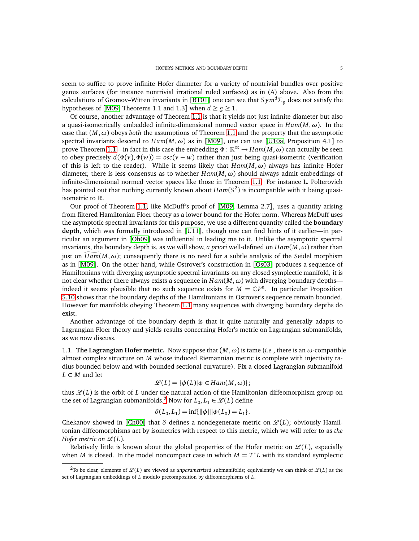seem to suffice to prove infinite Hofer diameter for a variety of nontrivial bundles over positive genus surfaces (for instance nontrivial irrational ruled surfaces) as in (A) above. Also from the calculations of Gromov–Witten invariants in [[BT01](#page-59-0)] one can see that  $Sym^d\Sigma_g$  does not satisfy the hypotheses of [[M09,](#page-60-9) Theorems 1.1 and 1.3] when  $d \ge g \ge 1$ .

Of course, another advantage of Theorem [1.1](#page-1-0) is that it yields not just infinite diameter but also a quasi-isometrically embedded infinite-dimensional normed vector space in *Ham*(*M*,*ω*). In the case that  $(M, \omega)$  obeys *both* the assumptions of Theorem [1.1](#page-1-0) and the property that the asymptotic spectral invariants descend to *Ham*(*M*,*ω*) as in [[M09](#page-60-9)], one can use [[U10a,](#page-61-10) Proposition 4.1] to prove Theorem [1.1—](#page-1-0)in fact in this case the embedding Φ: R <sup>∞</sup> → *Ham*(*M*,*ω*) can actually be seen to obey precisely  $d(\Phi(v), \Phi(w)) = osc(v - w)$  rather than just being quasi-isometric (verification of this is left to the reader). While it seems likely that  $Ham(M, \omega)$  always has infinite Hofer diameter, there is less consensus as to whether  $Ham(M, \omega)$  should always admit embeddings of infinite-dimensional normed vector spaces like those in Theorem [1.1.](#page-1-0) For instance L. Polterovich has pointed out that nothing currently known about *Ham*(*S* 2 ) is incompatible with it being quasiisometric to R.

Our proof of Theorem [1.1,](#page-1-0) like McDuff's proof of [[M09,](#page-60-9) Lemma 2.7], uses a quantity arising from filtered Hamiltonian Floer theory as a lower bound for the Hofer norm. Whereas McDuff uses the asymptotic spectral invariants for this purpose, we use a different quantity called the **boundary depth**, which was formally introduced in [[U11](#page-61-11)], though one can find hints of it earlier—in particular an argument in [[Oh09](#page-61-12)] was influential in leading me to it. Unlike the asymptotic spectral invariants, the boundary depth is, as we will show, *a priori* well-defined on  $Ham(M, \omega)$  rather than just on  $Ham(M, \omega)$ ; consequently there is no need for a subtle analysis of the Seidel morphism as in [[M09](#page-60-9)]. On the other hand, while Ostrover's construction in [[Os03](#page-61-7)] produces a sequence of Hamiltonians with diverging asymptotic spectral invariants on any closed symplectic manifold, it is not clear whether there always exists a sequence in *Ham*(*M*,*ω*) with diverging boundary depths indeed it seems plausible that no such sequence exists for  $M = \mathbb{C}P^n$ . In particular Proposition [5.10](#page-33-0) shows that the boundary depths of the Hamiltonians in Ostrover's sequence remain bounded. However for manifolds obeying Theorem [1.1](#page-1-0) many sequences with diverging boundary depths do exist.

Another advantage of the boundary depth is that it quite naturally and generally adapts to Lagrangian Floer theory and yields results concerning Hofer's metric on Lagrangian submanifolds, as we now discuss.

1.1. **The Lagrangian Hofer metric.** Now suppose that  $(M, \omega)$  is tame (*i.e.*, there is an  $\omega$ -compatible almost complex structure on *M* whose induced Riemannian metric is complete with injectivity radius bounded below and with bounded sectional curvature). Fix a closed Lagrangian submanifold *L* ⊂ *M* and let

$$
\mathcal{L}(L) = \{ \phi(L) | \phi \in Ham(M, \omega) \};
$$

thus  $\mathcal{L}(L)$  is the orbit of *L* under the natural action of the Hamiltonian diffeomorphism group on the set of Lagrangian submanifolds.<sup>[2](#page-4-0)</sup> Now for  $L_0, L_1 \in \mathcal{L}(L)$  define

$$
\delta(L_0, L_1) = \inf\{\|\phi\|\|\phi(L_0) = L_1\}.
$$

Chekanov showed in [[Ch00](#page-60-11)] that  $\delta$  defines a nondegenerate metric on  $\mathcal{L}(L)$ ; obviously Hamiltonian diffeomorphisms act by isometries with respect to this metric, which we will refer to as *the Hofer metric on*  $\mathscr{L}(L)$ *.* 

Relatively little is known about the global properties of the Hofer metric on  $\mathcal{L}(L)$ , especially when *M* is closed. In the model noncompact case in which  $M = T^*L$  with its standard symplectic

<span id="page-4-0"></span><sup>&</sup>lt;sup>2</sup>To be clear, elements of  $\mathscr{L}(L)$  are viewed as *unparametrized* submanifolds; equivalently we can think of  $\mathscr{L}(L)$  as the set of Lagrangian embeddings of *L* modulo precomposition by diffeomorphisms of *L*.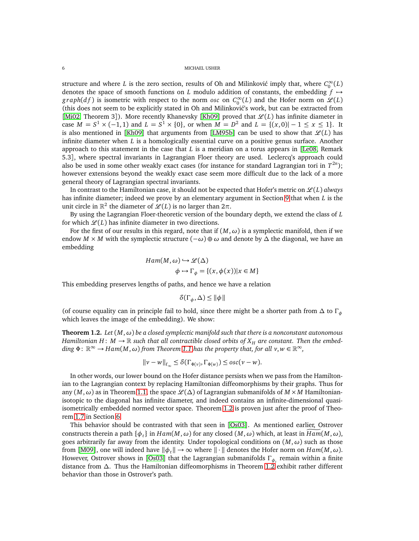structure and where *L* is the zero section, results of Oh and Milinković imply that, where  $C_0^{\infty}(L)$ denotes the space of smooth functions on *L* modulo addition of constants, the embedding  $f \rightarrow$  $graph(df)$  is isometric with respect to the norm *osc* on  $C_0^{\infty}(L)$  and the Hofer norm on  $\mathscr{L}(L)$ (this does not seem to be explicitly stated in Oh and Milinković's work, but can be extracted from [[Mi02,](#page-61-13) Theorem 3]). More recently Khanevsky [[Kh09](#page-60-12)] proved that  $\mathcal{L}(L)$  has infinite diameter in case  $M = S^1 \times (-1, 1)$  and  $L = S^1 \times \{0\}$ , or when  $M = D^2$  and  $L = \{(x, 0) | -1 \le x \le 1\}$ . It is also mentioned in [[Kh09](#page-60-12)] that arguments from [[LM95b](#page-60-7)] can be used to show that  $\mathcal{L}(L)$  has infinite diameter when *L* is a homologically essential curve on a positive genus surface. Another approach to this statement in the case that *L* is a meridian on a torus appears in [[Le08,](#page-60-13) Remark 5.3], where spectral invariants in Lagrangian Floer theory are used. Leclercq's approach could also be used in some other weakly exact cases (for instance for standard Lagrangian tori in  $T^{2n}$ ); however extensions beyond the weakly exact case seem more difficult due to the lack of a more general theory of Lagrangian spectral invariants.

In contrast to the Hamiltonian case, it should not be expected that Hofer's metric on  $\mathcal{L}(L)$  *always* has infinite diameter; indeed we prove by an elementary argument in Section [9](#page-51-0) that when *L* is the unit circle in  $\mathbb{R}^2$  the diameter of  $\mathscr{L}(L)$  is no larger than  $2\pi$ .

By using the Lagrangian Floer-theoretic version of the boundary depth, we extend the class of *L* for which  $\mathcal{L}(L)$  has infinite diameter in two directions.

For the first of our results in this regard, note that if  $(M, \omega)$  is a symplectic manifold, then if we endow *M* × *M* with the symplectic structure  $(-\omega) \oplus \omega$  and denote by  $\Delta$  the diagonal, we have an embedding

$$
Ham(M, \omega) \hookrightarrow \mathcal{L}(\Delta)
$$
  

$$
\phi \mapsto \Gamma_{\phi} = \{(x, \phi(x)) | x \in M\}
$$

This embedding preserves lengths of paths, and hence we have a relation

$$
\delta(\Gamma_{\phi}, \Delta) \le ||\phi||
$$

(of course equality can in principle fail to hold, since there might be a shorter path from ∆ to Γ*<sup>φ</sup>* which leaves the image of the embedding). We show:

<span id="page-5-0"></span>**Theorem 1.2.** *Let* (*M*,*ω*) *be a closed symplectic manifold such that there is a nonconstant autonomous Hamiltonian H*:  $M \to \mathbb{R}$  *such that all contractible closed orbits of*  $X_H$  *are constant. Then the embed-* $\dim g \Phi: \mathbb{R}^{\infty} \to Ham(M, \omega)$  *from Theorem [1.1](#page-1-0) has the property that, for all*  $v, w \in \mathbb{R}^{\infty}$ *,* 

$$
||v - w||_{\ell_{\infty}} \leq \delta(\Gamma_{\Phi(v)}, \Gamma_{\Phi(w)}) \leq osc(v - w).
$$

In other words, our lower bound on the Hofer distance persists when we pass from the Hamiltonian to the Lagrangian context by replacing Hamiltonian diffeomorphisms by their graphs. Thus for any  $(M, \omega)$  as in Theorem [1.1,](#page-1-0) the space  $\mathcal{L}(\Delta)$  of Lagrangian submanifolds of  $M \times M$  Hamiltonianisotopic to the diagonal has infinite diameter, and indeed contains an infinite-dimensional quasiisometrically embedded normed vector space. Theorem [1.2](#page-5-0) is proven just after the proof of Theorem [1.7](#page-9-0) in Section [6.](#page-34-0)

This behavior should be contrasted with that seen in [[Os03](#page-61-7)]. As mentioned earlier, Ostrover constructs therein a path  $\{\phi_t\}$  in  $Ham(M, \omega)$  for any closed  $(M, \omega)$  which, at least in  $Ham(M, \omega)$ , goes arbitrarily far away from the identity. Under topological conditions on  $(M, \omega)$  such as those from [[M09](#page-60-9)], one will indeed have  $\|\phi_t\| \to \infty$  where  $\|\cdot\|$  denotes the Hofer norm on  $Ham(M, \omega)$ . However, Ostrover shows in [[Os03](#page-61-7)] that the Lagrangian submanifolds Γ*φ<sup>t</sup>* remain within a finite distance from ∆. Thus the Hamiltonian diffeomorphisms in Theorem [1.2](#page-5-0) exhibit rather different behavior than those in Ostrover's path.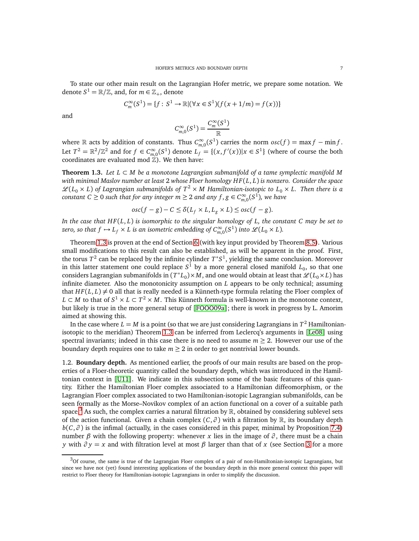To state our other main result on the Lagrangian Hofer metric, we prepare some notation. We denote  $S^1 = \mathbb{R}/\mathbb{Z}$ , and, for  $m \in \mathbb{Z}_+$ , denote

$$
C_m^{\infty}(S^1) = \{f : S^1 \to \mathbb{R} | (\forall x \in S^1)(f(x + 1/m) = f(x)) \}
$$

and

$$
C_{m,0}^{\infty}(S^1) = \frac{C_m^{\infty}(S^1)}{\mathbb{R}}
$$

where  $\mathbb R$  acts by addition of constants. Thus  $C^{\infty}_{m,0}(S^1)$  carries the norm  $osc(f) = \max f - \min f$ . Let  $T^2 = \mathbb{R}^2/\mathbb{Z}^2$  and for  $f \in C^\infty_{m,0}(S^1)$  denote  $L_f = \{(x, f'(x)) | x \in S^1\}$  (where of course the both coordinates are evaluated mod  $\overline{Z}$ ). We then have:

<span id="page-6-0"></span>**Theorem 1.3.** *Let L* ⊂ *M be a monotone Lagrangian submanifold of a tame symplectic manifold M with minimal Maslov number at least* 2 *whose Floer homology H F*(*L*, *L*) *is nonzero. Consider the space*  $\mathscr{L}(L_0 \times L)$  of Lagrangian submanifolds of  $T^2 \times M$  Hamiltonian-isotopic to  $L_0 \times L$ . Then there is a  $constant$   $C \geq 0$  such that for any integer  $m \geq 2$  and any  $f,g \in C^{\infty}_{m,0}(S^1)$ , we have

$$
osc(f-g)-C\leq \delta(L_f\times L, L_g\times L)\leq osc(f-g).
$$

*In the case that H F*(*L*, *L*) *is isomorphic to the singular homology of L, the constant C may be set to zero, so that*  $f \mapsto L_f \times L$  *is an isometric embedding of*  $C^{\infty}_{m,0}(S^1)$  *into*  $\mathscr{L}(L_0 \times L)$ *.* 

Theorem [1.3](#page-6-0) is proven at the end of Section [6](#page-34-0) (with key input provided by Theorem [8.5\)](#page-50-0). Various small modifications to this result can also be established, as will be apparent in the proof. First, the torus  $T^2$  can be replaced by the infinite cylinder  $T^*S^1$ , yielding the same conclusion. Moreover in this latter statement one could replace  $S^1$  by a more general closed manifold  $L_0$ , so that one considers Lagrangian submanifolds in  $(T^*L_0) \times M$ , and one would obtain at least that  $\mathscr{L}(L_0 \times L)$  has infinite diameter. Also the monotonicity assumption on *L* appears to be only technical; assuming that  $HF(L, L) \neq 0$  all that is really needed is a Künneth-type formula relating the Floer complex of *L* ⊂ *M* to that of  $S^1 \times L$  ⊂  $T^2 \times M$ . This Künneth formula is well-known in the monotone context, but likely is true in the more general setup of [[FOOO09a](#page-60-14)]; there is work in progress by L. Amorim aimed at showing this.

In the case where  $L = M$  is a point (so that we are just considering Lagrangians in  $T^2$  Hamiltonianisotopic to the meridian) Theorem [1.3](#page-6-0) can be inferred from Leclercq's arguments in [[Le08](#page-60-13)] using spectral invariants; indeed in this case there is no need to assume  $m \geq 2$ . However our use of the boundary depth requires one to take  $m \geq 2$  in order to get nontrivial lower bounds.

1.2. **Boundary depth.** As mentioned earlier, the proofs of our main results are based on the properties of a Floer-theoretic quantity called the boundary depth, which was introduced in the Hamiltonian context in [[U11](#page-61-11)]. We indicate in this subsection some of the basic features of this quantity. Either the Hamiltonian Floer complex associated to a Hamiltonian diffeomorphism, or the Lagrangian Floer complex associated to two Hamiltonian-isotopic Lagrangian submanifolds, can be seen formally as the Morse–Novikov complex of an action functional on a cover of a suitable path space.<sup>[3](#page-6-1)</sup> As such, the complex carries a natural filtration by  $\mathbb{R}$ , obtained by considering sublevel sets of the action functional. Given a chain complex  $(C, \partial)$  with a filtration by R, its boundary depth  $b(C, \partial)$  is the infimal (actually, in the cases considered in this paper, minimal by Proposition [7.4\)](#page-45-0) number *β* with the following property: whenever *x* lies in the image of  $\partial$ , there must be a chain *y* with  $\partial y = x$  and with filtration level at most  $\beta$  larger than that of *x* (see Section [3](#page-14-0) for a more

<span id="page-6-1"></span> $3$ Of course, the same is true of the Lagrangian Floer complex of a pair of non-Hamiltonian-isotopic Lagrangians, but since we have not (yet) found interesting applications of the boundary depth in this more general context this paper will restrict to Floer theory for Hamiltonian-isotopic Lagrangians in order to simplify the discussion.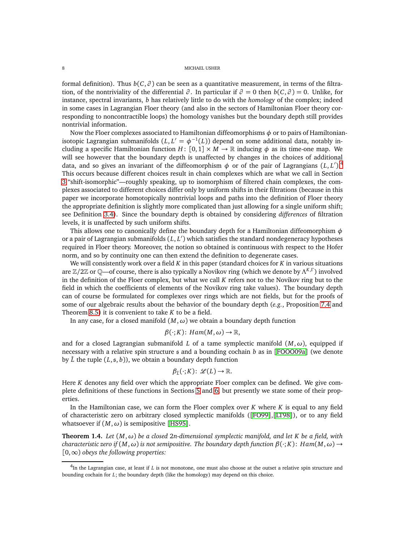formal definition). Thus  $b(C, \partial)$  can be seen as a quantitative measurement, in terms of the filtration, of the nontriviality of the differential  $\partial$ . In particular if  $\partial = 0$  then  $b(C, \partial) = 0$ . Unlike, for instance, spectral invariants, *b* has relatively little to do with the *homology* of the complex; indeed in some cases in Lagrangian Floer theory (and also in the sectors of Hamiltonian Floer theory corresponding to noncontractible loops) the homology vanishes but the boundary depth still provides nontrivial information.

Now the Floer complexes associated to Hamiltonian diffeomorphisms *φ* or to pairs of Hamiltonianisotopic Lagrangian submanifolds  $(L, L' = \phi^{-1}(L))$  depend on some additional data, notably including a specific Hamiltonian function  $H: [0,1] \times M \to \mathbb{R}$  inducing  $\phi$  as its time-one map. We will see however that the boundary depth is unaffected by changes in the choices of additional data, and so gives an invariant of the diffeomorphism  $\phi$  or of the pair of Lagrangians  $(L, L')$ .<sup>[4](#page-7-0)</sup> This occurs because different choices result in chain complexes which are what we call in Section [3](#page-14-0) "shift-isomorphic"—roughly speaking, up to isomorphism of filtered chain complexes, the complexes associated to different choices differ only by uniform shifts in their filtrations (because in this paper we incorporate homotopically nontrivial loops and paths into the definition of Floer theory the appropriate definition is slightly more complicated than just allowing for a single uniform shift; see Definition [3.4\)](#page-14-1). Since the boundary depth is obtained by considering *differences* of filtration levels, it is unaffected by such uniform shifts.

This allows one to canonically define the boundary depth for a Hamiltonian diffeomorphism *φ* or a pair of Lagrangian submanifolds (*L*, *L* ′ ) which satisfies the standard nondegeneracy hypotheses required in Floer theory. Moreover, the notion so obtained is continuous with respect to the Hofer norm, and so by continuity one can then extend the definition to degenerate cases.

We will consistently work over a field *K* in this paper (standard choices for *K* in various situations are Z*/*2Z or Q—of course, there is also typically a Novikov ring (which we denote by Λ *K*,Γ ) involved in the definition of the Floer complex, but what we call *K* refers not to the Novikov ring but to the field in which the coefficients of elements of the Novikov ring take values). The boundary depth can of course be formulated for complexes over rings which are not fields, but for the proofs of some of our algebraic results about the behavior of the boundary depth (*e.g.*, Proposition [7.4](#page-45-0) and Theorem [8.5\)](#page-50-0) it is convenient to take *K* to be a field.

In any case, for a closed manifold  $(M, \omega)$  we obtain a boundary depth function

$$
\beta(\cdot;K)\colon Ham(M,\omega) \to \mathbb{R},
$$

and for a closed Lagrangian submanifold *L* of a tame symplectic manifold  $(M, \omega)$ , equipped if necessary with a relative spin structure s and a bounding cochain *b* as in [[FOOO09a](#page-60-14)] (we denote by  $\hat{L}$  the tuple  $(L, \mathfrak{s}, b)$ , we obtain a boundary depth function

$$
\beta_{\hat{L}}(\cdot;K)\colon\mathscr{L}(L)\to\mathbb{R}.
$$

Here *K* denotes any field over which the appropriate Floer complex can be defined. We give complete definitions of these functions in Sections [5](#page-19-0) and [6,](#page-34-0) but presently we state some of their properties.

In the Hamiltonian case, we can form the Floer complex over *K* where *K* is equal to any field of characteristic zero on arbitrary closed symplectic manifolds ([[FO99](#page-60-15)],[[LT98](#page-60-16)]), or to any field whatsoever if  $(M, \omega)$  is semipositive [[HS95](#page-60-17)].

<span id="page-7-1"></span>**Theorem 1.4.** *Let* (*M*,*ω*) *be a closed* 2*n-dimensional symplectic manifold, and let K be a field, with characteristic zero if*  $(M, \omega)$  *is not semipositive. The boundary depth function*  $\beta(\cdot; K)$ :  $Ham(M, \omega) \rightarrow$ [0,∞) *obeys the following properties:*

<span id="page-7-0"></span><sup>4</sup> In the Lagrangian case, at least if *L* is not monotone, one must also choose at the outset a relative spin structure and bounding cochain for *L*; the boundary depth (like the homology) may depend on this choice.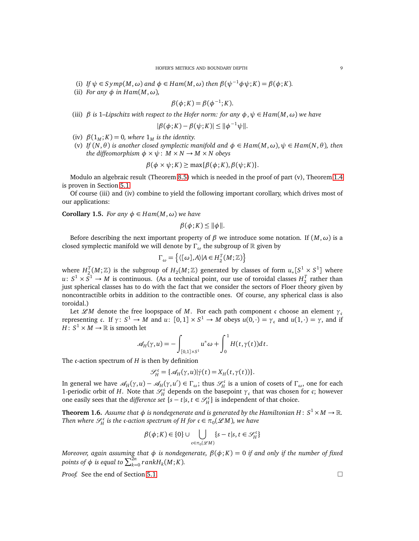- (i) *If*  $\psi \in Symp(M, \omega)$  *and*  $\phi \in Ham(M, \omega)$  *then*  $\beta(\psi^{-1}\phi \psi; K) = \beta(\phi; K)$ *.*
- (ii) *For any*  $\phi$  *in Ham* $(M, \omega)$ *,*

$$
\beta(\phi; K) = \beta(\phi^{-1}; K).
$$

(iii) *β is* 1*–Lipschitz with respect to the Hofer norm: for any φ*,*ψ* ∈ *Ham*(*M*,*ω*) *we have*

$$
|\beta(\phi;K) - \beta(\psi;K)| \le ||\phi^{-1}\psi||.
$$

- (iv)  $\beta(1_M; K) = 0$ , where  $1_M$  is the identity.
- (v) *If*  $(N, \theta)$  *is another closed symplectic manifold and*  $\phi \in Ham(M, \omega)$ ,  $\psi \in Ham(N, \theta)$ , then *the diffeomorphism*  $\phi \times \psi$ :  $M \times N \rightarrow M \times N$  *obeys*

$$
\beta(\phi \times \psi; K) \ge \max{\{\beta(\phi; K), \beta(\psi; K)\}}.
$$

Modulo an algebraic result (Theorem [8.5\)](#page-50-0) which is needed in the proof of part (v), Theorem [1.4](#page-7-1) is proven in Section [5.1.](#page-24-0)

Of course (iii) and (iv) combine to yield the following important corollary, which drives most of our applications:

**Corollary 1.5.** *For any*  $\phi \in Ham(M, \omega)$  *we have* 

$$
\beta(\phi; K) \leq ||\phi||.
$$

Before describing the next important property of *β* we introduce some notation. If  $(M, \omega)$  is a closed symplectic manifold we will denote by Γ<sub>ω</sub> the subgroup of R given by

$$
\Gamma_{\omega} = \left\{ \langle [\omega], A \rangle | A \in H_2^T(M; \mathbb{Z}) \right\}
$$

where  $H_2^T(M; \mathbb{Z})$  is the subgroup of  $H_2(M; \mathbb{Z})$  generated by classes of form  $u_*[S^1 \times S^1]$  where  $u: S^1 \times S^1 \to M$  is continuous. (As a technical point, our use of toroidal classes  $H_2^T$  rather than just spherical classes has to do with the fact that we consider the sectors of Floer theory given by noncontractible orbits in addition to the contractible ones. Of course, any spherical class is also toroidal.)

Let  $\mathscr{L}M$  denote the free loopspace of M. For each path component c choose an element  $\gamma_c$ representing c. If  $\gamma: S^1 \to M$  and  $u: [0,1] \times S^1 \to M$  obeys  $u(0,\cdot) = \gamma_c$  and  $u(1,\cdot) = \gamma$ , and if  $H\colon S^1\times M\to\mathbb{R}$  is smooth let

$$
\mathscr{A}_H(\gamma, u) = -\int_{[0,1]\times S^1} u^*\omega + \int_0^1 H(t, \gamma(t))dt.
$$

The c-action spectrum of *H* is then by definition

$$
\mathcal{S}_H^{\mathfrak{c}} = {\mathcal{A}_H(\gamma, u)|\dot{\gamma}(t) = X_H(t, \gamma(t))}.
$$

In general we have  $\mathscr{A}_H(\gamma, u) - \mathscr{A}_H(\gamma, u') \in \Gamma_\omega$ ; thus  $\mathscr{S}_H^c$ *H* is a union of cosets of Γ*ω*, one for each 1-periodic orbit of *H*. Note that  $\mathcal{S}_{\mu}^{\mathfrak{c}}$  $H_H^{\circ \epsilon}$  depends on the basepoint  $\gamma_{\epsilon}$  that was chosen for *c*; however one easily sees that the *difference set*  $\{s - t | s, t \in \mathcal{S}_H^c\}$  is independent of that choice.

<span id="page-8-0"></span>**Theorem 1.6.** Assume that  $\phi$  is nondegenerate and is generated by the Hamiltonian H $: S^1 \times M \to \mathbb{R}$ . Then where  $\mathscr{S}^{\mathfrak{c}}_{\mu}$  $H^{\circ}$  is the c-action spectrum of H for  $\mathfrak{c} \in \pi_0(\mathscr{L} M)$ , we have

$$
\beta(\phi;K) \in \{0\} \cup \bigcup_{\mathfrak{c} \in \pi_0(\mathscr{L}M)} \{s - t | s, t \in \mathscr{S}_H^{\mathfrak{c}}\}
$$

*Moreover, again assuming that φ is nondegenerate, β*(*φ*; *K*) = 0 *if and only if the number of fixed points of*  $\phi$  *is equal to*  $\sum_{k=0}^{2n} rankH_k(M; K)$ *.* 

*Proof.* See the end of Section [5.1.](#page-24-0) □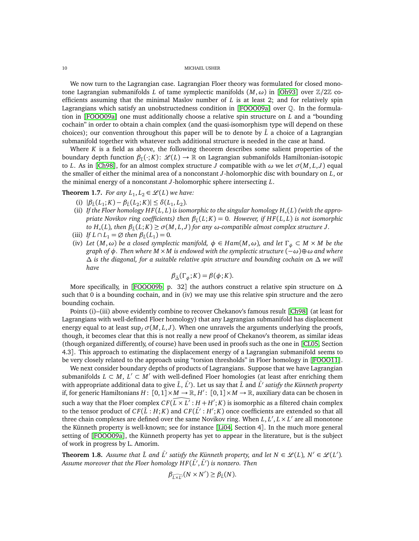We now turn to the Lagrangian case. Lagrangian Floer theory was formulated for closed monotone Lagrangian submanifolds *L* of tame symplectic manifolds  $(M, \omega)$  in [[Oh93](#page-61-14)] over  $\mathbb{Z}/2\mathbb{Z}$  coefficients assuming that the minimal Maslov number of *L* is at least 2; and for relatively spin Lagrangians which satisfy an unobstructedness condition in [[FOOO09a](#page-60-14)] over Q. In the formulation in [[FOOO09a](#page-60-14)] one must additionally choose a relative spin structure on *L* and a "bounding cochain" in order to obtain a chain complex (and the quasi-isomorphism type will depend on these choices); our convention throughout this paper will be to denote by  $\hat{L}$  a choice of a Lagrangian submanifold together with whatever such additional structure is needed in the case at hand.

Where *K* is a field as above, the following theorem describes some salient properties of the boundary depth function *β*<sup>ˆ</sup>*<sup>L</sup>* (·; *K*): L (*L*) → R on Lagrangian submanifolds Hamiltonian-isotopic to *L*. As in [[Ch98](#page-60-18)], for an almost complex structure *J* compatible with  $\omega$  we let  $\sigma(M, L, J)$  equal the smaller of either the minimal area of a nonconstant *J*-holomorphic disc with boundary on *L*, or the minimal energy of a nonconstant *J*-holomorphic sphere intersecting *L*.

<span id="page-9-0"></span>**Theorem 1.7.** *For any*  $L_1, L_2 \in \mathcal{L}(L)$  *we have:* 

- (i)  $|\beta_{\hat{L}}(L_1; K) \beta_{\hat{L}}(L_2; K)| \leq \delta(L_1, L_2)$ .
- (ii) *If the Floer homology H F*(*L*, *L*) *is isomorphic to the singular homology H*<sup>∗</sup> (*L*) *(with the appropriate Novikov ring coefficients) then β*ˆ*<sup>L</sup>* (*L*; *K*) = 0*. However, if H F*(*L*, *L*) *is not isomorphic to H*<sub>∗</sub>(L), then  $β_1(L; K) ≥ σ(M, L, J)$  for any  $ω$ -compatible almost complex structure J.
- (iii) *If*  $L \cap L_1 = \emptyset$  *then*  $\beta_{\hat{L}}(L_1) = 0$ *.*
- (iv) *Let*  $(M, \omega)$  *be a closed symplectic manifold,*  $\phi \in Ham(M, \omega)$ *, and let*  $\Gamma_{\phi} \subset M \times M$  *be the graph of φ. Then where M* ×*M is endowed with the symplectic structure* (−*ω*)⊕*ω and where* ∆ *is the diagonal, for a suitable relative spin structure and bounding cochain on* ∆ *we will have*

$$
\beta_{\hat{\Delta}}(\Gamma_{\phi}; K) = \beta(\phi; K).
$$

More specifically, in [[FOOO09b,](#page-60-19) p. 32] the authors construct a relative spin structure on  $\Delta$ such that 0 is a bounding cochain, and in (iv) we may use this relative spin structure and the zero bounding cochain.

Points (i)–(iii) above evidently combine to recover Chekanov's famous result [[Ch98](#page-60-18)] (at least for Lagrangians with well-defined Floer homology) that any Lagrangian submanifold has displacement energy equal to at least  $\sup_I \sigma(M, L, J)$ . When one unravels the arguments underlying the proofs, though, it becomes clear that this is not really a new proof of Chekanov's theorem, as similar ideas (though organized differently, of course) have been used in proofs such as the one in [[CL05,](#page-60-20) Section 4.3]. This approach to estimating the displacement energy of a Lagrangian submanifold seems to be very closely related to the approach using "torsion thresholds" in Floer homology in [[FOOO11](#page-60-21)].

We next consider boundary depths of products of Lagrangians. Suppose that we have Lagrangian submanifolds  $L \subset M$ ,  $L' \subset M'$  with well-defined Floer homologies (at least after enriching them with appropriate additional data to give  $\hat{L}$ ,  $\hat{L}'$ ). Let us say that  $\hat{L}$  and  $\hat{L}'$  *satisfy the Künneth property* if, for generic Hamiltonians  $H: [0,1] \times M \to \mathbb{R}, H': [0,1] \times M \to \mathbb{R}$ , auxiliary data can be chosen in such a way that the Floer complex  $CF(\overline{L} \times L^7 : H + H'; K)$  is isomorphic as a filtered chain complex to the tensor product of  $CF(\hat{L} : H; K)$  and  $CF(\hat{L'} : H'; K)$  once coefficients are extended so that all three chain complexes are defined over the same Novikov ring. When  $L, L', L \times L'$  are all monotone the Künneth property is well-known; see for instance [[Li04,](#page-60-22) Section 4]. In the much more general setting of [[FOOO09a](#page-60-14)], the Künneth property has yet to appear in the literature, but is the subject of work in progress by L. Amorim.

<span id="page-9-1"></span>**Theorem 1.8.** Assume that  $\hat{L}$  and  $\hat{L}'$  satisfy the Künneth property, and let  $N \in \mathcal{L}(L)$ ,  $N' \in \mathcal{L}(L')$ . *Assume moreover that the Floer homology H F*( ˆ*L* ′ , ˆ*L* ′ ) *is nonzero. Then*

$$
\beta_{\widehat{L\times L'}}(N\times N') \geq \beta_{\widehat{L}}(N).
$$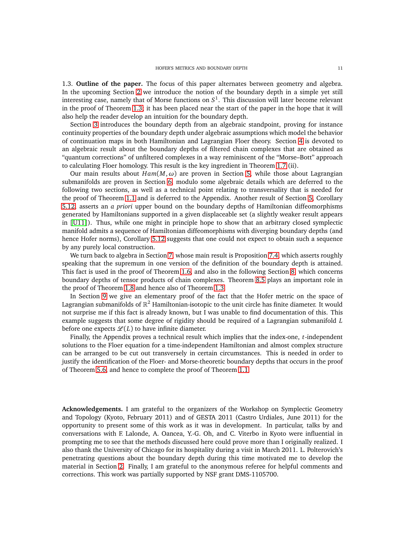1.3. **Outline of the paper.** The focus of this paper alternates between geometry and algebra. In the upcoming Section [2](#page-11-0) we introduce the notion of the boundary depth in a simple yet still interesting case, namely that of Morse functions on *S* 1 . This discussion will later become relevant in the proof of Theorem [1.3;](#page-6-0) it has been placed near the start of the paper in the hope that it will also help the reader develop an intuition for the boundary depth.

Section [3](#page-14-0) introduces the boundary depth from an algebraic standpoint, proving for instance continuity properties of the boundary depth under algebraic assumptions which model the behavior of continuation maps in both Hamiltonian and Lagrangian Floer theory. Section [4](#page-16-0) is devoted to an algebraic result about the boundary depths of filtered chain complexes that are obtained as "quantum corrections" of unfiltered complexes in a way reminiscent of the "Morse–Bott" approach to calculating Floer homology. This result is the key ingredient in Theorem [1.7](#page-9-0) (ii).

Our main results about  $Ham(M, \omega)$  are proven in Section [5,](#page-19-0) while those about Lagrangian submanifolds are proven in Section [6,](#page-34-0) modulo some algebraic details which are deferred to the following two sections, as well as a technical point relating to transversality that is needed for the proof of Theorem [1.1](#page-1-0) and is deferred to the Appendix. Another result of Section [5,](#page-19-0) Corollary [5.12,](#page-34-1) asserts an *a priori* upper bound on the boundary depths of Hamiltonian diffeomorphisms generated by Hamiltonians supported in a given displaceable set (a slightly weaker result appears in [[U11](#page-61-11)]). Thus, while one might in principle hope to show that an arbitrary closed symplectic manifold admits a sequence of Hamiltonian diffeomorphisms with diverging boundary depths (and hence Hofer norms), Corollary [5.12](#page-34-1) suggests that one could not expect to obtain such a sequence by any purely local construction.

We turn back to algebra in Section [7,](#page-43-0) whose main result is Proposition [7.4,](#page-45-0) which asserts roughly speaking that the supremum in one version of the definition of the boundary depth is attained. This fact is used in the proof of Theorem [1.6,](#page-8-0) and also in the following Section [8,](#page-47-0) which concerns boundary depths of tensor products of chain complexes. Theorem [8.5](#page-50-0) plays an important role in the proof of Theorem [1.8](#page-9-1) and hence also of Theorem [1.3.](#page-6-0)

In Section [9](#page-51-0) we give an elementary proof of the fact that the Hofer metric on the space of Lagrangian submanifolds of  $\mathbb{R}^2$  Hamiltonian-isotopic to the unit circle has finite diameter. It would not surprise me if this fact is already known, but I was unable to find documentation of this. This example suggests that some degree of rigidity should be required of a Lagrangian submanifold *L* before one expects  $\mathcal{L}(L)$  to have infinite diameter.

Finally, the Appendix proves a technical result which implies that the index-one, *t*-independent solutions to the Floer equation for a time-independent Hamiltonian and almost complex structure can be arranged to be cut out transversely in certain circumstances. This is needed in order to justify the identification of the Floer- and Morse-theoretic boundary depths that occurs in the proof of Theorem [5.6,](#page-27-0) and hence to complete the proof of Theorem [1.1.](#page-1-0)

**Acknowledgements.** I am grateful to the organizers of the Workshop on Symplectic Geometry and Topology (Kyoto, February 2011) and of GESTA 2011 (Castro Urdiales, June 2011) for the opportunity to present some of this work as it was in development. In particular, talks by and conversations with F. Lalonde, A. Oancea, Y.-G. Oh, and C. Viterbo in Kyoto were influential in prompting me to see that the methods discussed here could prove more than I originally realized. I also thank the University of Chicago for its hospitality during a visit in March 2011. L. Polterovich's penetrating questions about the boundary depth during this time motivated me to develop the material in Section [2.](#page-11-0) Finally, I am grateful to the anonymous referee for helpful comments and corrections. This work was partially supported by NSF grant DMS-1105700.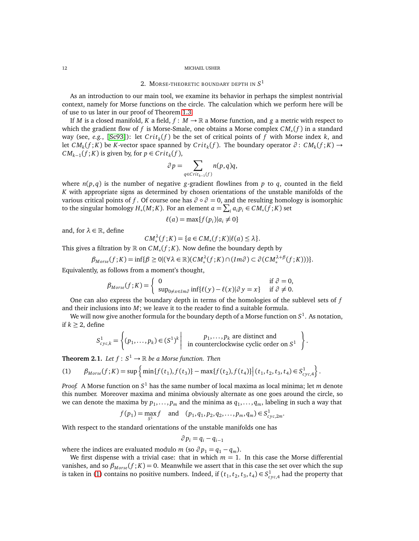# 2. MORSE-THEORETIC BOUNDARY DEPTH IN *S* 1

<span id="page-11-0"></span>As an introduction to our main tool, we examine its behavior in perhaps the simplest nontrivial context, namely for Morse functions on the circle. The calculation which we perform here will be of use to us later in our proof of Theorem [1.3.](#page-6-0)

If *M* is a closed manifold, *K* a field,  $f : M \to \mathbb{R}$  a Morse function, and *g* a metric with respect to which the gradient flow of *f* is Morse-Smale, one obtains a Morse complex *CM*<sup>∗</sup> (*f* ) in a standard way (see, *e.g.*, [[Sc93](#page-61-15)]): let *C ri t<sup>k</sup>* (*f* ) be the set of critical points of *f* with Morse index *k*, and let  $CM_k(f;K)$  be *K*-vector space spanned by  $Crit_k(f)$ . The boundary operator  $\partial: CM_k(f;K) \rightarrow$ *CM*<sub>*k*−1</sub>(*f* ; *K*) is given by, for *p* ∈ *Crit<sub>k</sub>*(*f*),

$$
\partial p = \sum_{q \in Crit_{k-1}(f)} n(p,q)q,
$$

where  $n(p,q)$  is the number of negative *g*-gradient flowlines from *p* to *q*, counted in the field *K* with appropriate signs as determined by chosen orientations of the unstable manifolds of the various critical points of *f* . Of course one has  $\partial \circ \partial = 0$ , and the resulting homology is isomorphic to the singular homology  $H_*(M; K)$ . For an element  $a = \sum_i a_i p_i \in CM_*(f; K)$  set

$$
\ell(a) = \max\{f(p_i)|a_i \neq 0\}
$$

and, for  $\lambda \in \mathbb{R}$ , define

$$
CM_*^{\lambda}(f;K) = \{a \in CM_*(f;K)| \ell(a) \leq \lambda\}.
$$

This gives a filtration by  $\mathbb R$  on  $CM_*(f\,;K)$ . Now define the boundary depth by

$$
\beta_{Morse}(f;K) = \inf \{ \beta \ge 0 | (\forall \lambda \in \mathbb{R}) (CM_*^{\lambda}(f;K) \cap (Im \partial) \subset \partial (CM_*^{\lambda+\beta}(f;K)) ) \}.
$$

Equivalently, as follows from a moment's thought,

$$
\beta_{Morse}(f;K) = \begin{cases} 0 & \text{if } \partial = 0, \\ \sup_{0 \neq x \in Im \partial} \inf \{ \ell(y) - \ell(x) | \partial y = x \} & \text{if } \partial \neq 0. \end{cases}
$$

One can also express the boundary depth in terms of the homologies of the sublevel sets of *f* and their inclusions into *M*; we leave it to the reader to find a suitable formula.

We will now give another formula for the boundary depth of a Morse function on *S* 1 . As notation, if *k* ≥ 2, define

$$
S_{cyc,k}^1 = \left\{ (p_1, \ldots, p_k) \in (S^1)^k \middle| \text{ in counterclockwise cyclic order on } S^1 \right\}.
$$

<span id="page-11-2"></span>**Theorem 2.1.** Let  $f : S^1 \to \mathbb{R}$  be a Morse function. Then

<span id="page-11-1"></span>(1) 
$$
\beta_{Morse}(f;K) = \sup \left\{ \min \{ f(t_1), f(t_3) \} - \max \{ f(t_2), f(t_4) \} \Big| (t_1, t_2, t_3, t_4) \in S^1_{\text{cyc}, 4} \right\}.
$$

*Proof.* A Morse function on *S* <sup>1</sup> has the same number of local maxima as local minima; let *m* denote this number. Moreover maxima and minima obviously alternate as one goes around the circle, so we can denote the maxima by  $p_1, \ldots, p_m$  and the minima as  $q_1, \ldots, q_m$ , labeling in such a way that

$$
f(p_1) = \max_{S^1} f
$$
 and  $(p_1, q_1, p_2, q_2, \dots, p_m, q_m) \in S^1_{cyc, 2m}$ .

With respect to the standard orientations of the unstable manifolds one has

$$
\partial p_i = q_i - q_{i-1}
$$

where the indices are evaluated modulo *m* (so  $\partial p_1 = q_1 - q_m$ ).

We first dispense with a trivial case: that in which  $m = 1$ . In this case the Morse differential vanishes, and so  $\beta_{Morse}(f; K) = 0$ . Meanwhile we assert that in this case the set over which the sup is taken in [\(1\)](#page-11-1) contains no positive numbers. Indeed, if  $(t_1, t_2, t_3, t_4) \in S^1_{cyc, 4}$  had the property that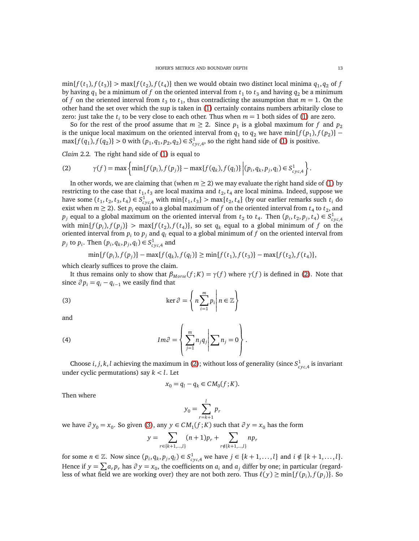$\min\{f(t_1), f(t_3)\} > \max\{f(t_2), f(t_4)\}\$ then we would obtain two distinct local minima  $q_1, q_2$  of *f* by having  $q_1$  be a minimum of  $f$  on the oriented interval from  $t_1$  to  $t_3$  and having  $q_2$  be a minimum of *f* on the oriented interval from  $t_3$  to  $t_1$ , thus contradicting the assumption that  $m = 1$ . On the other hand the set over which the sup is taken in [\(1\)](#page-11-1) certainly contains numbers arbitarily close to zero: just take the  $t_i$  to be very close to each other. Thus when  $m = 1$  both sides of [\(1\)](#page-11-1) are zero.

So for the rest of the proof assume that  $m \geq 2$ . Since  $p_1$  is a global maximum for  $f$  and  $p_2$ is the unique local maximum on the oriented interval from  $q_1$  to  $q_2$  we have  $\min\{f(p_1), f(p_2)\}$  –  $\max\{f(q_1), f(q_2)\} > 0$  with  $(p_1, q_1, p_2, q_2) \in S^1_{cyc,4}$ , so the right hand side of [\(1\)](#page-11-1) is positive.

*Claim* 2.2*.* The right hand side of [\(1\)](#page-11-1) is equal to

<span id="page-12-0"></span>(2) 
$$
\gamma(f) = \max \left\{ \min \{ f(p_i), f(p_j) \} - \max \{ f(q_k), f(q_l) \} \left| (p_i, q_k, p_j, q_l) \in S_{\text{cyc}, 4}^1 \right. \right\}.
$$

In other words, we are claiming that (when  $m \ge 2$ ) we may evaluate the right hand side of [\(1\)](#page-11-1) by restricting to the case that  $t_1, t_3$  are local maxima and  $t_2, t_4$  are local minima. Indeed, suppose we have some  $(t_1, t_2, t_3, t_4) \in S^1_{\text{cyc},4}$  with  $\min\{t_1, t_3\} > \max\{t_2, t_4\}$  (by our earlier remarks such  $t_i$  do exist when  $m \ge 2$ ). Set  $p_i$  equal to a global maximum of  $f$  on the oriented interval from  $t_4$  to  $t_2$ , and  $p_j$  equal to a global maximum on the oriented interval from  $t_2$  to  $t_4$ . Then  $(p_i, t_2, p_j, t_4) \in S^1_{cyc, 4}$ with  $\min\{f(p_i), f(p_j)\} > \max\{f(t_2), f(t_4)\}$ , so set  $q_k$  equal to a global minimum of  $f$  on the oriented interval from  $p_i$  to  $p_j$  and  $q_l$  equal to a global minimum of  $f$  on the oriented interval from  $p_j$  to  $p_i$ . Then  $(p_i, q_k, p_j, q_l) \in S^1_{\text{cyc},4}$  and

$$
\min\{f(p_i), f(p_j)\} - \max\{f(q_k), f(q_l)\} \ge \min\{f(t_1), f(t_3)\} - \max\{f(t_2), f(t_4)\},\
$$

which clearly suffices to prove the claim.

It thus remains only to show that  $\beta_{Morse}(f;K) = \gamma(f)$  where  $\gamma(f)$  is defined in [\(2\)](#page-12-0). Note that since  $\partial p_i = q_i - q_{i-1}$  we easily find that

(3) 
$$
\ker \partial = \left\{ n \sum_{i=1}^{m} p_i \middle| n \in \mathbb{Z} \right\}
$$

and

(4) 
$$
Im \partial = \left\{ \sum_{j=1}^{m} n_j q_j \middle| \sum n_j = 0 \right\}.
$$

Choose *i*, *j*, *k*, *l* achieving the maximum in [\(2\)](#page-12-0); without loss of generality (since  $S^1_{\text{cyc,4}}$  is invariant under cyclic permutations) say  $k < l$ . Let

<span id="page-12-2"></span><span id="page-12-1"></span>
$$
x_0 = q_l - q_k \in CM_0(f; K).
$$

Then where

$$
y_0 = \sum_{r=k+1}^{l} p_r
$$

*w*e have  $\partial y_0 = x_0$ . So given [\(3\)](#page-12-1), any  $y \in CM_1(f; K)$  such that  $\partial y = x_0$  has the form

$$
y = \sum_{r \in \{k+1, \dots, l\}} (n+1)p_r + \sum_{r \notin \{k+1, \dots, l\}} np_r
$$

for some  $n \in \mathbb{Z}$ . Now since  $(p_i, q_k, p_j, q_l) \in S^1_{\text{cyc},4}$  we have  $j \in \{k+1,\ldots,l\}$  and  $i \notin \{k+1,\ldots,l\}$ . Hence if  $y = \sum a_r p_r$  has  $\partial y = x_0$ , the coefficients on  $a_i$  and  $a_j$  differ by one; in particular (regardless of what field we are working over) they are not both zero. Thus  $\ell(y) \ge \min\{f(p_i), f(p_j)\}$ . So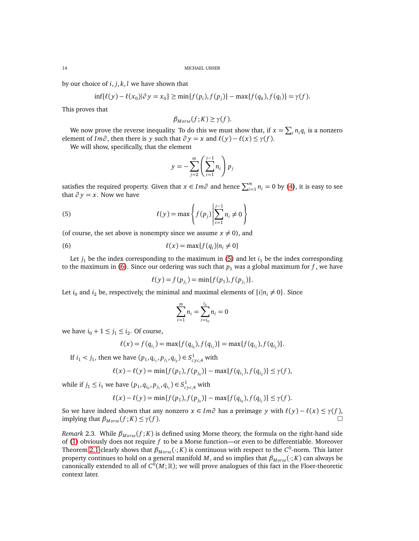by our choice of *i*, *j*, *k*, *l* we have shown that

$$
\inf\{\ell(y) - \ell(x_0)|\partial y = x_0\} \ge \min\{f(p_i), f(p_j)\} - \max\{f(q_k), f(q_l)\} = \gamma(f).
$$

This proves that

$$
\beta_{Morse}(f;K) \geq \gamma(f).
$$

We now prove the reverse inequality. To do this we must show that, if  $x = \sum_i n_i q_i$  is a nonzero element of *Im* $\partial$ , then there is *y* such that  $\partial y = x$  and  $\ell(y) - \ell(x) \leq \gamma(f)$ .

We will show, specifically, that the element

<span id="page-13-0"></span>
$$
y = -\sum_{j=2}^{m} \left( \sum_{i=1}^{j-1} n_i \right) p_j
$$

satisfies the required property. Given that  $x \in Im \partial$  and hence  $\sum_{i=1}^{m} n_i = 0$  by [\(4\)](#page-12-2), it is easy to see that  $\partial y = x$ . Now we have

(5) 
$$
\ell(y) = \max \left\{ f(p_j) \middle| \sum_{i=1}^{j-1} n_i \neq 0 \right\}
$$

(of course, the set above is nonempty since we assume  $x \neq 0$ ), and

$$
\ell(x) = \max\{f(q_i)|n_i \neq 0\}
$$

Let  $j_1$  be the index corresponding to the maximum in [\(5\)](#page-13-0) and let  $i_1$  be the index corresponding to the maximum in [\(6\)](#page-13-1). Since our ordering was such that  $p_1$  was a global maximum for  $f$ , we have

<span id="page-13-1"></span>
$$
\ell(y) = f(p_{j_1}) = \min\{f(p_1), f(p_{j_1})\}.
$$

Let *i*<sub>0</sub> and *i*<sub>2</sub> be, respectively, the minimal and maximal elements of  $\{i|n_i \neq 0\}$ . Since

$$
\sum_{i=1}^{m} n_i = \sum_{i=i_0}^{i_2} n_i = 0
$$

we have  $i_0 + 1 \leq j_1 \leq i_2$ . Of course,

$$
\ell(x) = f(q_{i_1}) = \max\{f(q_{i_0}), f(q_{i_1})\} = \max\{f(q_{i_1}), f(q_{i_2})\}.
$$

If  $i_1 < j_1$ , then we have  $(p_1, q_{i_1}, p_{j_1}, q_{i_2}) \in S^1_{\text{cyc}, 4}$  with

$$
\ell(x) - \ell(y) = \min\{f(p_1), f(p_{j_0})\} - \max\{f(q_{i_1}), f(q_{i_2})\} \leq \gamma(f),
$$

while if  $j_1 \leq i_1$  we have  $(p_1, q_{i_0}, p_{j_1}, q_{i_1}) \in S^1_{\text{cyc}, 4}$  with

$$
\ell(x) - \ell(y) = \min\{f(p_1), f(p_{j_0})\} - \max\{f(q_{i_0}), f(q_{i_1})\} \leq \gamma(f).
$$

So we have indeed shown that any nonzero  $x \in Im \partial$  has a preimage *y* with  $\ell(y) - \ell(x) \leq \gamma(f)$ , implying that  $\beta_{Morse}(f;K) \leq \gamma(f)$ .

*Remark* 2.3. While  $\beta_{Morse}(f; K)$  is defined using Morse theory, the formula on the right-hand side of [\(1\)](#page-11-1) obviously does not require *f* to be a Morse function—or even to be differentiable. Moreover Theorem [2.1](#page-11-2) clearly shows that  $\beta_{Morse}(\cdot;K)$  is continuous with respect to the  $C^0$ -norm. This latter property continues to hold on a general manifold *M*, and so implies that *βM orse* (·; *K*) can always be canonically extended to all of  $C^0(M;\mathbb{R})$ ; we will prove analogues of this fact in the Floer-theoretic context later.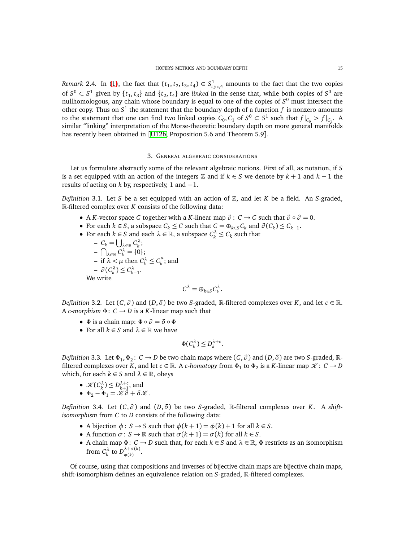*Remark* 2.4. In [\(1\)](#page-11-1), the fact that  $(t_1, t_2, t_3, t_4) \in S^1_{\text{cyc},4}$  amounts to the fact that the two copies of  $S^0 \subset S^1$  given by  $\{t_1, t_3\}$  and  $\{t_2, t_4\}$  are *linked* in the sense that, while both copies of  $S^0$  are nullhomologous, any chain whose boundary is equal to one of the copies of *S* <sup>0</sup> must intersect the other copy. Thus on  $S^1$  the statement that the boundary depth of a function  $f$  is nonzero amounts to the statement that one can find two linked copies  $C_0$ ,  $C_1$  of  $S^0 \subset S^1$  such that  $f|_{C_0} > f|_{C_1}$ . A similar "linking" interpretation of the Morse-theoretic boundary depth on more general manifolds has recently been obtained in [[U12b,](#page-61-16) Proposition 5.6 and Theorem 5.9].

### 3. GENERAL ALGEBRAIC CONSIDERATIONS

<span id="page-14-0"></span>Let us formulate abstractly some of the relevant algebraic notions. First of all, as notation, if *S* is a set equipped with an action of the integers  $\mathbb Z$  and if  $k \in S$  we denote by  $k + 1$  and  $k - 1$  the results of acting on  $k$  by, respectively, 1 and  $-1$ .

<span id="page-14-2"></span>*Definition* 3.1*.* Let *S* be a set equipped with an action of Z, and let *K* be a field. An *S*-graded, R-filtered complex over *K* consists of the following data:

- A *K*-vector space *C* together with a *K*-linear map  $\partial : C \to C$  such that  $\partial \circ \partial = 0$ .
- For each  $k \in S$ , a subspace  $C_k \leq C$  such that  $C = \bigoplus_{k \in S} C_k$  and  $\partial(C_k) \leq C_{k-1}$ .
- For each  $k \in S$  and each  $\lambda \in \mathbb{R}$ , a subspace  $C_k^{\lambda} \leq C_k$  such that

 $-C_k = \bigcup_{\lambda \in \mathbb{R}} C_k^{\lambda}$ ;  $-\bigcap_{\lambda\in\mathbb{R}} C_{k}^{\lambda} = \{0\};$  $-$  if  $\lambda < \mu$  then  $C_k^{\lambda} \leq C_k^{\mu}$  $\binom{\mu}{k}$ ; and  $-\partial(C_k^{\lambda}) \leq C_{k-1}^{\lambda}$ . We write

$$
C^{\lambda} = \oplus_{k \in S} C^{\lambda}_k.
$$

*Definition* 3.2*.* Let  $(C, \partial)$  and  $(D, \delta)$  be two *S*-graded, R-filtered complexes over *K*, and let  $c \in \mathbb{R}$ . A *c*-morphism  $\Phi: C \rightarrow D$  is a *K*-linear map such that

- $\Phi$  is a chain map:  $\Phi \circ \partial = \delta \circ \Phi$
- For all  $k \in S$  and  $\lambda \in \mathbb{R}$  we have

$$
\Phi(C_k^{\lambda}) \le D_k^{\lambda+c}.
$$

*Definition* 3.3. Let  $\Phi_1, \Phi_2$ :  $C \to D$  be two chain maps where  $(C, \partial)$  and  $(D, \delta)$  are two *S*-graded,  $\mathbb{R}$ filtered complexes over *K*, and let  $c \in \mathbb{R}$ . A *c-homotopy* from  $\Phi_1$  to  $\Phi_2$  is a *K*-linear map  $\mathscr{K} \colon C \to D$ which, for each  $k \in S$  and  $\lambda \in \mathbb{R}$ , obeys

- $\mathcal{K}(C_k^{\lambda}) \leq D_{k+1}^{\lambda+c}$ , and
- $\Phi_2 \Phi_1 = \mathcal{K}\partial + \delta\mathcal{K}.$

<span id="page-14-1"></span>*Definition* 3.4. Let  $(C, \partial)$  and  $(D, \delta)$  be two *S*-graded, R-filtered complexes over *K*. A *shiftisomorphism* from *C* to *D* consists of the following data:

- A bijection  $\phi$ : *S* → *S* such that  $\phi$ (*k* + 1) =  $\phi$ (*k*) + 1 for all *k* ∈ *S*.
- A function  $\sigma: S \to \mathbb{R}$  such that  $\sigma(k+1) = \sigma(k)$  for all  $k \in S$ .
- A chain map  $\Phi: C \to D$  such that, for each  $k \in S$  and  $\lambda \in \mathbb{R}$ ,  $\Phi$  restricts as an isomorphism from  $C_k^{\lambda}$  to  $D_{\phi(k)}^{\lambda+\sigma(k)}$ *φ*(*k*) .

Of course, using that compositions and inverses of bijective chain maps are bijective chain maps, shift-isomorphism defines an equivalence relation on *S*-graded, R-filtered complexes.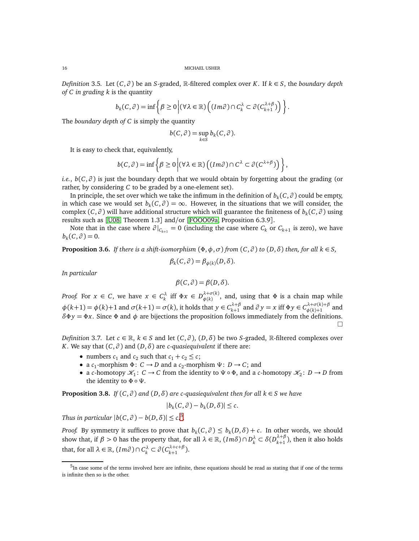*Definition* 3.5*.* Let (*C*, *∂* ) be an *S*-graded, R-filtered complex over *K*. If *k* ∈ *S*, the *boundary depth of C in grading k* is the quantity

$$
b_k(C, \partial) = \inf \left\{ \beta \ge 0 \, \middle| (\forall \lambda \in \mathbb{R}) \left( (\text{Im} \partial) \cap C_k^{\lambda} \subset \partial (C_{k+1}^{\lambda + \beta}) \right) \right\}.
$$

The *boundary depth of C* is simply the quantity

$$
b(C, \partial) = \sup_{k \in S} b_k(C, \partial).
$$

It is easy to check that, equivalently,

$$
b(C, \partial) = \inf \left\{ \beta \ge 0 \Big| (\forall \lambda \in \mathbb{R}) \left( (Im \partial) \cap C^{\lambda} \subset \partial (C^{\lambda + \beta}) \right) \right\},\
$$

*i.e.*,  $b(C, \partial)$  is just the boundary depth that we would obtain by forgetting about the grading (or rather, by considering *C* to be graded by a one-element set).

In principle, the set over which we take the infimum in the definition of  $b_k$ (*C*, *∂* ) could be empty, in which case we would set  $b_k(C, \partial) = \infty$ . However, in the situations that we will consider, the complex  $(C, \partial)$  will have additional structure which will guarantee the finiteness of  $b_k(C, \partial)$  using results such as [[U08,](#page-61-17) Theorem 1.3] and/or [[FOOO09a,](#page-60-14) Proposition 6.3.9].

Note that in the case where  $\partial|_{C_{k+1}} = 0$  (including the case where  $C_k$  or  $C_{k+1}$  is zero), we have  $b_k(C, \partial) = 0.$ 

<span id="page-15-1"></span>**Proposition 3.6.** *If there is a shift-isomorphism*  $(\Phi, \phi, \sigma)$  *from*  $(C, \partial)$  *to*  $(D, \delta)$  *then, for all*  $k \in S$ *,* 

$$
\beta_k(C,\partial)=\beta_{\phi(k)}(D,\delta).
$$

*In particular*

$$
\beta(C,\partial)=\beta(D,\delta).
$$

*Proof.* For  $x \in C$ , we have  $x \in C_k^{\lambda}$  iff  $\Phi x \in D_{\phi(k)}^{\lambda+\sigma(k)}$  $\phi^{(\kappa)}_{\phi(k)}$ , and, using that  $\Phi$  is a chain map while  $\phi(k+1) = \phi(k)+1$  and  $\sigma(k+1) = \sigma(k)$ , it holds that  $y \in C_{k+1}^{\lambda+\beta}$  $\lambda + \beta \atop k+1$  and  $\partial y = x$  iff  $\Phi y \in C^{\lambda + \sigma(k) + \beta}_{\phi(k) + 1}$  $\phi(k)+1$  and  $\delta \Phi y = \Phi x$ . Since  $\Phi$  and  $\phi$  are bijections the proposition follows immediately from the definitions.  $\Box$ 

*Definition* 3.7. Let  $c \in \mathbb{R}$ ,  $k \in S$  and let  $(C, \partial)$ ,  $(D, \delta)$  be two *S*-graded, R-filtered complexes over *K*. We say that  $(C, \partial)$  and  $(D, \delta)$  are *c*-quasiequivalent if there are:

- numbers  $c_1$  and  $c_2$  such that  $c_1 + c_2 \le c$ ;
- a *c*<sub>1</sub>-morphism  $\Phi: C \to D$  and a *c*<sub>2</sub>-morphism  $\Psi: D \to C$ ; and
- a *c*-homotopy  $\mathcal{K}_1: C \to C$  from the identity to  $\Psi \circ \Phi$ , and a *c*-homotopy  $\mathcal{K}_2: D \to D$  from the identity to  $\Phi \circ \Psi$ .

<span id="page-15-2"></span>**Proposition 3.8.** *If*  $(C, \partial)$  *and*  $(D, \delta)$  *are c-quasiequivalent then for all*  $k \in S$  *we have* 

$$
|b_k(C,\partial)-b_k(D,\delta)|\leq c.
$$

*Thus in particular*  $|b(C, \partial) - b(D, \delta)| \leq c$ <sup>[5](#page-15-0)</sup>.

*Proof.* By symmetry it suffices to prove that  $b_k(C, \partial) \leq b_k(D, \delta) + c$ . In other words, we should show that, if  $\beta > 0$  has the property that, for all  $\lambda \in \mathbb{R}$ ,  $(Im \delta) \cap D_k^{\lambda} \subset \delta(D_{k+1}^{\lambda+\beta})$  $\binom{n+p}{k+1}$ , then it also holds that, for all  $\lambda \in \mathbb{R}$ ,  $(Im \partial) \cap C_k^{\lambda} \subset \partial (C_{k+1}^{\lambda+c+\beta})$  $\binom{k+c+p}{k+1}$ .

<span id="page-15-0"></span><sup>&</sup>lt;sup>5</sup>In case some of the terms involved here are infinite, these equations should be read as stating that if one of the terms is infinite then so is the other.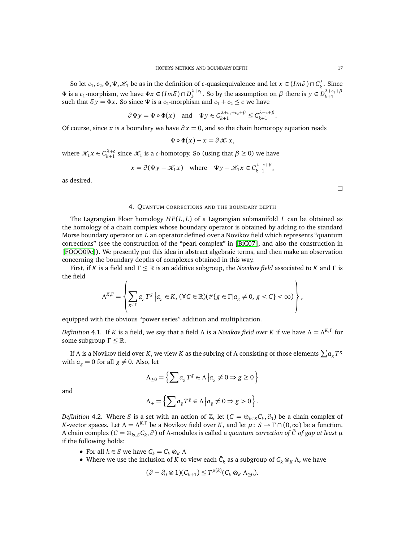So let  $c_1, c_2, \Phi, \Psi, \mathcal{K}_1$  be as in the definition of *c*-quasiequivalence and let  $x \in (Im \partial) \cap C_k^{\lambda}$ . Since  $Φ$  is a *c*<sub>1</sub>-morphism, we have  $Φx ∈ (Imδ) ∩ D_k^{λ+c_1}$ . So by the assumption on *β* there is  $y ∈ D_{k+1}^{λ+c_1+β}$ such that  $\delta y = \Phi x$ . So since  $\Psi$  is a  $c_2$ -morphism and  $c_1 + c_2 \leq c$  we have

$$
\partial \Psi y = \Psi \circ \Phi(x)
$$
 and  $\Psi y \in C_{k+1}^{\lambda + c_1 + c_2 + \beta} \leq C_{k+1}^{\lambda + c + \beta}$ 

Of course, since *x* is a boundary we have  $\partial x = 0$ , and so the chain homotopy equation reads

$$
\Psi \circ \Phi(x) - x = \partial \mathcal{K}_1 x,
$$

where  $\mathcal{K}_1 x \in C_{k+1}^{\lambda+c}$  since  $\mathcal{K}_1$  is a *c*-homotopy. So (using that  $\beta \ge 0$ ) we have

$$
x = \partial(\Psi y - \mathcal{K}_1 x) \quad \text{where} \quad \Psi y - \mathcal{K}_1 x \in C_{k+1}^{\lambda + c + \beta},
$$

<span id="page-16-0"></span>as desired.

 $\Box$ 

# 4. QUANTUM CORRECTIONS AND THE BOUNDARY DEPTH

The Lagrangian Floer homology *H F*(*L*, *L*) of a Lagrangian submanifold *L* can be obtained as the homology of a chain complex whose boundary operator is obtained by adding to the standard Morse boundary operator on *L* an operator defined over a Novikov field which represents "quantum corrections" (see the construction of the "pearl complex" in [[BiC07](#page-59-2)], and also the construction in [[FOOO09c](#page-60-23)]). We presently put this idea in abstract algebraic terms, and then make an observation concerning the boundary depths of complexes obtained in this way.

First, if *K* is a field and Γ ≤ R is an additive subgroup, the *Novikov field* associated to *K* and Γ is the field

$$
\Lambda^{K,\Gamma} = \left\{ \sum_{g \in \Gamma} a_g T^g \, \Big| \, a_g \in K, \, (\forall C \in \mathbb{R}) (\#\{ g \in \Gamma | a_g \neq 0, \, g < C \} < \infty) \right\},
$$

equipped with the obvious "power series" addition and multiplication.

*Definition* 4.1*.* If *K* is a field, we say that a field Λ is a *Novikov field over K* if we have Λ = Λ*<sup>K</sup>*,<sup>Γ</sup> for some subgroup  $\Gamma \leq \mathbb{R}$ .

If  $\Lambda$  is a Novikov field over  $K$  , we view  $K$  as the subring of  $\Lambda$  consisting of those elements  $\sum a_{g}T^{g}$ with  $a_g = 0$  for all  $g \neq 0$ . Also, let

$$
\Lambda_{\geq 0} = \left\{ \sum a_g T^g \in \Lambda \, \Big| \, a_g \neq 0 \Rightarrow g \geq 0 \right\}
$$

and

$$
\Lambda_+ = \left\{ \sum a_g T^g \in \Lambda \, \Big| a_g \neq 0 \Rightarrow g > 0 \right\}.
$$

*Definition* 4.2. Where *S* is a set with an action of  $\mathbb{Z}$ , let  $(\bar{C} = \oplus_{k \in S} \bar{C}_k, \partial_0)$  be a chain complex of *K*-vector spaces. Let  $\Lambda = \Lambda^{K,\Gamma}$  be a Novikov field over *K*, and let  $\mu: S \to \Gamma \cap (0,\infty)$  be a function. A chain complex ( $C = \oplus_{k \in S} C_k$ ,  $\partial$ ) of  $\Lambda$ -modules is called a *quantum correction of*  $\bar{C}$  *of gap at least*  $\mu$ if the following holds:

- For all  $k \in S$  we have  $C_k = \bar{C}_k \otimes_K \Lambda$
- Where we use the inclusion of *K* to view each  $\bar{C}_k$  as a subgroup of  $C_k \otimes_K \Lambda$ , we have

$$
(\partial - \partial_0 \otimes 1)(\bar{C}_{k+1}) \leq T^{\mu(k)}(\bar{C}_k \otimes_K \Lambda_{\geq 0}).
$$

.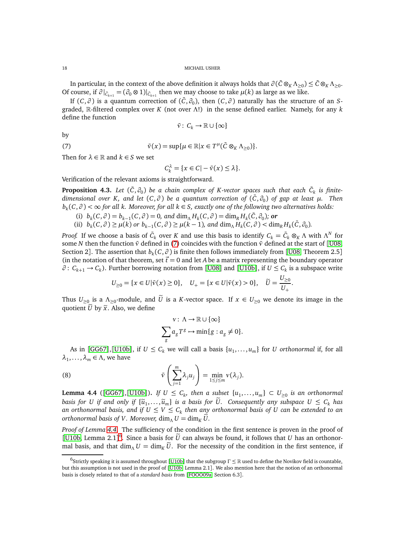In particular, in the context of the above definition it always holds that  $\partial(\bar{C}\otimes_K\Lambda_{\geq 0})\leq \bar{C}\otimes_K\Lambda_{\geq 0}.$ Of course, if  $\partial |_{\bar{C}_{k+1}} = (\partial_0 \otimes 1)|_{\bar{C}_{k+1}}$  then we may choose to take  $\mu(k)$  as large as we like.

If  $(C, \partial)$  is a quantum correction of  $(\bar{C}, \partial_0)$ , then  $(C, \partial)$  naturally has the structure of an *S*graded, R-filtered complex over *K* (not over Λ!) in the sense defined earlier. Namely, for any *k* define the function

<span id="page-17-0"></span>
$$
\bar v: \:C_k\to \mathbb{R}\cup\{\infty\}
$$

by

(7) 
$$
\bar{v}(x) = \sup \{ \mu \in \mathbb{R} | x \in T^{\mu} (\bar{C} \otimes_K \Lambda_{\geq 0}) \}.
$$

Then for  $\lambda \in \mathbb{R}$  and  $k \in S$  we set

$$
C_k^{\lambda} = \{x \in C | -\bar{v}(x) \le \lambda\}.
$$

Verification of the relevant axioms is straightforward.

<span id="page-17-4"></span>**Proposition 4.3.** Let  $(\bar{C}, \partial_0)$  be a chain complex of K-vector spaces such that each  $\bar{C}_k$  is finite*dimensional over K, and let* (*C*, *∂* ) *be a quantum correction of* (*C*¯, *∂*<sup>0</sup> ) *of gap at least µ. Then bk* (*C*, *∂* ) *<* ∞ *for all k. Moreover, for all k* ∈ *S, exactly one of the following two alternatives holds:*

- (i)  $b_k(C, \partial) = b_{k-1}(C, \partial) = 0$ , and  $\dim_{\Lambda} H_k(C, \partial) = \dim_R H_k(\overline{C}, \partial_0)$ ; or
- (ii)  $b_k(C, \partial) \ge \mu(k)$  or  $b_{k-1}(C, \partial) \ge \mu(k-1)$ , and  $\dim_\Lambda H_k(C, \partial) < \dim_R H_k(\overline{C}, \partial_0)$ .

*Proof.* If we choose a basis of  $\bar{C}_k$  over *K* and use this basis to identify  $C_k = \bar{C}_k \otimes_K \Lambda$  with  $\Lambda^N$  for some *N* then the function  $\bar{v}$  defined in [\(7\)](#page-17-0) coincides with the function  $\bar{v}$  defined at the start of [[U08,](#page-61-17) Section 2]. The assertion that  $b_k(C, \partial)$  is finite then follows immediately from [[U08,](#page-61-17) Theorem 2.5] (in the notation of that theorem, set  $\vec{t} = 0$  and let *A* be a matrix representing the boundary operator *∂* : *Ck*+<sup>1</sup> → *C<sup>k</sup>* ). Further borrowing notation from [[U08](#page-61-17)] and [[U10b](#page-61-18)], if *U* ≤ *C<sup>k</sup>* is a subspace write

$$
U_{\geq 0} = \{x \in U | \bar{v}(x) \geq 0\}, \quad U_+ = \{x \in U | \bar{v}(x) > 0\}, \quad \widetilde{U} = \frac{U_{\geq 0}}{U_+}.
$$

Thus  $U_{\geq 0}$  is a  $\Lambda_{\geq 0}$ -module, and *U* is a *K*-vector space. If  $x \in U_{\geq 0}$  we denote its image in the quotient  $\tilde{U}$  by  $\tilde{x}$ . Also, we define

<span id="page-17-3"></span>
$$
v: \Lambda \to \mathbb{R} \cup \{\infty\}
$$

$$
\sum_{g} a_g T^g \to \min\{g : a_g \neq 0\}.
$$

As in [[GG67](#page-60-24)],[[U10b](#page-61-18)], if  $U \leq C_k$  we will call a basis  $\{u_1, \ldots, u_m\}$  for *U* orthonormal if, for all  $λ_1, \ldots, λ_m \in Λ$ , we have

(8) 
$$
\bar{v}\left(\sum_{j=1}^m \lambda_j u_j\right) = \min_{1 \le j \le m} v(\lambda_j).
$$

<span id="page-17-1"></span>**Lemma 4.4** ([[GG67](#page-60-24)],[[U10b](#page-61-18)]). If  $U \le C_k$ , then a subset  $\{u_1, \ldots, u_m\} \subset U_{\ge 0}$  is an orthonormal *basis for U if and only if*  $\{\widetilde{u}_1, \ldots, \widetilde{u}_m\}$  *is a basis for U. Consequently any subspace*  $U \leq C_k$  *has an orthonormal basis, and if U* ≤ *V* ≤ *C<sup>k</sup> then any orthonormal basis of U can be extended to an orthonormal basis of V. Moreover,* dim<sub>*A</sub>*  $U = \dim_K U$ .</sub>

*Proof of Lemma [4.4.](#page-17-1)* The sufficiency of the condition in the first sentence is proven in the proof of [[U10b,](#page-61-18) Lemma 2.1]<sup>[6](#page-17-2)</sup>. Since a basis for  $\tilde{U}$  can always be found, it follows that *U* has an orthonormal basis, and that  $\dim_\Lambda U = \dim_K \tilde{U}$ . For the necessity of the condition in the first sentence, if

<span id="page-17-2"></span><sup>6</sup> Strictly speaking it is assumed throughout [[U10b](#page-61-18)] that the subgroup Γ ≤ R used to define the Novikov field is countable, but this assumption is not used in the proof of [[U10b,](#page-61-18) Lemma 2.1]. We also mention here that the notion of an orthonormal basis is closely related to that of a *standard basis* from [[FOOO09a,](#page-60-14) Section 6.3].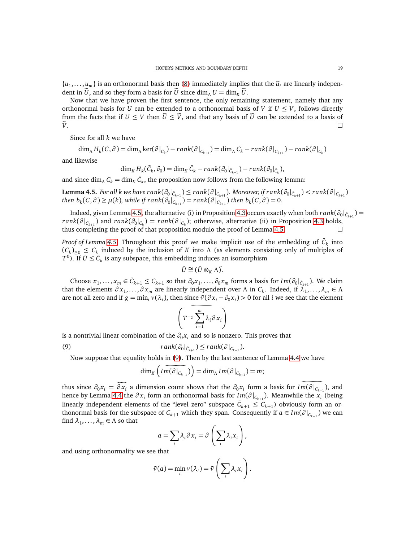$\{u_1, \ldots, u_m\}$  is an orthonormal basis then [\(8\)](#page-17-3) immediately implies that the  $\tilde{u}_i$  are linearly independent in  $\tilde{U}$ , and so they form a basis for  $\tilde{U}$  since dim<sub>Λ</sub>  $U = \dim_K \tilde{U}$ .

Now that we have proven the first sentence, the only remaining statement, namely that any orthonormal basis for *U* can be extended to a orthonormal basis of *V* if  $U \leq V$ , follows directly from the facts that if  $U \leq V$  then  $\tilde{U} \leq \tilde{V}$ , and that any basis of  $\tilde{U}$  can be extended to a basis of  $\tilde{V}$ .  $\widetilde{V}$ .

Since for all *k* we have

$$
\dim_{\Lambda} H_{k}(C, \partial) = \dim_{\Lambda} \ker(\partial|_{C_{k}}) - rank(\partial|_{C_{k+1}}) = \dim_{\Lambda} C_{k} - rank(\partial|_{C_{k+1}}) - rank(\partial|_{C_{k}})
$$

and likewise

$$
\dim_K H_k(\bar{C}_k, \partial_0) = \dim_K \bar{C}_k - rank(\partial_0|_{\bar{C}_{k+1}}) - rank(\partial_0|_{\bar{C}_k}),
$$

and since  $\dim_{\Lambda} C_k = \dim_K \bar{C}_k$ , the proposition now follows from the following lemma:

<span id="page-18-0"></span>**Lemma 4.5.** For all k we have  $rank(\partial_0|_{\bar{C}_{k+1}})\leq rank(\partial|_{C_{k+1}}).$  Moreover, if  $rank(\partial_0|_{\bar{C}_{k+1}})$  $\mu(k) \geq \mu(k)$ , while if  $rank(\partial_0|_{\tilde{C}_{k+1}}) = rank(\partial|_{C_{k+1}})$  then  $b_k(C, \partial) = 0$ .

Indeed, given Lemma [4.5,](#page-18-0) the alternative (i) in Proposition [4.3](#page-17-4) occurs exactly when both  $rank(\partial_0|_{\bar C_{k+1}})=$  $rank(\partial|_{C_{k+1}})$  and  $rank(\partial_0|_{\bar{C}_k}) = rank(\partial|_{C_k})$ ; otherwise, alternative (ii) in Proposition [4.3](#page-17-4) holds, thus completing the proof of that proposition modulo the proof of Lemma [4.5.](#page-18-0)

*Proof of Lemma [4.5.](#page-18-0)* Throughout this proof we make implicit use of the embedding of  $\bar{C}_k$  into  $(C_k)_{\geq 0} \leq C_k$  induced by the inclusion of *K* into  $\Lambda$  (as elements consisting only of multiples of  $T^0$ ). If  $\bar{U} \leq \bar{C}_k$  is any subspace, this embedding induces an isomorphism

$$
\bar{U}\cong(\bar{U}\otimes_K\Lambda)\tilde{.}
$$

Choose  $x_1, \ldots, x_m \in \bar{C}_{k+1} \leq C_{k+1}$  so that  $\partial_0 x_1, \ldots, \partial_0 x_m$  forms a basis for  $Im(\partial_0|_{\bar{C}_{k+1}})$ . We claim that the elements  $\partial x_1, \dots, \partial x_m$  are linearly independent over  $\Lambda$  in  $C_k$ . Indeed, if  $\lambda_1, \dots, \lambda_m \in \Lambda$ are not all zero and if  $g = \min_i v(\lambda_i)$ , then since  $\bar{v}(\partial x_i - \partial_0 x_i) > 0$  for all *i* we see that the element

$$
\left(T^{-g}\sum_{i=1}^m\lambda_i\partial x_i\right)
$$

is a nontrivial linear combination of the  $\partial_0 x_i$  and so is nonzero. This proves that

(9) 
$$
rank(\partial_0|_{\bar{C}_{k+1}}) \leq rank(\partial|_{C_{k+1}}).
$$

Now suppose that equality holds in [\(9\)](#page-18-1). Then by the last sentence of Lemma [4.4](#page-17-1) we have

<span id="page-18-1"></span>
$$
\dim_K\left(\widehat{Im(\partial|_{C_{k+1}})}\right)=\dim_{\Lambda}Im(\partial|_{C_{k+1}})=m;
$$

thus since  $\partial_0 x_i = \partial x_i$  a dimension count shows that the  $\partial_0 x_i$  form a basis for  $Im(\partial|_{C_{k+1}})$ , and hence by Lemma [4.4](#page-17-1) the  $\partial x_i$  form an orthonormal basis for *Im*( $\partial |_{C_{k+1}}$ ). Meanwhile the  $x_i$  (being linearly independent elements of the "level zero" subspace  $\bar{C}_{k+1} \leq C_{k+1}$ ) obviously form an orthonormal basis for the subspace of  $C_{k+1}$  which they span. Consequently if  $a \in Im(\partial|_{C_{k+1}})$  we can find  $\lambda_1, \ldots, \lambda_m \in \Lambda$  so that

$$
a = \sum_i \lambda_i \partial x_i = \partial \left( \sum_i \lambda_i x_i \right),
$$

and using orthonormality we see that

$$
\bar{v}(a) = \min_i v(\lambda_i) = \bar{v}\left(\sum_i \lambda_i x_i\right).
$$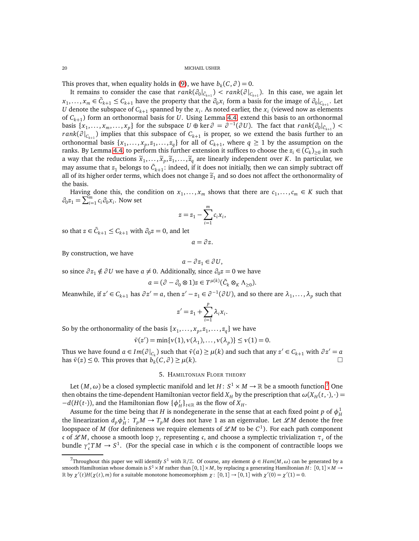This proves that, when equality holds in [\(9\)](#page-18-1), we have  $b_k(C, \partial) = 0$ .

It remains to consider the case that  $rank(\partial_0|_{\tilde{C}_{k+1}}) < rank(\partial|_{C_{k+1}})$ . In this case, we again let *x*<sub>1</sub>,..., *x<sub>m</sub>* ∈  $\bar{C}_{k+1}$  ≤  $C_{k+1}$  have the property that the  $\partial_0 x_i$  form a basis for the image of  $\partial_0 |_{C_{k+1}}$ . Let *U* denote the subspace of  $C_{k+1}$  spanned by the  $x_i$ . As noted earlier, the  $x_i$  (viewed now as elements of *Ck*+<sup>1</sup> ) form an orthonormal basis for *U*. Using Lemma [4.4,](#page-17-1) extend this basis to an orthonormal basis  $\{x_1, \ldots, x_m, \ldots, x_p\}$  for the subspace  $U \oplus \text{ker } \partial = \partial^{-1}(\partial U)$ . The fact that  $rank(\partial_0|_{\bar{C}_{k+1}})$  $rank(\partial|_{C_{k+1}})$  implies that this subspace of  $C_{k+1}$  is proper, so we extend the basis further to an orthonormal basis  $\{x_1, \ldots, x_p, z_1, \ldots, z_q\}$  for all of  $C_{k+1}$ , where  $q \ge 1$  by the assumption on the ranks. By Lemma [4.4,](#page-17-1) to perform this further extension it suffices to choose the  $z_i \in (C_k)_{\geq 0}$  in such a way that the reductions  $\tilde{x}_1, \ldots, \tilde{x}_p, \tilde{z}_1, \ldots, \tilde{z}_q$  are linearly independent over *K*. In particular, we may assume that  $z_1$  belongs to  $\bar C_{k+1}$ : indeed, if it does not initially, then we can simply subtract off all of its higher order terms, which does not change  $\tilde{z}_1$  and so does not affect the orthonormality of the basis.

Having done this, the condition on  $x_1, \ldots, x_m$  shows that there are  $c_1, \ldots, c_m \in K$  such that  $\partial_0 z_1 = \sum_{i=1}^m c_i \partial_0 x_i$ . Now set

$$
z = z_1 - \sum_{i=1}^m c_i x_i,
$$

so that  $z \in \bar{C}_{k+1} \leq C_{k+1}$  with  $\partial_0 z = 0$ , and let

$$
a=\partial z.
$$

By construction, we have

$$
a - \partial z_1 \in \partial U,
$$

so since  $\partial z_1 \notin \partial U$  we have  $a \neq 0$ . Additionally, since  $\partial_0 z = 0$  we have

$$
a = (\partial - \partial_0 \otimes 1)z \in T^{\mu(k)}(\bar{C}_k \otimes_K \Lambda_{\geq 0}).
$$

Meanwhile, if  $z' \in C_{k+1}$  has  $\partial z' = a$ , then  $z' - z_1 \in \partial^{-1}(\partial U)$ , and so there are  $\lambda_1, \ldots, \lambda_p$  such that

$$
z'=z_1+\sum_{i=1}^p\lambda_i x_i.
$$

So by the orthonormality of the basis  $\{x_1, \ldots, x_p, z_1, \ldots, z_q\}$  we have

$$
\bar{v}(z') = \min\{v(1), v(\lambda_1), \ldots, v(\lambda_p)\} \le v(1) = 0.
$$

<span id="page-19-0"></span>Thus we have found  $a \in Im(\partial|_{C_k})$  such that  $\bar{v}(a) \ge \mu(k)$  and such that any  $z' \in C_{k+1}$  with  $\partial z' = a$ has  $\bar{v}(z) \le 0$ . This proves that  $\bar{b_k}(C, \partial) \ge \mu(k)$ .

### 5. HAMILTONIAN FLOER THEORY

Let  $(M,\omega)$  be a closed symplectic manifold and let  $H\colon S^1\times M\to\mathbb{R}$  be a smooth function.<sup>[7](#page-19-1)</sup> One then obtains the time-dependent Hamiltonian vector field  $X_H$  by the prescription that  $\omega(X_H(t,\cdot),\cdot)$ *−d*(*H*(*t*⋅)), and the Hamiltonian flow { $\phi_H^t$ }<sub>*t*∈R</sub> as the flow of *X<sub>H</sub>*.

Assume for the time being that *H* is nondegenerate in the sense that at each fixed point *p* of  $\phi_H^1$ the linearization  $d_p \phi_H^1$ :  $T_p M \to T_p M$  does not have 1 as an eigenvalue. Let  $\mathscr{L}M$  denote the free loopspace of *M* (for definiteness we require elements of  $\mathscr{L}M$  to be  $C^1$ ). For each path component c of *L M*, choose a smooth loop  $γ<sub>c</sub>$  representing c, and choose a symplectic trivialization  $τ<sub>c</sub>$  of the bundle  $\gamma_c^*TM \to S^1$ . (For the special case in which c is the component of contractible loops we

<span id="page-19-1"></span> $^{7}$ Throughout this paper we will identify *S*<sup>1</sup> with  $\mathbb{R}/\mathbb{Z}$ . Of course, any element  $\phi \in Ham(M, \omega)$  can be generated by a smooth Hamiltonian whose domain is  $S^1\times M$  rather than  $[0,1]\times M$ , by replacing a generating Hamiltonian  $H\colon [0,1]\times M\to$ R by  $\chi'(t)H(\chi(t), m)$  for a suitable monotone homeomorphism  $\chi$ : [0, 1]  $\to$  [0, 1] with  $\chi'(0) = \chi'(1) = 0$ .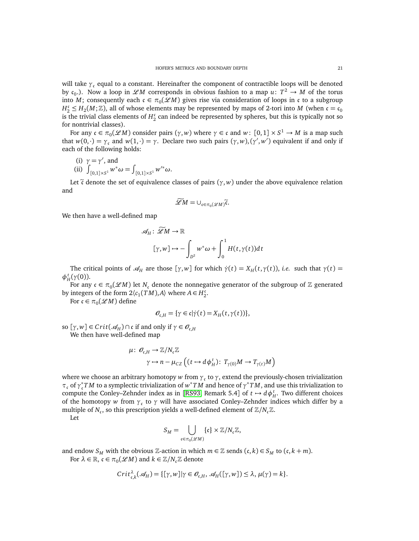will take  $\gamma_c$  equal to a constant. Hereinafter the component of contractible loops will be denoted by  $c_0$ .). Now a loop in  $\mathscr{L}M$  corresponds in obvious fashion to a map  $u: T^2 \to M$  of the torus into *M*; consequently each  $c \in \pi_0(\mathscr{L}M)$  gives rise via consideration of loops in c to a subgroup  $H_2^c \leq H_2(M;\mathbb{Z})$ , all of whose elements may be represented by maps of 2-tori into *M* (when  $c = c_0$ ) is the trivial class elements of  $H_2^c$  $\frac{c}{2}$  can indeed be represented by spheres, but this is typically not so for nontrivial classes).

For any  $\mathfrak{c} \in \pi_0(\mathscr{L}M)$  consider pairs  $(\gamma, w)$  where  $\gamma \in \mathfrak{c}$  and  $w: [0,1] \times S^1 \to M$  is a map such that  $w(0, \cdot) = \gamma_c$  and  $w(1, \cdot) = \gamma$ . Declare two such pairs  $(\gamma, w), (\gamma', w')$  equivalent if and only if each of the following holds:

(i) 
$$
\gamma = \gamma'
$$
, and

(ii) 
$$
\int_{[0,1]\times S^1} w^* \omega = \int_{[0,1]\times S^1} w'^* \omega.
$$

Let  $\tilde{\tau}$  denote the set of equivalence classes of pairs ( $\gamma$ , *w*) under the above equivalence relation and

$$
\widetilde{\mathscr{L}}M=\cup_{\mathfrak{c}\in\pi_0(\mathscr{L}M)}\widetilde{\mathfrak{c}}.
$$

We then have a well-defined map

$$
\mathscr{A}_H: \mathscr{L}M \to \mathbb{R}
$$

$$
[\gamma, w] \mapsto -\int_{D^2} w^* \omega + \int_0^1 H(t, \gamma(t)) dt
$$

The critical points of  $\mathcal{A}_H$  are those  $[\gamma, w]$  for which  $\dot{\gamma}(t) = X_H(t, \gamma(t))$ , *i.e.* such that  $\gamma(t) =$ *φ t H* (*γ*(0)).

For any  $\mathfrak{c} \in \pi_0(\mathscr{L} M)$  let  $N_{\mathfrak{c}}$  denote the nonnegative generator of the subgroup of  $\mathbb Z$  generated by integers of the form  $2\langle c_1(TM), A \rangle$  where  $A \in H_2^c$ 2 .

For  $\mathfrak{c} \in \pi_0(\mathscr{L}M)$  define

$$
\mathcal{O}_{\mathfrak{c},H} = \{ \gamma \in \mathfrak{c} | \dot{\gamma}(t) = X_H(t,\gamma(t)) \},
$$

so  $[\gamma, w] \in Crit(\mathcal{A}_H) \cap \mathfrak{c}$  if and only if  $\gamma \in \mathcal{O}_{\mathfrak{c},H}$ We then have well-defined map

$$
\mu\colon \mathcal{O}_{\mathfrak{c},H}\to \mathbb{Z}/N_{\mathfrak{c}}\mathbb{Z}
$$

$$
\gamma\mapsto n-\mu_{CZ}\left((t\mapsto d\phi_H^t)\colon\thinspace T_{\gamma(0)}M\to T_{\gamma(t)}M\right)
$$

where we choose an arbitrary homotopy *w* from  $\gamma_c$  to  $\gamma$ , extend the previously-chosen trivialization *τ*<sub>c</sub> of  $γ_$ <sup>\*</sup>, *TM* to a symplectic trivialization of *w*<sup>\*</sup>*TM* and hence of  $γ$ <sup>\*</sup>*TM*, and use this trivialization to compute the Conley–Zehnder index as in [[RS93,](#page-61-19) Remark 5.4] of  $t \mapsto d\phi_H^t$ . Two different choices of the homotopy *w* from  $\gamma_c$  to  $\gamma$  will have associated Conley–Zehnder indices which differ by a multiple of  $N_c$ , so this prescription yields a well-defined element of  $\mathbb{Z}/N_c\mathbb{Z}$ .

Let

$$
S_M = \bigcup_{\mathfrak{c} \in \pi_0(\mathscr{L}M)} \{\mathfrak{c}\} \times \mathbb{Z}/N_{\mathfrak{c}} \mathbb{Z},
$$

and endow  $S_M$  with the obvious Z-action in which  $m \in \mathbb{Z}$  sends  $(c, k) \in S_M$  to  $(c, k + m)$ . For  $\lambda \in \mathbb{R}$ ,  $\mathfrak{c} \in \pi_0(\mathscr{L}M)$  and  $k \in \mathbb{Z}/N_{\mathfrak{c}}\mathbb{Z}$  denote

$$
Crit_{\mathfrak{c},k}^{\lambda}(\mathcal{A}_H) = \{[\gamma,w] | \gamma \in \mathcal{O}_{\mathfrak{c},H}, \mathcal{A}_H([\gamma,w]) \leq \lambda, \mu(\gamma) = k \}.
$$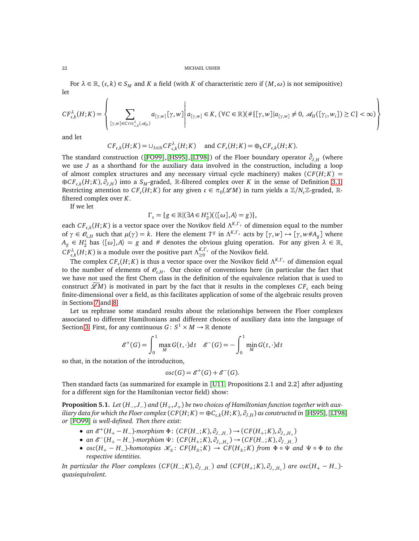For  $\lambda \in \mathbb{R}$ ,  $(c, k) \in S_M$  and *K* a field (with *K* of characteristic zero if  $(M, \omega)$  is not semipositive) let

$$
CF_{\mathfrak{c},k}^{\lambda}(H;K)=\left\{\sum_{[\gamma,w]\in Crit_{\mathfrak{c},k}^{\lambda}(\mathcal{A}_H)}a_{[\gamma,w]}[\gamma,w]\left|\ a_{[\gamma,w]} \in K,(\forall C\in \mathbb{R})(\#\{[\gamma,w]|\ a_{[\gamma,w]}\neq 0,\, \mathcal{A}_H([\gamma_i,w_i])\geq C\}<\infty)\right.\right\}
$$

and let

$$
CF_{\mathfrak{c},k}(H;K) = \cup_{\lambda \in \mathbb{R}} CF_{\mathfrak{c},k}^{\lambda}(H;K) \quad \text{ and } CF_{\mathfrak{c}}(H;K) = \oplus_{k} CF_{\mathfrak{c},k}(H;K).
$$

The standard construction ([[FO99](#page-60-15)],[[HS95](#page-60-17)],[[LT98](#page-60-16)]) of the Floer boundary operator  $\bar{\partial}_{J,H}$  (where we use *J* as a shorthand for the auxiliary data involved in the construction, including a loop of almost complex structures and any necessary virtual cycle machinery) makes  $(CF(H; K))$ ⊕*C F*c,*<sup>k</sup>* (*H*; *K*), *∂J*,*<sup>H</sup>* ) into a *S<sup>M</sup>* -graded, R-filtered complex over *K* in the sense of Definition [3.1.](#page-14-2) Restricting attention to  $CF_c(H; K)$  for any given  $c \in \pi_0(\mathscr{L}M)$  in turn yields a  $\mathbb{Z}/N_c\mathbb{Z}$ -graded,  $\mathbb{R}$ filtered complex over *K*.

If we let

$$
\Gamma_{\mathfrak{c}} = \{ g \in \mathbb{R} | (\exists A \in H_2^{\mathfrak{c}}) (\langle [\omega], A \rangle = g) \},
$$

each  $CF_{c,k}(H;K)$  is a vector space over the Novikov field  $\Lambda^{K,\Gamma_c}$  of dimension equal to the number of  $\gamma \in \mathcal{O}_{c,H}$  such that  $\mu(\gamma) = k$ . Here the element  $T^g$  in  $\Lambda^{K,\Gamma_c}$  acts by  $[\gamma, w] \mapsto [\gamma, w \# A_g]$  where  $A_g \in H_2^c$  $\binom{c}{2}$  has  $\langle [\omega], A \rangle = g$  and # denotes the obvious gluing operation. For any given  $\lambda \in \mathbb{R}$ ,  $CF_{\mathfrak{c},k}^{\lambda}(H;K)$  is a module over the positive part  $Λ_{\geq 0}^{K,\Gamma_{\mathfrak{c}}}$  $\sum_{k=0}^{K,1}$  of the Novikov field.

The complex  $CF_c(H; K)$  is thus a vector space over the Novikov field  $\Lambda^{K,\Gamma_c}$  of dimension equal to the number of elements of  $O_{c,H}$ . Our choice of conventions here (in particular the fact that we have not used the first Chern class in the definition of the equivalence relation that is used to construct  $\mathscr{L}M$ ) is motivated in part by the fact that it results in the complexes  $CF_c$  each being finite-dimensional over a field, as this facilitates application of some of the algebraic results proven in Sections [7](#page-43-0) and [8.](#page-47-0)

Let us rephrase some standard results about the relationships between the Floer complexes associated to different Hamiltonians and different choices of auxiliary data into the language of Section [3.](#page-14-0) First, for any continuous  $G: S^1 \times M \to \mathbb{R}$  denote

$$
\mathcal{E}^+(G) = \int_0^1 \max_{M} G(t, \cdot) dt \quad \mathcal{E}^-(G) = -\int_0^1 \min_{M} G(t, \cdot) dt
$$

so that, in the notation of the introduciton,

$$
osc(G) = \mathcal{E}^+(G) + \mathcal{E}^-(G).
$$

Then standard facts (as summarized for example in [[U11,](#page-61-11) Propositions 2.1 and 2.2] after adjusting for a different sign for the Hamiltonian vector field) show:

<span id="page-21-0"></span>**Proposition 5.1.** *Let* (*H*−, *J*−) *and* (*H*+, *J*+) *be two choices of Hamiltonian function together with aux*iliary data for which the Floer complex ( $CF(H; K) = \oplus C_{\mathfrak{c},k}(H; K), \partial_{J,H})$  as constructed in [[HS95](#page-60-17)],[[LT98](#page-60-16)] *or* [[FO99](#page-60-15)] *is well-defined. Then there exist:*

- *an*  $\mathcal{E}^+(H_+ H_-)$ -morphism  $\Phi$ : (*CF*(*H*<sub>−</sub>;*K*),  $\partial$ <sub>*J*−,*H*<sub>−</sub></sub>) → (*CF*(*H*<sub>+</sub>;*K*),  $\partial$ <sub>*J*+,*H*<sub>+</sub>)</sub>
- $\bullet$  *an*  $\mathcal{E}^{-}(H_{+} H_{-})$ *-morphism*  $\Psi$ : (*CF*(*H*<sub>+</sub>;*K*),  $\partial_{J_{+},H_{+}}$ ) → (*CF*(*H*<sub>−</sub>;*K*),  $\partial_{J_{-},H_{-}}$ )
- $osc(H_{+} H_{-})$ *-homotopies*  $\mathcal{K}_{\pm}$ :  $CF(H_{\pm}; K) \to CF(H_{\pm}; K)$  *from*  $\Phi \circ \Psi$  *and*  $\Psi \circ \Phi$  *to the respective identities.*

In particular the Floer complexes  $(CF(H_-;K),\partial_{J_-,H_-})$  and  $(CF(H_+;K),\partial_{J_+,H_+})$  are  $osc(H_+-H_-)$ *quasiequivalent.*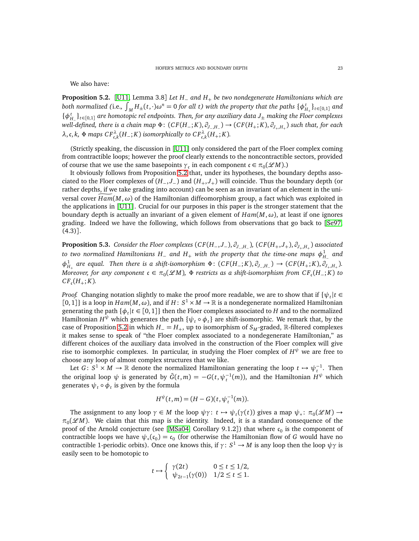We also have:

<span id="page-22-0"></span>**Proposition 5.2.** [[U11,](#page-61-11) Lemma 3.8] *Let H*<sup>−</sup> *and H*<sup>+</sup> *be two nondegenerate Hamiltonians which are* both normalized (i.e.,  $\int_M H_{\pm}(t,\cdot)\omega^n=0$  for all  $t)$  with the property that the paths  $\{\phi^t_{H_+}\}_{t\in[0,1]}$  and  $\{\phi_H^L\}_{t \in [0,1]}$  *are homotopic rel endpoints. Then, for any auxiliary data*  $J_{\pm}$  *making the Floer complexes well-defined, there is a chain map* Φ: (*C F*(*H*−; *K*), *∂<sup>J</sup>*−,*H*<sup>−</sup> ) → (*C F*(*H*+; *K*), *∂<sup>J</sup>*+,*H*<sup>+</sup> ) *such that, for each*  $\lambda$ , c, k, Φ maps  $CF_{c,k}^{\lambda}(H_-; K)$  isomorphically to  $CF_{c,k}^{\lambda}(H_+; K)$ .

(Strictly speaking, the discussion in [[U11](#page-61-11)] only considered the part of the Floer complex coming from contractible loops; however the proof clearly extends to the noncontractible sectors, provided of course that we use the same basepoints  $\gamma_c$  in each component  $c \in \pi_0(\mathscr{L}M)$ .)

It obviously follows from Proposition [5.2](#page-22-0) that, under its hypotheses, the boundary depths associated to the Floer complexes of (*H*−, *J*−) and (*H*+, *J*+) will coincide. Thus the boundary depth (or rather depths, if we take grading into account) can be seen as an invariant of an element in the universal cover  $Ham(M, \omega)$  of the Hamiltonian diffeomorphism group, a fact which was exploited in the applications in [[U11](#page-61-11)]. Crucial for our purposes in this paper is the stronger statement that the boundary depth is actually an invariant of a given element of  $Ham(M, \omega)$ , at least if one ignores grading. Indeed we have the following, which follows from observations that go back to [[Se97,](#page-61-8)  $(4.3)$ ].

<span id="page-22-1"></span>**Proposition 5.3.** *Consider the Floer complexes* (*C F*(*H*−, *J*−), *∂J*−,*H*<sup>−</sup> )*,* (*C F*(*H*+, *J*+), *∂J*+,*H*<sup>+</sup> ) *associated to two normalized Hamiltonians H* $_-$  *and*  $H_+$  *with the property that the time-one maps*  $\phi_{H_-}^1$  *and*  $\phi_{H_+}^1$  are equal. Then there is a shift-isomorphism  $\Phi$ :  $(CF(H_-; K), \partial_{J_-, H_-}) \to (CF(H_+; K), \partial_{J_+, H_+}).$  $M$ oreover, for any component  $c \in \pi_0(\mathscr{L}M)$ ,  $\Phi$  restricts as a shift-isomorphism from  $CF_c(H_-; K)$  to  $CF_{c}(H_{+}; K)$ .

*Proof.* Changing notation slightly to make the proof more readable, we are to show that if  $\{\psi_t | t \in$ [0, 1]} is a loop in  $Ham(M, \omega)$ , and if  $H: S^1 \times M \to \mathbb{R}$  is a nondegenerate normalized Hamiltonian generating the path  $\{\phi_t | t \in [0,1]\}$  then the Floer complexes associated to *H* and to the normalized Hamiltonian  $H^\psi$  which generates the path  $\{\psi_t \circ \phi_t\}$  are shift-isomorphic. We remark that, by the case of Proposition [5.2](#page-22-0) in which  $H_$  =  $H_+$ , up to isomorphism of  $S_M$ -graded, R-filtered complexes it makes sense to speak of "the Floer complex associated to a nondegenerate Hamiltonian," as different choices of the auxiliary data involved in the construction of the Floer complex will give rise to isomorphic complexes. In particular, in studying the Floer complex of *H <sup>ψ</sup>* we are free to choose any loop of almost complex structures that we like.

Let *G*:  $S^1 \times M \to \mathbb{R}$  denote the normalized Hamiltonian generating the loop  $t \to \psi_t^{-1}$ . Then the original loop  $\psi$  is generated by  $\bar{G}(t,m) = -G(t,\psi_t^{-1}(m))$ , and the Hamiltonian  $H^{\psi}$  which generates  $\psi_t \circ \phi_t$  is given by the formula

$$
H^{\psi}(t,m) = (H - G)(t, \psi_t^{-1}(m)).
$$

The assignment to any loop  $\gamma \in M$  the loop  $\psi \gamma$ :  $t \mapsto \psi_t(\gamma(t))$  gives a map  $\psi_* \colon \pi_0(\mathscr{L}M) \to$  $\pi_0(\mathcal{L}M)$ . We claim that this map is the identity. Indeed, it is a standard consequence of the proof of the Arnold conjecture (see [[MSa04,](#page-61-20) Corollary 9.1.2]) that where  $\mathfrak{c}_0$  is the component of contractible loops we have  $\psi_*(\mathfrak{c}_0) = \mathfrak{c}_0$  (for otherwise the Hamiltonian flow of *G* would have no contractible 1-periodic orbits). Once one knows this, if  $\gamma: S^1 \to M$  is any loop then the loop  $\psi \gamma$  is easily seen to be homotopic to

$$
t \mapsto \begin{cases} \gamma(2t) & 0 \leq t \leq 1/2, \\ \psi_{2t-1}(\gamma(0)) & 1/2 \leq t \leq 1. \end{cases}
$$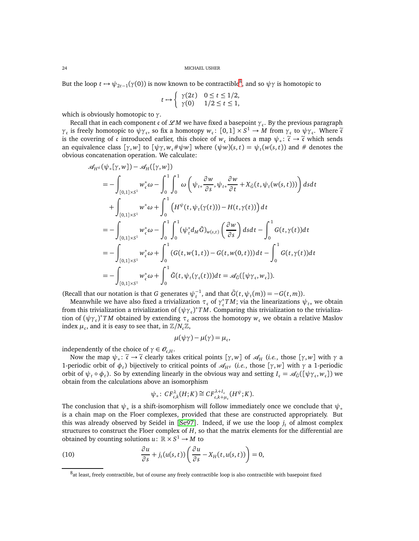But the loop  $t \mapsto \psi_{2t-1}(\gamma(0))$  is now known to be contractible<sup>[8](#page-23-0)</sup>, and so  $\psi\gamma$  is homotopic to

$$
t \mapsto \begin{cases} \gamma(2t) & 0 \le t \le 1/2, \\ \gamma(0) & 1/2 \le t \le 1, \end{cases}
$$

which is obviously homotopic to *γ*.

Recall that in each component *c* of *LM* we have fixed a basepoint *γ*<sub>c</sub>. By the previous paragraph *γ*<sub>c</sub> is freely homotopic to  $\psi \gamma_c$ , so fix a homotopy  $w_c : [0,1] \times S^1 \to M$  from  $\gamma_c$  to  $\psi \gamma_c$ . Where  $\tilde{\epsilon}$ is the covering of c introduced earlier, this choice of *w*<sub>c</sub> induces a map  $\psi_* : \tilde{c} \to \tilde{c}$  which sends an equivalence class  $[\gamma, w]$  to  $[\psi \gamma, w_c # \psi w]$  where  $(\psi w)(s, t) = \psi_t(w(s, t))$  and # denotes the obvious concatenation operation. We calculate:

$$
\mathcal{A}_{H^{\psi}}(\psi_{*}[\gamma, w]) - \mathcal{A}_{H}([\gamma, w])
$$
\n
$$
= -\int_{[0,1] \times S^{1}} w_{\mathfrak{c}}^{*} \omega - \int_{0}^{1} \int_{0}^{1} \omega \left( \psi_{t*} \frac{\partial w}{\partial s}, \psi_{t*} \frac{\partial w}{\partial t} + X_{\bar{G}}(t, \psi_{t}(w(s, t))) \right) ds dt
$$
\n
$$
+ \int_{[0,1] \times S^{1}} w^{*} \omega + \int_{0}^{1} \left( H^{\psi}(t, \psi_{t}(\gamma(t))) - H(t, \gamma(t)) \right) dt
$$
\n
$$
= -\int_{[0,1] \times S^{1}} w_{\mathfrak{c}}^{*} \omega - \int_{0}^{1} \int_{0}^{1} (\psi_{t}^{*} d_{M} \bar{G})_{w(s,t)} \left( \frac{\partial w}{\partial s} \right) ds dt - \int_{0}^{1} G(t, \gamma(t)) dt
$$
\n
$$
= -\int_{[0,1] \times S^{1}} w_{\mathfrak{c}}^{*} \omega + \int_{0}^{1} (G(t, w(1, t)) - G(t, w(0, t))) dt - \int_{0}^{1} G(t, \gamma(t)) dt
$$
\n
$$
= -\int_{[0,1] \times S^{1}} w_{\mathfrak{c}}^{*} \omega + \int_{0}^{1} \bar{G}(t, \psi_{t}(\gamma_{\mathfrak{c}}(t))) dt = \mathcal{A}_{\bar{G}}([\psi \gamma_{\mathfrak{c}}, w_{\mathfrak{c}}]).
$$

(Recall that our notation is that *G* generates  $\psi_t^{-1}$ , and that  $\bar{G}(t, \psi_t(m)) = -G(t, m)$ ).

Meanwhile we have also fixed a trivialization  $\tau_c$  of  $\gamma_c^*TM$ ; via the linearizations  $\psi_{t*}$  we obtain from this trivialization a trivialization of  $(\psi \gamma_{c})^* TM$ . Comparing this trivialization to the trivialization of  $(\psi \gamma_c)^* T M$  obtained by extending  $\tau_c$  across the homotopy  $w_c$  we obtain a relative Maslov index  $\mu_{\mathfrak{c}}$ , and it is easy to see that, in  $\mathbb{Z}/N_{\mathfrak{c}}\mathbb{Z},$ 

$$
\mu(\psi\gamma) - \mu(\gamma) = \mu_c,
$$

independently of the choice of  $\gamma \in \mathcal{O}_{c,H}$ .

Now the map  $\psi_* \colon \tilde{\mathfrak{c}} \to \tilde{\mathfrak{c}}$  clearly takes critical points  $[\gamma, w]$  of  $\mathscr{A}_H$  (*i.e.*, those  $[\gamma, w]$  with  $\gamma$  a 1-periodic orbit of  $\phi_t$ ) bijectively to critical points of  $\mathcal{A}_{H^{\psi}}$  (*i.e.*, those  $[\gamma, w]$  with  $\gamma$  a 1-periodic orbit of  $\psi_t \circ \phi_t$ ). So by extending linearly in the obvious way and setting  $I_c = \mathcal{A}_{\tilde{G}}([\psi \gamma_c, w_c])$  we obtain from the calculations above an isomorphism

<span id="page-23-1"></span>
$$
\psi_*\colon CF_{\mathfrak{c},k}^{\lambda}(H;K)\cong CF_{\mathfrak{c},k+\mu_{\mathfrak{c}}}^{\lambda+l_{\mathfrak{c}}}(H^{\psi};K).
$$

The conclusion that *ψ*<sup>∗</sup> is a shift-isomorphism will follow immediately once we conclude that *ψ*<sup>∗</sup> is a chain map on the Floer complexes, provided that these are constructed appropriately. But this was already observed by Seidel in [[Se97](#page-61-8)]. Indeed, if we use the loop *j <sup>t</sup>* of almost complex structures to construct the Floer complex of *H*, so that the matrix elements for the differential are obtained by counting solutions  $u: \mathbb{R} \times S^1 \to M$  to

(10) 
$$
\frac{\partial u}{\partial s} + j_t(u(s,t)) \left( \frac{\partial u}{\partial s} - X_H(t,u(s,t)) \right) = 0,
$$

<span id="page-23-0"></span><sup>&</sup>lt;sup>8</sup>at least, freely contractible, but of course any freely contractible loop is also contractible with basepoint fixed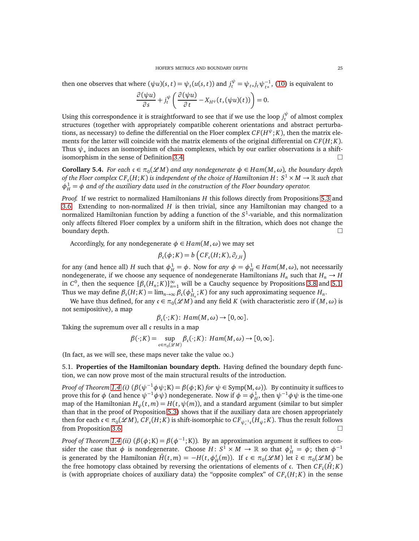then one observes that where  $(\psi u)(s,t) = \psi_t(u(s,t))$  and  $j_t^{\psi} = \psi_{t*}j_t\psi_{t*}^{-1}$ , [\(10\)](#page-23-1) is equivalent to

$$
\frac{\partial(\psi u)}{\partial s} + j_t^{\psi} \left( \frac{\partial(\psi u)}{\partial t} - X_{H^{\psi}}(t, (\psi u)(t)) \right) = 0.
$$

Using this correspondence it is straightforward to see that if we use the loop  $j_t^{\psi}$  of almost complex structures (together with appropriately compatible coherent orientations and abstract perturbations, as necessary) to define the differential on the Floer complex  $CF(H^\psi;K),$  then the matrix elements for the latter will coincide with the matrix elements of the original differential on  $CF(H; K)$ . Thus  $\psi_*$  induces an isomorphism of chain complexes, which by our earlier observations is a shiftisomorphism in the sense of Definition [3.4.](#page-14-1)

**Corollary 5.4.** *For each*  $c \in \pi_0(\mathcal{L}M)$  and any nondegenerate  $\phi \in Ham(M, \omega)$ , the boundary depth of the Floer complex CF  $_{\rm c}(H;K)$  is independent of the choice of Hamiltonian  $H\colon S^1\times M\to\mathbb{R}$  such that  $\phi_H^1 = \phi$  and of the auxiliary data used in the construction of the Floer boundary operator.

*Proof.* If we restrict to normalized Hamiltonians *H* this follows directly from Propositions [5.3](#page-22-1) and [3.6.](#page-15-1) Extending to non-normalized *H* is then trivial, since any Hamiltonian may changed to a normalized Hamiltonian function by adding a function of the S<sup>1</sup>-variable, and this normalization only affects filtered Floer complex by a uniform shift in the filtration, which does not change the boundary depth.  $\square$ 

Accordingly, for any nondegenerate  $\phi \in Ham(M, \omega)$  we may set

$$
\beta_{\mathfrak{c}}(\phi;K) = b\left(CF_{\mathfrak{c}}(H;K),\partial_{J,H}\right)
$$

for any (and hence all) *H* such that  $\phi_H^1 = \phi$ . Now for any  $\phi = \phi_H^1 \in Ham(M, \omega)$ , not necessarily nondegenerate, if we choose any sequence of nondegenerate Hamiltonians  $H_n$  such that  $H_n \to H$ in  $C^0$ , then the sequence  $\{\beta_c(H_n; K)\}_{n=1}^{\infty}$  will be a Cauchy sequence by Propositions [3.8](#page-15-2) and [5.1.](#page-21-0) Thus we may define  $\beta_c(H; K) = \lim_{n \to \infty} \beta_c(\phi_{H_n}^1; K)$  for any such approximating sequence  $H_n$ .

We have thus defined, for any  $\mathfrak{c} \in \pi_0(\mathscr{L}M)$  and any field  $K$  (with characteristic zero if  $(M, \omega)$  is not semipositive), a map

$$
\beta_{\mathfrak{c}}(\cdot;K)\colon \text{Ham}(M,\omega)\to [0,\infty].
$$

Taking the supremum over all c results in a map

$$
\beta(\cdot;K) = \sup_{\mathfrak{c} \in \pi_0(\mathscr{L}M)} \beta_{\mathfrak{c}}(\cdot;K) : \operatorname{Ham}(M,\omega) \to [0,\infty].
$$

<span id="page-24-0"></span>(In fact, as we will see, these maps never take the value  $\infty$ .)

5.1. **Properties of the Hamiltonian boundary depth.** Having defined the boundary depth function, we can now prove most of the main structural results of the introduction.

*Proof of Theorem [1.4](#page-7-1) (i)*  $(\beta(\psi^{-1}\phi\psi; K) = \beta(\phi; K)$  *for*  $\psi \in \text{Symp}(M, \omega)$ *).* By continuity it suffices to prove this for  $\phi$  (and hence  $\psi^{-1}\phi\psi$ ) nondegenerate. Now if  $\phi = \phi_H^1$ , then  $\psi^{-1}\phi\psi$  is the time-one map of the Hamiltonian  $H_{\psi}(t, m) = H(t, \psi(m))$ , and a standard argument (similar to but simpler than that in the proof of Proposition [5.3\)](#page-22-1) shows that if the auxiliary data are chosen appropriately then for each  $c \in \pi_0(\mathscr{L}M)$ ,  $CF_c(H; K)$  is shift-isomorphic to  $CF_{\psi_*^{-1}}c(H_{\psi}; K)$ . Thus the result follows from Proposition [3.6.](#page-15-1)

*Proof of Theorem [1.4](#page-7-1) (ii)*  $(\beta(\phi; K) = \beta(\phi^{-1}; K))$ . By an approximation argument it suffices to consider the case that  $\phi$  is nondegenerate. Choose  $H: S^1 \times M \to \mathbb{R}$  so that  $\phi_H^1 = \phi$ ; then  $\phi^{-1}$ is generated by the Hamiltonian  $\bar{H}(t, m) = -H(t, \phi_H^t(m))$ . If  $\mathfrak{c} \in \pi_0(\mathscr{L}M)$  let  $\bar{\mathfrak{c}} \in \pi_0(\mathscr{L}M)$  be the free homotopy class obtained by reversing the orientations of elements of c. Then  $CF_{\bar{c}}(\bar{H};K)$ is (with appropriate choices of auxiliary data) the "opposite complex" of  $CF_c(H; K)$  in the sense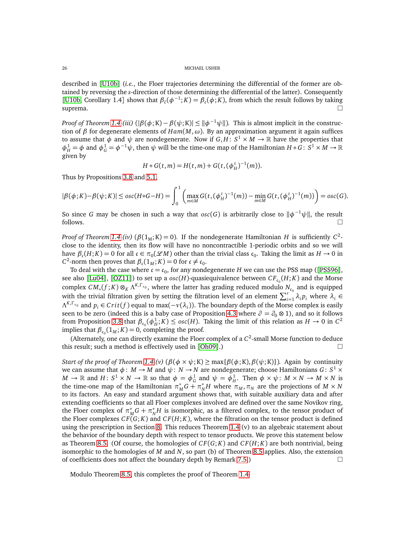described in [[U10b](#page-61-18)] (*i.e.*, the Floer trajectories determining the differential of the former are obtained by reversing the *s*-direction of those determining the differential of the latter). Consequently [[U10b,](#page-61-18) Corollary 1.4] shows that  $\beta_{\bar{t}}(\phi^{-1}; K) = \beta_{\bar{t}}(\phi; K)$ , from which the result follows by taking suprema.  $\square$ 

*Proof of Theorem [1.4](#page-7-1) (iii)* ( $|\beta(\phi; K) - \beta(\psi; K)| \leq ||\phi^{-1}\psi||$ ). This is almost implicit in the construction of *β* for degenerate elements of *Ham*(*M*,*ω*). By an approximation argument it again suffices to assume that  $\phi$  and  $\psi$  are nondegenerate. Now if  $G,H\colon S^1\times M\to \mathbb{R}$  have the properties that  $\phi_H^1 = \phi$  and  $\phi_G^1 = \phi^{-1}\psi$ , then  $\psi$  will be the time-one map of the Hamiltonian *H*  $*$  *G*: *S*<sup>1</sup> × *M* → R given by

$$
H * G(t, m) = H(t, m) + G(t, (\phi_H^t)^{-1}(m)).
$$

Thus by Propositions [3.8](#page-15-2) and [5.1,](#page-21-0)

$$
|\beta(\phi;K) - \beta(\psi;K)| \leq osc(H*G-H) = \int_0^1 \left( \max_{m \in M} G(t, (\phi_H^t)^{-1}(m)) - \min_{m \in M} G(t, (\phi_H^t)^{-1}(m)) \right) = osc(G).
$$

So since *G* may be chosen in such a way that  $osc(G)$  is arbitrarily close to  $\|\phi^{-1}\psi\|$ , the result  $\Box$  follows.

*Proof of Theorem [1.4](#page-7-1) (iv)* ( $\beta(1_M; K) = 0$ ). If the nondegenerate Hamiltonian *H* is sufficiently  $C^2$ close to the identity, then its flow will have no noncontractible 1-periodic orbits and so we will have  $\beta_c(H; K) = 0$  for all  $c \in \pi_0(\mathcal{L}M)$  other than the trivial class  $c_0$ . Taking the limit as  $H \to 0$  in *C*<sup>2</sup>-norm then proves that  $\beta_c(1_M; K) = 0$  for  $c \neq c_0$ .

To deal with the case where  $\mathfrak{c} = \mathfrak{c}_0$ , for any nondegenerate *H* we can use the PSS map ([[PSS96](#page-61-21)], see also [[Lu04](#page-60-25)], [[OZ11](#page-61-22)]) to set up a  $osc(H)$ -quasiequivalence between  $CF_{c_0}(H; K)$  and the Morse complex  $CM_*(f;K) \otimes_K \Lambda^{K,\Gamma_{c_0}}$ , where the latter has grading reduced modulo  $N_{c_0}$  and is equipped with the trivial filtration given by setting the filtration level of an element  $\sum_{i=1}^{r} \lambda_i p_i$  where  $\lambda_i \in$  $\Lambda^{K,\Gamma_{\epsilon_0}}$  and  $p_i \in Crit(f)$  equal to max( $-v(\lambda_i)$ ). The boundary depth of the Morse complex is easily seen to be zero (indeed this is a baby case of Proposition [4.3](#page-17-4) where  $\partial = \partial_0 \otimes 1$ ), and so it follows from Proposition [3.8](#page-15-2) that  $\beta_{c_0}(\phi_H^1; K) \leq \omega sc(H)$ . Taking the limit of this relation as  $H \to 0$  in  $C^2$ implies that  $\beta_{c_0}(1_M; K) = 0$ , completing the proof.

(Alternately, one can directly examine the Floer complex of a  $C^2$ -small Morse function to deduce this result; such a method is effectively used in  $[Oh09]$  $[Oh09]$  $[Oh09]$ .)

*Start of the proof of Theorem* [1.4](#page-7-1) (*v*) ( $\beta(\phi \times \psi; K) \ge \max{\{\beta(\phi; K), \beta(\psi; K)\}}$ ). Again by continuity we can assume that  $\phi: M \to M$  and  $\psi: N \to N$  are nondegenerate; choose Hamiltonians  $G: S^1 \times$  $M \to \mathbb{R}$  and  $H: S^1 \times N \to \mathbb{R}$  so that  $\phi = \phi_G^1$  and  $\psi = \phi_H^1$ . Then  $\phi \times \psi: M \times N \to M \times N$  is the time-one map of the Hamiltonian  $\pi_M^* G + \pi_N^* H$  where  $\pi_M, \pi_N$  are the projections of  $M \times N$ to its factors. An easy and standard argument shows that, with suitable auxiliary data and after extending coefficients so that all Floer complexes involved are defined over the same Novikov ring, the Floer complex of  $\pi_M^* G + \pi_N^* H$  is isomorphic, as a filtered complex, to the tensor product of the Floer complexes  $CF(G; K)$  and  $CF(H; K)$ , where the filtration on the tensor product is defined using the prescription in Section [8.](#page-47-0) This reduces Theorem [1.4](#page-7-1) (v) to an algebraic statement about the behavior of the boundary depth with respect to tensor products. We prove this statement below as Theorem [8.5.](#page-50-0) (Of course, the homologies of *C F*(*G*; *K*) and *C F*(*H*; *K*) are both nontrivial, being isomorphic to the homologies of *M* and *N*, so part (b) of Theorem [8.5](#page-50-0) applies. Also, the extension of coefficients does not affect the boundary depth by Remark [7.5.](#page-47-1))  $\Box$ 

Modulo Theorem [8.5,](#page-50-0) this completes the proof of Theorem [1.4](#page-7-1)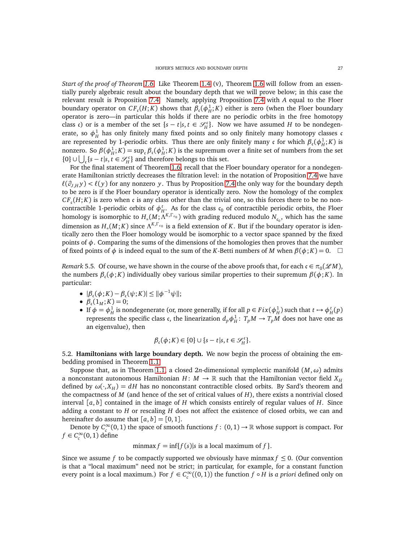*Start of the proof of Theorem [1.6.](#page-8-0)* Like Theorem [1.4](#page-7-1) (v), Theorem [1.6](#page-8-0) will follow from an essentially purely algebraic result about the boundary depth that we will prove below; in this case the relevant result is Proposition [7.4.](#page-45-0) Namely, applying Proposition [7.4](#page-45-0) with *A* equal to the Floer boundary operator on  $CF_c(H; K)$  shows that  $\beta_c(\phi_H^1; K)$  either is zero (when the Floer boundary operator is zero—in particular this holds if there are no periodic orbits in the free homotopy class c) or is a member of the set  $\{s - t | s, t \in \mathcal{S}_H^c\}$ . Now we have assumed *H* to be nondegenerate, so  $\phi_H^1$  has only finitely many fixed points and so only finitely many homotopy classes c are represented by 1-periodic orbits. Thus there are only finitely many c for which  $\beta_c(\phi_H^1; K)$  is nonzero. So  $\beta(\phi_H^1; K) = \sup_{\mathfrak{c}} \beta_{\mathfrak{c}}(\phi_H^1; K)$  is the supremum over a finite set of numbers from the set {0} ∪  $\bigcup_{\zeta}$ {*s* − *t*|*s*, *t* ∈  $\mathcal{S}_H^c$ } and therefore belongs to this set.

For the final statement of Theorem [1.6,](#page-8-0) recall that the Floer boundary operator for a nondegenerate Hamiltonian strictly decreases the filtration level: in the notation of Proposition [7.4](#page-45-0) we have  $\ell(\partial_{JH} y) < \ell(y)$  for any nonzero *y*. Thus by Proposition [7.4](#page-45-0) the only way for the boundary depth to be zero is if the Floer boundary operator is identically zero. Now the homology of the complex  $CF_c(H; K)$  is zero when c is any class other than the trivial one, so this forces there to be no noncontractible 1-periodic orbits of  $\phi_H^t$ . As for the class  $\mathfrak{c}_0$  of contractible periodic orbits, the Floer homology is isomorphic to  $H_*(M; \Lambda^{K,\Gamma_{\mathfrak{c}_0}})$  with grading reduced modulo  $N_{\mathfrak{c}_0}$ , which has the same dimension as  $H_*(M; K)$  since  $\Lambda^{K,\Gamma_{\mathfrak{c}_0}}$  is a field extension of *K*. But if the boundary operator is identically zero then the Floer homology would be isomorphic to a vector space spanned by the fixed points of  $\phi$ . Comparing the sums of the dimensions of the homologies then proves that the number of fixed points of  $\phi$  is indeed equal to the sum of the *K*-Betti numbers of *M* when  $\beta(\phi; K) = 0$ .  $\Box$ 

<span id="page-26-1"></span>*Remark* 5.5. Of course, we have shown in the course of the above proofs that, for each  $\mathfrak{c} \in \pi_0(\mathscr{L}M)$ , the numbers *β*<sup>c</sup> (*φ*; *K*) individually obey various similar properties to their supremum *β*(*φ*; *K*). In particular:

- $|\beta_c(\phi; K) \beta_c(\psi; K)|$  ≤  $||\phi^{-1}\psi||;$
- $\beta_c(1_M; K) = 0;$
- If  $\phi = \phi_H^1$  is nondegenerate (or, more generally, if for all  $p \in Fix(\phi_H^1)$  such that  $t \mapsto \phi_H^t(p)$ represents the specific class c, the linearization  $d_p \phi_H^1$ :  $T_p M \to T_p M$  does not have one as an eigenvalue), then

$$
\beta_{\mathfrak{c}}(\phi;K) \in \{0\} \cup \{s-t|s,t \in \mathscr{S}_H^{\mathfrak{c}}\}.
$$

<span id="page-26-0"></span>5.2. **Hamiltonians with large boundary depth.** We now begin the process of obtaining the embedding promised in Theorem [1.1](#page-1-0)

Suppose that, as in Theorem [1.1,](#page-1-0) a closed 2*n*-dimensional symplectic manifold  $(M, \omega)$  admits a nonconstant autonomous Hamiltonian *H* :  $M \to \mathbb{R}$  such that the Hamiltonian vector field  $X_H$ defined by  $\omega(\cdot, X_H) = dH$  has no nonconstant contractible closed orbits. By Sard's theorem and the compactness of *M* (and hence of the set of critical values of *H*), there exists a nontrivial closed interval [*a*, *b*] contained in the image of *H* which consists entirely of regular values of *H*. Since adding a constant to *H* or rescaling *H* does not affect the existence of closed orbits, we can and hereinafter do assume that  $[a, b] = [0, 1]$ .

Denote by  $C_c^{\infty}(0,1)$  the space of smooth functions  $f: (0,1) \to \mathbb{R}$  whose support is compact. For  $f \in C_c^{\infty}(0, 1)$  define

minmax  $f = \inf\{f(s)|s \text{ is a local maximum of } f\}.$ 

Since we assume *f* to be compactly supported we obviously have minmax  $f \leq 0$ . (Our convention is that a "local maximum" need not be strict; in particular, for example, for a constant function every point is a local maximum.) For  $f \in C_c^{\infty}((0,1))$  the function  $f \circ H$  is *a priori* defined only on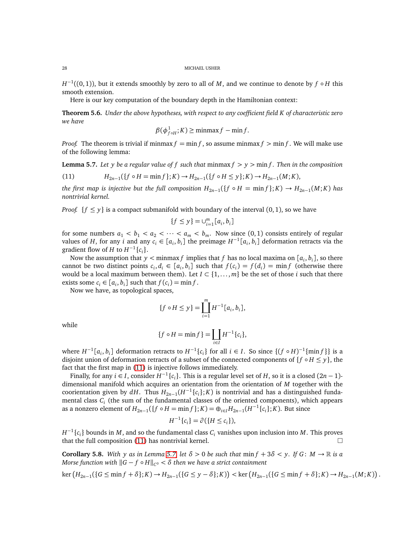*H*<sup>-1</sup>((0, 1)), but it extends smoothly by zero to all of *M*, and we continue to denote by *f* ◦ *H* this smooth extension.

Here is our key computation of the boundary depth in the Hamiltonian context:

<span id="page-27-0"></span>**Theorem 5.6.** *Under the above hypotheses, with respect to any coefficient field K of characteristic zero we have*

$$
\beta(\phi_{f \circ H}^1; K) \ge \min\max f - \min f.
$$

*Proof.* The theorem is trivial if minmax  $f = \min f$ , so assume minmax  $f > \min f$ . We will make use of the following lemma:

<span id="page-27-2"></span>**Lemma 5.7.** Let y be a regular value of f such that  $\min\{f > y > \min\{f\}$ . Then in the composition

<span id="page-27-1"></span>(11) 
$$
H_{2n-1}(\{f \circ H = \min f\}; K) \to H_{2n-1}(\{f \circ H \leq y\}; K) \to H_{2n-1}(M; K),
$$

*the first map is injective but the full composition*  $H_{2n-1}(\{f \circ H = \min f\}; K) \to H_{2n-1}(M; K)$  *has nontrivial kernel.*

*Proof.*  $\{f \leq y\}$  is a compact submanifold with boundary of the interval  $(0, 1)$ , so we have

$$
\{f \le y\} = \cup_{i=1}^m [a_i, b_i]
$$

for some numbers  $a_1 < b_1 < a_2 < \cdots < a_m < b_m$ . Now since (0,1) consists entirely of regular values of *H*, for any *i* and any  $c_i \in [a_i, b_i]$  the preimage  $H^{-1}[a_i, b_i]$  deformation retracts via the gradient flow of *H* to  $H^{-1}\{c_i\}$ .

Now the assumption that  $y <$  minmax  $f$  implies that  $f$  has no local maxima on  $[a_i, b_i]$ , so there cannot be two distinct points  $c_i, d_i \in [a_i, b_i]$  such that  $f(c_i) = f(d_i) = \min f$  (otherwise there would be a local maximum between them). Let  $I \subset \{1, \ldots, m\}$  be the set of those *i* such that there exists some  $c_i \in [a_i, b_i]$  such that  $f(c_i) = \min f$ .

Now we have, as topological spaces,

$$
\{f \circ H \le y\} = \coprod_{i=1}^{m} H^{-1}[a_i, b_i],
$$

while

$$
\{f \circ H = \min f\} = \coprod_{i \in I} H^{-1} \{c_i\},\
$$

where  $H^{-1}[a_i, b_i]$  deformation retracts to  $H^{-1}\{c_i\}$  for all  $i \in I$ . So since  $\{(f \circ H)^{-1}\{\min f\}\}$  is a disjoint union of deformation retracts of a subset of the connected components of  $\{f \circ H \leq y\}$ , the fact that the first map in [\(11\)](#page-27-1) is injective follows immediately.

Finally, for any  $i \in I$ , consider  $H^{-1}\{c_i\}$ . This is a regular level set of  $H$ , so it is a closed  $(2n - 1)$ dimensional manifold which acquires an orientation from the orientation of *M* together with the coorientation given by  $dH$ . Thus  $H_{2n-1}(H^{-1}\{c_i\}; K)$  is nontrivial and has a distinguished fundamental class *C<sup>i</sup>* (the sum of the fundamental classes of the oriented components), which appears as a nonzero element of  $H_{2n-1}(\{f \circ H = \min f\}; K) = \bigoplus_{i \in I} H_{2n-1}(H^{-1}\{c_i\}; K)$ . But since

$$
H^{-1}\{c_i\} = \partial (\{H \le c_i\}),
$$

*H*  $^{-1}\{c_i\}$  bounds in *M* , and so the fundamental class  $C_i$  vanishes upon inclusion into *M* . This proves that the full composition [\(11\)](#page-27-1) has nontrivial kernel.  $\Box$ 

<span id="page-27-3"></span>**Corollary 5.8.** With y as in Lemma [5.7,](#page-27-2) let  $\delta > 0$  be such that  $\min f + 3\delta < y$ . If  $G : M \to \mathbb{R}$  is a *Morse function with* k*G* − *f* ◦ *H*k*<sup>C</sup>* <sup>0</sup> *< δ then we have a strict containment*

$$
\ker (H_{2n-1}(\{G \le \min f + \delta\}; K) \to H_{2n-1}(\{G \le y - \delta\}; K)) < \ker (H_{2n-1}(\{G \le \min f + \delta\}; K) \to H_{2n-1}(M; K))
$$

.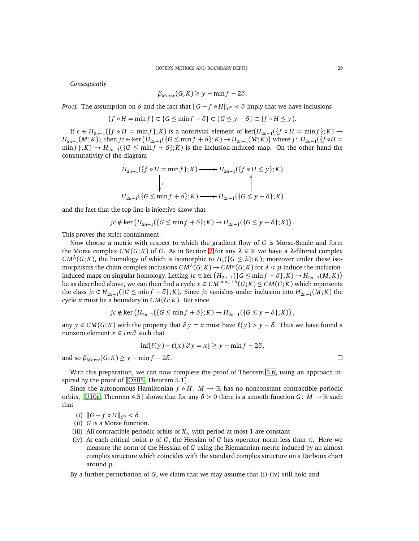*Consequently*

$$
\beta_{Morse}(G;K) \ge y - \min f - 2\delta.
$$

*Proof.* The assumption on  $\delta$  and the fact that  $||G - f \circ H||_{C^0} < \delta$  imply that we have inclusions

$$
\{f \circ H = \min f\} \subset \{G \le \min f + \delta\} \subset \{G \le y - \delta\} \subset \{f \circ H \le y\}.
$$

If  $c ∈ H_{2n-1}(\{f ∘ H = min f\}; K)$  is a nontrivial element of ker( $H_{2n-1}(\{f ∘ H = min f\}; K)$  →  $H_{2n-1}(M;K)$ ), then  $jc \in \ker (H_{2n-1}(\{G \le \min f + \delta\}; K) \to H_{2n-1}(M;K))$  where  $j: H_{2n-1}(\{f \circ H =$  $\min f$ ; *K*)  $\rightarrow$   $H_{2n-1}$ ({*G*  $\leq$  min *f* + *δ*}; *K*) is the inclusion-induced map. On the other hand the commutativity of the diagram

$$
H_{2n-1}(\lbrace f \circ H = \min f \rbrace; K) \longrightarrow H_{2n-1}(\lbrace f \circ H \le y \rbrace; K)
$$
\n
$$
\downarrow j
$$
\n
$$
H_{2n-1}(\lbrace G \le \min f + \delta \rbrace; K) \longrightarrow H_{2n-1}(\lbrace G \le y - \delta \rbrace; K)
$$

and the fact that the top line is injective show that

$$
jc \notin \ker \left(H_{2n-1}(\lbrace G \leq \min f+\delta\rbrace; K) \to H_{2n-1}(\lbrace G \leq y-\delta\rbrace; K)\right).
$$

This proves the strict containment.

Now choose a metric with respect to which the gradient flow of *G* is Morse-Smale and form the Morse complex *CM*(*G*; *K*) of *G*. As in Section [2](#page-11-0) for any  $\lambda \in \mathbb{R}$  we have a  $\lambda$ -filtered complex  $CM^{\lambda}(G;K)$ , the homology of which is isomorphic to  $H_*(\{G \leq \lambda\};K)$ ; moreover under these isomorphisms the chain complex inclusions  $CM^{\lambda}(G;K) \to CM^{\mu}(G;K)$  for  $\lambda < \mu$  induce the inclusioninduced maps on singular homology. Letting  $jc \in \text{ker} (H_{2n-1}(\{G \leq \min f + \delta\}; K) \to H_{2n-1}(M; K))$ be as described above, we can then find a cycle  $x \in CM^{\min f + \delta}(G;K) \leq CM(G;K)$  which represents the class *jc* ∈ *H*<sub>2*n*−1</sub>({*G* ≤ min *f* + *δ*}; *K*). Since *jc* vanishes under inclusion into *H*<sub>2*n*−1</sub>(*M*; *K*) the cycle *x* must be a boundary in *CM*(*G*; *K*). But since

$$
jc \notin \ker \left(H_{2n-1}(\{G \le \min f + \delta\}; K) \to H_{2n-1}(\{G \le y - \delta\}; K)\right),
$$

any  $y \in CM(G; K)$  with the property that  $\partial y = x$  must have  $\ell(y) > y - \delta$ . Thus we have found a nonzero element *x* ∈ *Im∂* such that

$$
\inf \{ \ell(y) - \ell(x) | \partial y = x \} \ge y - \min f - 2\delta,
$$

and so  $\beta_{Morse}(G; K) \geq y - \min f - 2\delta$ .

With this preparation, we can now complete the proof of Theorem [5.6,](#page-27-0) using an approach in-spired by the proof of [[Oh05,](#page-61-23) Theorem 5.1].

Since the autonomous Hamiltonian  $f \circ H : M \to \mathbb{R}$  has no nonconstant contractible periodic orbits, [[U10a,](#page-61-10) Theorem 4.5] shows that for any  $\delta > 0$  there is a smooth function *G*: *M*  $\rightarrow \mathbb{R}$  such that

(i)  $||G - f ∘ H||_{C^{0}} < δ$ .

(ii) 
$$
G
$$
 is a Morse function.

- (iii) All contractible periodic orbits of  $X_G$  with period at most 1 are constant.
- (iv) At each critical point *p* of *G*, the Hessian of *G* has operator norm less than  $\pi$ . Here we measure the norm of the Hessian of *G* using the Riemannian metric induced by an almost complex structure which coincides with the standard complex structure on a Darboux chart around *p*.

By a further perturbation of *G*, we claim that we may assume that (i)-(iv) still hold and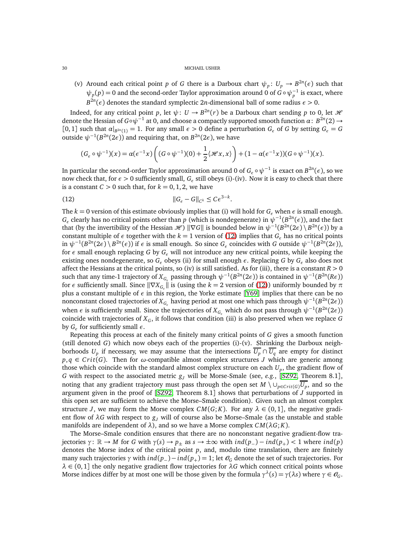(v) Around each critical point *p* of *G* there is a Darboux chart  $\psi_p: U_p \to B^{2n}(\epsilon)$  such that  $\psi_p(p) = 0$  and the second-order Taylor approximation around 0 of  $G \circ \psi_p^{-1}$  is exact, where *B*<sup>2*n*</sup>( $\epsilon$ ) denotes the standard symplectic 2*n*-dimensional ball of some radius  $\epsilon$  > 0.

Indeed, for any critical point *p*, let  $\psi: U \to B^{2n}(r)$  be a Darboux chart sending *p* to 0, let *H* denote the Hessian of  $G\circ \psi^{-1}$  at 0, and choose a compactly supported smooth function  $\alpha\colon B^{2n}(2)\to$ [0, 1] such that  $\alpha|_{B^{2n}(1)} = 1$ . For any small  $\epsilon > 0$  define a perturbation  $G_{\epsilon}$  of G by setting  $G_{\epsilon} = G$ outside  $\psi^{-1}(B^{2n}(2\epsilon))$  and requiring that, on  $B^{2n}(2\epsilon)$ , we have

<span id="page-29-0"></span>
$$
(G_{\epsilon} \circ \psi^{-1})(x) = \alpha(\epsilon^{-1}x) \left( (G \circ \psi^{-1})(0) + \frac{1}{2} \langle \mathcal{H}x, x \rangle \right) + (1 - \alpha(\epsilon^{-1}x))(G \circ \psi^{-1})(x).
$$

In particular the second-order Taylor approximation around 0 of  $G_\epsilon\circ\psi^{-1}$  is exact on  $B^{2n}(\epsilon),$  so we now check that, for  $\epsilon > 0$  sufficiently small,  $G_{\epsilon}$  still obeys (i)-(iv). Now it is easy to check that there is a constant  $C > 0$  such that, for  $k = 0, 1, 2$ , we have

$$
\|G_{\epsilon} - G\|_{C^k} \leq C \epsilon^{3-k}.
$$

The  $k = 0$  version of this estimate obviously implies that (i) will hold for  $G_e$  when  $\epsilon$  is small enough.  $G_\epsilon$  clearly has no critical points other than *p* (which is nondegenerate) in  $\psi^{-1}(B^{2n}(\epsilon))$ , and the fact that (by the invertibility of the Hessian  $\mathcal{H}$ )  $\|\nabla G\|$  is bounded below in  $\psi^{-1}(B^{2n}(2\epsilon) \setminus B^{2n}(\epsilon))$  by a constant multiple of  $\epsilon$  together with the  $k = 1$  version of [\(12\)](#page-29-0) implies that  $G_{\epsilon}$  has no critical points in  $\psi^{-1}(B^{2n}(2\epsilon) \setminus B^{2n}(\epsilon))$  if  $\epsilon$  is small enough. So since  $G_{\epsilon}$  coincides with *G* outside  $\psi^{-1}(B^{2n}(2\epsilon))$ , for *ε* small enough replacing *G* by *G<sup>ε</sup>* will not introduce any new critical points, while keeping the existing ones nondegenerate, so *G<sup>ε</sup>* obeys (ii) for small enough *ε*. Replacing *G* by *G<sup>ε</sup>* also does not affect the Hessians at the critical points, so (iv) is still satisfied. As for (iii), there is a constant *R >* 0 such that any time-1 trajectory of  $X_{G_\epsilon}$  passing through  $\psi^{-1}(B^{2n}(2\epsilon))$  is contained in  $\psi^{-1}(B^{2n}(R\epsilon))$ for *ε* sufficiently small. Since  $\|\nabla X_{G_{\epsilon}}\|$  is (using the  $k = 2$  version of [\(12\)](#page-29-0)) uniformly bounded by  $\pi$ plus a constant multiple of *ε* in this region, the Yorke estimate [[Y69](#page-61-24)] implies that there can be no nonconstant closed trajectories of  $X_{G_\epsilon}$  having period at most one which pass through  $\psi^{-1}(B^{2n}(2\epsilon))$ when  $\epsilon$  is sufficiently small. Since the trajectories of  $X_{G_{\epsilon}}$  which do not pass through  $\psi^{-1}(B^{2n}(2\epsilon))$ coincide with trajectories of *XG*, it follows that condition (iii) is also preserved when we replace *G* by *G<sup>ε</sup>* for sufficiently small *ε*.

Repeating this process at each of the finitely many critical points of *G* gives a smooth function (still denoted *G*) which now obeys each of the properties (i)-(v). Shrinking the Darboux neighborhoods  $U_p$  if necessary, we may assume that the intersections  $U_p \cap U_q$  are empty for distinct  $p, q \in Crit(G)$ . Then for  $\omega$ -compatible almost complex structures *J* which are generic among those which coincide with the standard almost complex structure on each *U<sup>p</sup>* , the gradient flow of *G* with respect to the associated metric *g<sup>J</sup>* will be Morse-Smale (see, *e.g.*, [[SZ92,](#page-61-25) Theorem 8.1], noting that any gradient trajectory must pass through the open set  $M \setminus \cup_{p \in Crit(G)} U_p$ , and so the argument given in the proof of [[SZ92,](#page-61-25) Theorem 8.1] shows that perturbations of *J* supported in this open set are sufficient to achieve the Morse–Smale condition). Given such an almost complex structure *J*, we may form the Morse complex  $CM(G; K)$ . For any  $\lambda \in (0, 1]$ , the negative gradient flow of  $\lambda G$  with respect to  $g<sub>J</sub>$  will of course also be Morse–Smale (as the unstable and stable manifolds are independent of *λ*), and so we have a Morse complex *CM*(*λG*; *K*).

The Morse–Smale condition ensures that there are no nonconstant negative gradient-flow tra- $\phi$  *jectories*  $\gamma: \mathbb{R} \to M$  for *G* with  $\gamma(s) \to p_{\pm}$  as  $s \to \pm \infty$  with  $\text{ind}(p_{-}) - \text{ind}(p_{+}) < 1$  where  $\text{ind}(p)$ denotes the Morse index of the critical point *p*, and, modulo time translation, there are finitely many such trajectories  $\gamma$  with  $ind(p_{-})-ind(p_{+})=1$ ; let  $\mathcal{O}_G$  denote the set of such trajectories. For  $\lambda \in (0,1]$  the only negative gradient flow trajectories for  $\lambda G$  which connect critical points whose Morse indices differ by at most one will be those given by the formula  $\gamma^{\lambda}(s) = \gamma(\lambda s)$  where  $\gamma \in \mathcal{O}_G$ .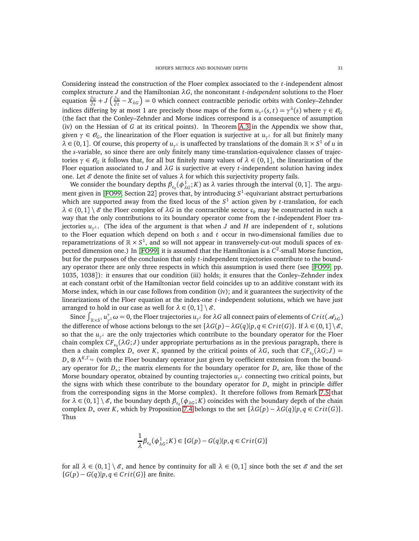Considering instead the construction of the Floer complex associated to the *t*-independent almost complex structure *J* and the Hamiltonian *λG*, the nonconstant *t*-*independent* solutions to the Floer equation  $\frac{\partial u}{\partial s} + J\left(\frac{\partial u}{\partial t}\right)$  $\frac{\partial u}{\partial t} - X_{\lambda G}$ ) = 0 which connect contractible periodic orbits with Conley–Zehnder indices differing by at most 1 are precisely those maps of the form  $u_{\gamma^{\lambda}}(s,t) = \gamma^{\lambda}(s)$  where  $\gamma \in \mathcal{O}_G$ (the fact that the Conley–Zehnder and Morse indices correspond is a consequence of assumption (iv) on the Hessian of *G* at its critical points). In Theorem [A.3](#page-57-0) in the Appendix we show that, given  $\gamma \in \mathcal{O}_G$ , the linearization of the Floer equation is surjective at  $u_{\gamma^{\lambda}}$  for all but finitely many  $\lambda \in (0,1]$ . Of course, this property of  $u_{\gamma^{\lambda}}$  is unaffected by translations of the domain  $\mathbb{R} \times S^1$  of *u* in the *s*-variable, so since there are only finitely many time-translation-equivalence classes of trajectories *γ* ∈  $\mathcal{O}_G$  it follows that, for all but finitely many values of  $\lambda \in (0,1]$ , the linearization of the Floer equation associated to *J* and *λG* is surjective at every *t*-independent solution having index one. Let  $\mathcal E$  denote the finite set of values  $\lambda$  for which this surjectivity property fails.

We consider the boundary depths  $\beta_{c_0}(\phi_{\lambda G}^1;K)$  as  $\lambda$  varies through the interval  $(0,1]$ . The argument given in [[FO99,](#page-60-15) Section 22] proves that, by introducing *S* 1 -equivariant abstract perturbations which are supported away from the fixed locus of the  $S<sup>1</sup>$  action given by *t*-translation, for each  $\lambda \in (0,1] \setminus \mathscr{E}$  the Floer complex of  $\lambda G$  in the contractible sector  $c_0$  may be constructed in such a way that the only contributions to its boundary operator come from the *t*-independent Floer trajectories *u<sup>γ</sup> <sup>λ</sup>* . (The idea of the argument is that when *J* and *H* are independent of *t*, solutions to the Floer equation which depend on both *s* and *t* occur in two-dimensional families due to reparametrizations of  $\mathbb{R} \times S^1$ , and so will not appear in transversely-cut-out moduli spaces of ex-pected dimension one.) In [[FO99](#page-60-15)] it is assumed that the Hamiltonian is a  $C^2$ -small Morse function, but for the purposes of the conclusion that only *t*-independent trajectories contribute to the boundary operator there are only three respects in which this assumption is used there (see [[FO99,](#page-60-15) pp. 1035, 1038]): it ensures that our condition (iii) holds; it ensures that the Conley–Zehnder index at each constant orbit of the Hamiltonian vector field coincides up to an additive constant with its Morse index, which in our case follows from condition (iv); and it guarantees the surjectivity of the linearizations of the Floer equation at the index-one *t*-independent solutions, which we have just arranged to hold in our case as well for  $\lambda \in (0,1] \setminus \mathcal{E}$ .

Since  $\int_{\mathbb{R}\times S^1} u^*_{\gamma}$ *γ*<sup>λ</sup>  $\omega$  = 0, the Floer trajectories  $u_{\gamma^\lambda}$  for  $\lambda G$  all connect pairs of elements of  $Crit(\mathscr{A}_{\lambda G})$ the difference of whose actions belongs to the set  $\{\lambda G(p) - \lambda G(q)|p, q \in Crit(G)\}$ . If  $\lambda \in (0,1] \setminus \mathscr{E}$ , so that the *u<sup>γ</sup> <sup>λ</sup>* are the only trajectories which contribute to the boundary operator for the Floer chain complex  $CF_{c_0}(\lambda G; J)$  under appropriate perturbations as in the previous paragraph, there is then a chain complex  $D_*$  over *K*, spanned by the critical points of  $\lambda G$ , such that  $CF_{c_0}(\lambda G; J)$  = *D*<sub>∗</sub> ⊗ Λ<sup>K,Γ</sup><sub>°</sub> (with the Floer boundary operator just given by coefficient extension from the boundary operator for *D*<sup>∗</sup> ; the matrix elements for the boundary operator for *D*<sup>∗</sup> are, like those of the Morse boundary operator, obtained by counting trajectories *u<sup>γ</sup> <sup>λ</sup>* connecting two critical points, but the signs with which these contribute to the boundary operator for *D*<sup>∗</sup> might in principle differ from the corresponding signs in the Morse complex). It therefore follows from Remark [7.5](#page-47-1) that for  $\lambda \in (0,1] \setminus \mathscr{E}$ , the boundary depth  $\beta_{\epsilon_0}(\phi_{\lambda G}; K)$  coincides with the boundary depth of the chain complex  $D_*$  over *K*, which by Proposition [7.4](#page-45-0) belongs to the set  $\{\lambda G(p) - \lambda G(q)|p, q \in Crit(G)\}$ . Thus

$$
\frac{1}{\lambda}\beta_{\mathfrak{c}_0}(\phi_{\lambda G}^1;K) \in \{G(p) - G(q)|p,q \in Crit(G)\}
$$

for all  $\lambda \in (0,1] \setminus \mathcal{E}$ , and hence by continuity for all  $\lambda \in (0,1]$  since both the set  $\mathcal{E}$  and the set { $G(p) − G(q)$ | $p, q ∈ Crit(G)$ } are finite.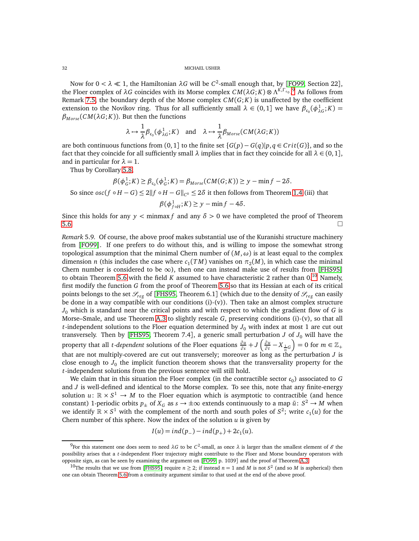Now for  $0 < \lambda \ll 1$ , the Hamiltonian  $\lambda G$  will be  $C^2$ -small enough that, by [[FO99,](#page-60-15) Section 22], the Floer complex of  $\lambda G$  coincides with its Morse complex  $CM(\lambda G; K) \otimes \Lambda^{K,\Gamma_{c_0}}$ .<sup>[9](#page-31-0)</sup> As follows from Remark [7.5,](#page-47-1) the boundary depth of the Morse complex  $CM(G; K)$  is unaffected by the coefficient extension to the Novikov ring. Thus for all sufficiently small  $\lambda \in (0,1]$  we have  $\beta_{c_0}(\phi_{\lambda G}^1;K)$  $\beta_{Morse}(CM(\lambda G; K))$ . But then the functions

$$
\lambda \mapsto \frac{1}{\lambda} \beta_{c_0}(\phi_{\lambda G}^1; K)
$$
 and  $\lambda \mapsto \frac{1}{\lambda} \beta_{Morse}(CM(\lambda G; K))$ 

are both continuous functions from  $(0, 1]$  to the finite set  $\{G(p) - G(q)|p, q \in Crit(G)\}$ , and so the fact that they coincide for all sufficiently small  $\lambda$  implies that in fact they coincide for all  $\lambda \in (0, 1]$ , and in particular for  $\lambda = 1$ .

Thus by Corollary [5.8,](#page-27-3)

$$
\beta(\phi_G^1; K) \ge \beta_{c_0}(\phi_G^1; K) = \beta_{Morse}(CM(G; K)) \ge y - \min f - 2\delta.
$$

So since  $osc(f \circ H - G) \leq 2||f \circ H - G||_{C^0} \leq 2\delta$  it then follows from Theorem [1.4](#page-7-1) (iii) that

$$
\beta(\phi_{f\circ H}^1;K)\geq y-\min f-4\delta.
$$

Since this holds for any  $y <$  minmax f and any  $\delta > 0$  we have completed the proof of Theorem  $5.6.$ 

*Remark* 5.9*.* Of course, the above proof makes substantial use of the Kuranishi structure machinery from [[FO99](#page-60-15)]. If one prefers to do without this, and is willing to impose the somewhat strong topological assumption that the minimal Chern number of (*M*,*ω*) is at least equal to the complex dimension *n* (this includes the case where  $c_1(TM)$  vanishes on  $\pi_2(M)$ , in which case the minimal Chern number is considered to be  $\infty$ ), then one can instead make use of results from [[FHS95](#page-60-26)] to obtain Theorem [5.6](#page-27-0) with the field  $K$  assumed to have characteristic 2 rather than  $0.10$  $0.10$  Namely, first modify the function *G* from the proof of Theorem [5.6](#page-27-0) so that its Hessian at each of its critical points belongs to the set  $\mathcal{S}_{reg}$  of [[FHS95,](#page-60-26) Theorem 6.1] (which due to the density of  $\mathcal{S}_{reg}$  can easily be done in a way compatible with our conditions  $(i)-(v)$ . Then take an almost complex structure *J*<sup>0</sup> which is standard near the critical points and with respect to which the gradient flow of *G* is Morse–Smale, and use Theorem [A.3](#page-57-0) to slightly rescale *G*, preserving conditions (i)-(v), so that all *t*-independent solutions to the Floer equation determined by  $J_0$  with index at most 1 are cut out transversely. Then by [[FHS95,](#page-60-26) Theorem 7.4], a generic small perturbation  $J$  of  $J_0$  will have the property that all *t*-*dependent* solutions of the Floer equations  $\frac{\partial u}{\partial s} + J\left(\frac{\partial u}{\partial t}\right)$  $\frac{\partial u}{\partial t} - X_{\frac{1}{m}G}$  = 0 for  $m \in \mathbb{Z}_+$ that are not multiply-covered are cut out transversely; moreover as long as the perturbation *J* is close enough to  $J_0$  the implicit function theorem shows that the transversality property for the *t*-independent solutions from the previous sentence will still hold.

We claim that in this situation the Floer complex (in the contractible sector  $c_0$ ) associated to  $G$ and *J* is well-defined and identical to the Morse complex. To see this, note that any finite-energy solution  $u: \mathbb{R} \times S^1 \to M$  to the Floer equation which is asymptotic to contractible (and hence constant) 1-periodic orbits  $p_{\pm}$  of  $X_G$  as  $s \to \pm \infty$  extends continuously to a map  $\bar{u}: S^2 \to M$  when we identify  $\mathbb{R} \times S^1$  with the complement of the north and south poles of  $S^2$ ; write  $c_1(u)$  for the Chern number of this sphere. Now the index of the solution *u* is given by

$$
I(u) = ind(p_-) - ind(p_+) + 2c_1(u).
$$

<span id="page-31-0"></span><sup>&</sup>lt;sup>9</sup> For this statement one does seem to need λ*G* to be *C*<sup>2</sup>-small, as once λ is larger than the smallest element of *&* the possibility arises that a *t*-independent Floer trajectory might contribute to the Floer and Morse boundary operators with opposite sign, as can be seen by examining the argument on [[FO99,](#page-60-15) p. 1039] and the proof of Theorem [A.3.](#page-57-0)

<span id="page-31-1"></span><sup>&</sup>lt;sup>10</sup>The results that we use from [[FHS95](#page-60-26)] require  $n \geq 2$ ; if instead  $n = 1$  and *M* is not  $S^2$  (and so *M* is aspherical) then one can obtain Theorem [5.6](#page-27-0) from a continuity argument similar to that used at the end of the above proof.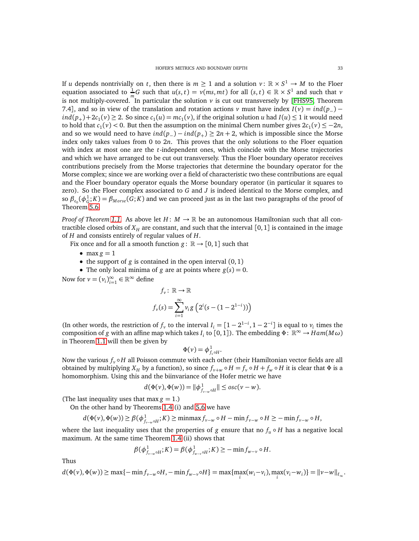If *u* depends nontrivially on *t*, then there is  $m \geq 1$  and a solution  $v : \mathbb{R} \times S^1 \to M$  to the Floer equation associated to  $\frac{1}{m}G$  such that  $u(s, t) = v(ms, mt)$  for all  $(s, t) \in \mathbb{R} \times S^1$  and such that *v* is not multiply-covered. In particular the solution  $\nu$  is cut out transversely by [[FHS95,](#page-60-26) Theorem 7.4], and so in view of the translation and rotation actions *v* must have index  $I(v) = ind(p_{-})$  $ind(p_+) + 2c_1(v) \ge 2$ . So since  $c_1(u) = mc_1(v)$ , if the original solution *u* had  $I(u) \le 1$  it would need to hold that  $c_1(v) < 0$ . But then the assumption on the minimal Chern number gives  $2c_1(v) \leq -2n$ , and so we would need to have  $ind(p_{-}) - ind(p_{+}) \geq 2n + 2$ , which is impossible since the Morse index only takes values from 0 to 2*n*. This proves that the only solutions to the Floer equation with index at most one are the *t*-independent ones, which coincide with the Morse trajectories and which we have arranged to be cut out transversely. Thus the Floer boundary operator receives contributions precisely from the Morse trajectories that determine the boundary operator for the Morse complex; since we are working over a field of characteristic two these contributions are equal and the Floer boundary operator equals the Morse boundary operator (in particular it squares to zero). So the Floer complex associated to *G* and *J* is indeed identical to the Morse complex, and so  $\beta_{c_0}(\phi_G^1;K) = \beta_{Morse}(G;K)$  and we can proceed just as in the last two paragraphs of the proof of Theorem [5.6.](#page-27-0)

*Proof of Theorem* [1.1.](#page-1-0) As above let  $H: M \to \mathbb{R}$  be an autonomous Hamiltonian such that all contractible closed orbits of  $X_H$  are constant, and such that the interval [0, 1] is contained in the image of *H* and consists entirely of regular values of *H*.

Fix once and for all a smooth function  $g: \mathbb{R} \to [0,1]$  such that

- max  $g = 1$
- the support of  $g$  is contained in the open interval  $(0, 1)$
- The only local minima of *g* are at points where  $g(s) = 0$ .

Now for  $v = (v_i)_{i=1}^{\infty} \in \mathbb{R}^{\infty}$  define

$$
f_v: \mathbb{R} \to \mathbb{R}
$$
  

$$
f_v(s) = \sum_{i=1}^{\infty} v_i g\left(2^i (s - (1 - 2^{1-i}))\right)
$$

(In other words, the restriction of  $f_\nu$  to the interval  $I_i = [1 - 2^{1-i}, 1 - 2^{-i}]$  is equal to  $v_i$  times the composition of *g* with an affine map which takes  $I_i$  to [0, 1]). The embedding  $\Phi: \mathbb{R}^{\infty} \to Ham(M\omega)$ in Theorem [1.1](#page-1-0) will then be given by

$$
\Phi(\nu) = \phi_{f_{\nu} \circ H}^1.
$$

Now the various  $f_v \circ H$  all Poisson commute with each other (their Hamiltonian vector fields are all obtained by multiplying  $X_H$  by a function), so since  $f_{\nu+w} \circ H = f_{\nu} \circ H + f_w \circ H$  it is clear that  $\Phi$  is a homomorphism. Using this and the biinvariance of the Hofer metric we have

$$
d(\Phi(v), \Phi(w)) = ||\phi_{f_{v-w} \circ H}^1|| \leq osc(v - w).
$$

(The last inequality uses that max  $g = 1$ .)

On the other hand by Theorems [1.4](#page-7-1) (i) and [5.6](#page-27-0) we have

$$
d(\Phi(v), \Phi(w)) \ge \beta(\phi_{f_{v-w} \circ H}^1; K) \ge \min\max f_{v-w} \circ H - \min f_{v-w} \circ H \ge -\min f_{v-w} \circ H,
$$

where the last inequality uses that the properties of *g* ensure that no  $f_u \circ H$  has a negative local maximum. At the same time Theorem [1.4](#page-7-1) (ii) shows that

$$
\beta(\phi_{f_{\nu-w}\circ H}^1; K) = \beta(\phi_{f_{w-v}\circ H}^1; K) \geq -\min f_{w-v} \circ H.
$$

Thus

 $d(\Phi(v), \Phi(w)) \ge \max\{-\min f_{v-w} \circ H, -\min f_{w-v} \circ H\} = \max\{\max_i (w_i - v_i), \max_i (v_i - w_i)\} = ||v - w||_{\ell_{\infty}}.$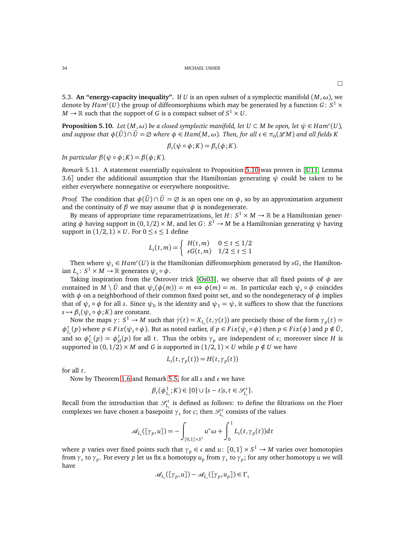5.3. An "energy-capacity inequality". If *U* is an open subset of a symplectic manifold  $(M, \omega)$ , we denote by  $Ham^c(U)$  the group of diffeomorphisms which may be generated by a function  $G: S^1 \times$  $M \to \mathbb{R}$  such that the support of  $G$  is a compact subset of  $S^1 \times U.$ 

<span id="page-33-0"></span>**Proposition 5.10.** *Let*  $(M, \omega)$  *be a closed symplectic manifold, let*  $U \subset M$  *be open, let*  $\psi \in Ham^c(U)$ *,*  $a$ nd suppose that  $\phi(\bar{U}) \cap \bar{U} = \varnothing$  where  $\phi \in Ham(M, \omega)$ . Then, for all  $\mathfrak{c} \in \pi_0(\mathscr{L}M)$  and all fields K

$$
\beta_{\mathfrak{c}}(\psi \circ \phi; K) = \beta_{\mathfrak{c}}(\phi; K).
$$

*In particular*  $\beta(\psi \circ \phi; K) = \beta(\phi; K)$ *.* 

*Remark* 5.11*.* A statement essentially equivalent to Proposition [5.10](#page-33-0) was proven in [[U11,](#page-61-11) Lemma 3.6] under the additional assumption that the Hamiltonian generating  $\psi$  could be taken to be either everywhere nonnegative or everywhere nonpositive.

*Proof.* The condition that  $\phi(\bar{U}) \cap \bar{U} = \emptyset$  is an open one on  $\phi$ , so by an approximation argument and the continuity of  $\beta$  we may assume that  $\phi$  is nondegenerate.

By means of appropriate time reparametrizations, let  $H: S^1 \times M \to \mathbb{R}$  be a Hamiltonian generating  $\phi$  having support in  $(0, 1/2) \times M$ , and let  $G: S^1 \to M$  be a Hamiltonian generating  $\psi$  having support in  $(1/2, 1) \times U$ . For  $0 \leq s \leq 1$  define

$$
L_s(t,m) = \begin{cases} H(t,m) & 0 \le t \le 1/2\\ sG(t,m) & 1/2 \le t \le 1 \end{cases}
$$

Then where  $\psi_s \in Ham^c(U)$  is the Hamiltonian diffeomorphism generated by  $sG$ , the Hamilton- $\text{tan } L_s: S^1 \times M \to \mathbb{R} \text{ generates } \psi_s \circ \phi.$ 

Taking inspiration from the Ostrover trick [[Os03](#page-61-7)], we observe that all fixed points of *φ* are contained in  $M \setminus \bar{U}$  and that  $\psi_s(\phi(m)) = m \Leftrightarrow \phi(m) = m$ . In particular each  $\psi_s \circ \phi$  coincides with  $\phi$  on a neighborhood of their common fixed point set, and so the nondegeneracy of  $\phi$  implies that of  $\psi_s \circ \phi$  for all *s*. Since  $\psi_0$  is the identity and  $\psi_1 = \psi$ , it suffices to show that the functions  $s \mapsto \beta_{\mathfrak{c}}(\psi_s \circ \phi; K)$  are constant.

Now the maps *γ*: *S*<sup>1</sup> → *M* such that *γ*(*t*) = *X*<sub>*L*</sub>(*t*,*γ*(*t*)) are precisely those of the form *γ*<sub>*p*</sub>(*t*) =  $\phi_{L_s}^t(p)$  where  $p \in Fix(\psi_s \circ \phi)$ . But as noted earlier, if  $p \in Fix(\psi_s \circ \phi)$  then  $p \in Fix(\phi)$  and  $p \notin \overline{U}$ , and so  $\phi_{L_s}^t(p) = \phi_H^t(p)$  for all *t*. Thus the orbits  $\gamma_p$  are independent of *s*; moreover since *H* is supported in  $(0, 1/2) \times M$  and *G* is supported in  $(1/2, 1) \times U$  while  $p \notin U$  we have

$$
L_s(t, \gamma_p(t)) = H(t, \gamma_p(t))
$$

for all *t*.

Now by Theorem [1.6](#page-8-0) and Remark [5.5,](#page-26-1) for all *s* and c we have

$$
\beta_{\mathfrak{c}}(\phi_{L_s}^1;K) \in \{0\} \cup \{s-t|s,t \in \mathcal{S}_{L_s}^{\mathfrak{c}}\}.
$$

Recall from the introduction that  $\mathscr{S}_L^{\mathfrak{c}}$  $\sum_{L_s}^{\infty}$  is defined as follows: to define the filtrations on the Floer complexes we have chosen a basepoint  $\gamma_c$  for *c*; then  $\mathcal{S}_t^c$ *Ls* consists of the values

$$
\mathscr{A}_{L_s}([\gamma_p, u]) = -\int_{[0,1]\times S^1} u^*\omega + \int_0^1 L_s(t, \gamma_p(t))dt
$$

where *p* varies over fixed points such that  $\gamma_p \in \mathfrak{c}$  and  $u: [0,1] \times S^1 \to M$  varies over homotopies from *γ*<sup>c</sup> to *γ<sup>p</sup>* . For every *p* let us fix a homotopy *u<sup>p</sup>* from *γ*<sup>c</sup> to *γ<sup>p</sup>* ; for any other homotopy *u* we will have

$$
\mathcal{A}_{L_s}([\gamma_p, u]) - \mathcal{A}_{L_s}([\gamma_p, u_p]) \in \Gamma_c
$$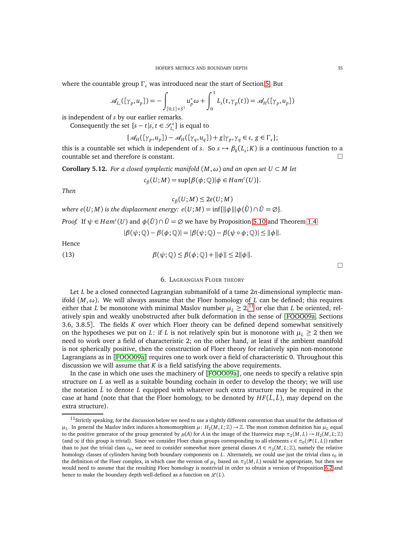where the countable group  $\Gamma_c$  was introduced near the start of Section [5.](#page-19-0) But

$$
\mathscr{A}_{L_s}([\gamma_p, u_p]) = -\int_{[0,1]\times S^1} u_p^*\omega + \int_0^1 L_s(t, \gamma_p(t)) = \mathscr{A}_H([\gamma_p, u_p])
$$

is independent of *s* by our earlier remarks.

Consequently the set  $\{s - t | s, t \in \mathcal{S}_{L_s}^c\}$  is equal to

$$
\{\mathcal{A}_H([\gamma_p,u_p])-\mathcal{A}_H([\gamma_q,u_q])+\mathfrak{g}| \gamma_p,\gamma_q\in\mathfrak{c},\,g\in\Gamma_\mathfrak{c}\};
$$

this is a countable set which is independent of *s*. So  $s \mapsto \beta_k(L_s; K)$  is a continuous function to a countable set and therefore is constant.

<span id="page-34-1"></span>**Corollary 5.12.** *For a closed symplectic manifold*  $(M, \omega)$  *and an open set*  $U \subset M$  *let* 

$$
c_{\beta}(U;M) = \sup{\{\beta(\phi;\mathbb{Q})|\phi\in Ham^c(U)\}}.
$$

*Then*

$$
c_{\beta}(U;M)\leq 2e(U;M)
$$

where 
$$
e(U;M)
$$
 is the displacement energy:  $e(U;M) = \inf\{\|\phi\| \|\phi(\bar{U}) \cap \bar{U} = \emptyset\}.$ 

*Proof.* If  $\psi \in Ham^c(U)$  and  $\phi(\bar{U}) \cap \bar{U} = \emptyset$  we have by Proposition [5.10](#page-33-0) and Theorem [1.4](#page-7-1)

$$
|\beta(\psi; \mathbb{Q}) - \beta(\phi; \mathbb{Q})| = |\beta(\psi; \mathbb{Q}) - \beta(\psi \circ \phi; \mathbb{Q})| \le ||\phi||.
$$

Hence

<span id="page-34-0"></span>(13) 
$$
\beta(\psi;\mathbb{Q}) \leq \beta(\phi;\mathbb{Q}) + \|\phi\| \leq 2\|\phi\|.
$$

 $\Box$ 

# 6. LAGRANGIAN FLOER THEORY

Let *L* be a closed connected Lagrangian submanifold of a tame 2*n*-dimensional symplectic manifold (*M*,*ω*). We will always assume that the Floer homology of *L* can be defined; this requires either that *L* be monotone with minimal Maslov number  $\mu_L \geq 2$ ,<sup>[11](#page-34-2)</sup> or else that *L* be oriented, relatively spin and weakly unobstructed after bulk deformation in the sense of [[FOOO09a,](#page-60-14) Sections 3.6, 3.8.5]. The fields *K* over which Floer theory can be defined depend somewhat sensitively on the hypotheses we put on *L*: if *L* is not relatively spin but is monotone with  $\mu_L \geq 2$  then we need to work over a field of characteristic 2; on the other hand, at least if the ambient manifold is not spherically positive, then the construction of Floer theory for relatively spin non-monotone Lagrangians as in [[FOOO09a](#page-60-14)] requires one to work over a field of characteristic 0. Throughout this discussion we will assume that *K* is a field satisfying the above requirements.

In the case in which one uses the machinery of [[FOOO09a](#page-60-14)], one needs to specify a relative spin structure on *L* as well as a suitable bounding cochain in order to develop the theory; we will use the notation  $\hat{L}$  to denote  $L$  equipped with whatever such extra structure may be required in the case at hand (note that that the Floer homology, to be denoted by  $HF(\hat{L}, \hat{L})$ , may depend on the extra structure).

<span id="page-34-2"></span> $11$ Strictly speaking, for the discussion below we need to use a slightly different convention than usual for the definition of  $\mu_L$ . In general the Maslov index induces a homomorphism  $\mu\colon H_2(M,L;\Z)\to\Z$ . The most common definition has  $\mu_L$  equal to the positive generator of the group generated by  $\mu(A)$  for *A* in the image of the Hurewicz map  $\pi_2(M, L) \to H_2(M, L; \mathbb{Z})$ (and  $\infty$  if this group is trivial). Since we consider Floer chain groups corresponding to all elements  $\mathfrak{c} \in \pi_0(\mathcal{P}(L,L))$  rather than to just the trivial class  $c_0$ , we need to consider somewhat more general classes  $A \in \pi_2(M, L; \mathbb{Z})$ , namely the relative homology classes of cylinders having both boundary components on *L*. Alternately, we could use just the trivial class  $c_0$  in the definition of the Floer complex, in which case the version of  $\mu_L$  based on  $\pi_2(M, L)$  would be appropriate, but then we would need to assume that the resulting Floer homology is nontrivial in order to obtain a version of Proposition [6.2](#page-36-0) and hence to make the boundary depth well-defined as a function on  $\mathcal{L}(L)$ .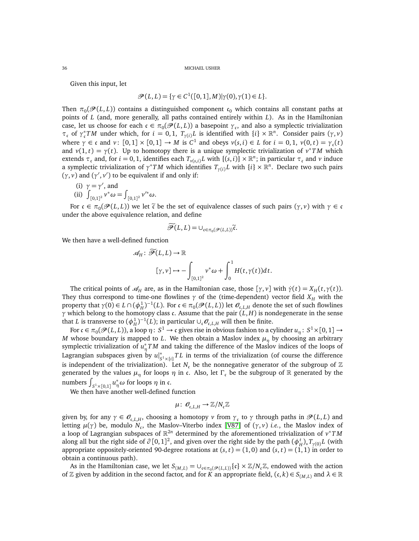Given this input, let

$$
\mathcal{P}(L, L) = \{ \gamma \in C^1([0, 1], M) | \gamma(0), \gamma(1) \in L \}.
$$

Then  $\pi_0(\mathcal{P}(L,L))$  contains a distinguished component  $\mathfrak{c}_0$  which contains all constant paths at points of *L* (and, more generally, all paths contained entirely within *L*). As in the Hamiltonian case, let us choose for each  $c \in \pi_0(\mathcal{P}(L, L))$  a basepoint  $\gamma_c$ , and also a symplectic trivialization *τ*<sub>c</sub> of  $γ_c^*TM$  under which, for *i* = 0, 1,  $T_{\gamma(i)}L$  is identified with  $\{i\} \times \mathbb{R}^n$ . Consider pairs  $(γ, ν)$ where  $\gamma \in \mathfrak{c}$  and  $v: [0,1] \times [0,1] \to M$  is  $C^1$  and obeys  $v(s,i) \in L$  for  $i = 0,1$ ,  $v(0,t) = \gamma_{\mathfrak{c}}(t)$ and  $v(1, t) = \gamma(t)$ . Up to homotopy there is a unique symplectic trivialization of  $v^*TM$  which extends  $\tau_c$  and, for  $i = 0, 1$ , identifies each  $T_{\nu(s,i)} L$  with  $\{(s,i)\}\times\mathbb{R}^n$ ; in particular  $\tau_c$  and  $\nu$  induce a symplectic trivialization of  $\gamma^*TM$  which identifies  $T_{\gamma(i)}L$  with  $\{i\} \times \mathbb{R}^n$ . Declare two such pairs  $(γ, ν)$  and  $(γ', ν')$  to be equivalent if and only if:

- (i)  $\gamma = \gamma'$ , and
- (ii)  $\int_{[0,1]^2} v^* \omega = \int_{[0,1]^2} v'^* \omega.$

For  $c \in \pi_0(\mathcal{P}(L, L))$  we let  $\tilde{c}$  be the set of equivalence classes of such pairs  $(\gamma, \nu)$  with  $\gamma \in c$ under the above equivalence relation, and define

$$
\widetilde{\mathscr{P}}(L,L) = \cup_{\mathfrak{c} \in \pi_0(\mathscr{P}(L,L))} \widetilde{\mathfrak{c}}.
$$

We then have a well-defined function

$$
\mathscr{A}_H \colon \mathscr{P}(L, L) \to \mathbb{R}
$$

$$
[\gamma, \nu] \mapsto -\int_{[0,1]^2} \nu^* \omega + \int_0^1 H(t, \gamma(t)) dt.
$$

The critical points of  $\mathcal{A}_H$  are, as in the Hamiltonian case, those  $[\gamma, \nu]$  with  $\dot{\gamma}(t) = X_H(t, \gamma(t))$ . They thus correspond to time-one flowlines  $\gamma$  of the (time-dependent) vector field  $X_H$  with the property that  $\gamma(0) \in L \cap (\phi_H^1)^{-1}(L)$ . For  $\mathfrak{c} \in \pi_0(\mathcal{P}(L, L))$  let  $\mathcal{O}_{\mathfrak{c},L,H}$  denote the set of such flowlines *γ* which belong to the homotopy class c. Assume that the pair (*L*, *H*) is nondegenerate in the sense that *L* is transverse to  $(\phi_H^1)^{-1}(L)$ ; in particular  $\cup_c \mathcal{O}_{c,L,H}$  will then be finite.

For  $\mathfrak{c}\in\pi_0(\mathscr{P}(L,L)),$  a loop  $\eta\colon S^1\to\mathfrak{c}$  gives rise in obvious fashion to a cylinder  $u_\eta\colon S^1\times[0,1]\to$ *M* whose boundary is mapped to *L*. We then obtain a Maslov index  $\mu_{\eta}$  by choosing an arbitrary symplectic trivialization of  $u^*_{\eta}TM$  and taking the difference of the Maslov indices of the loops of Lagrangian subspaces given by *u*| ∗  $\int_{S^1\times\{i\}}^* TL$  in terms of the trivialization (of course the difference is independent of the trivialization). Let  $N_c$  be the nonnegative generator of the subgroup of  $\mathbb Z$ generated by the values  $\mu_n$  for loops  $\eta$  in c. Also, let  $\Gamma_c$  be the subgroup of R generated by the numbers  $\int_{S^1 \times [0,1]} u^*_{\eta} \omega$  for loops  $\eta$  in c.

We then have another well-defined function

$$
\mu\colon\,\mathscr{O}_{\mathfrak{c},L,H}\to\mathbb{Z}/N_{\mathfrak{c}}\mathbb{Z}
$$

given by, for any  $\gamma \in \mathcal{O}_{c,L,H}$ , choosing a homotopy  $\nu$  from  $\gamma_c$  to  $\gamma$  through paths in  $\mathcal{P}(L,L)$  and letting  $\mu(\gamma)$  be, modulo  $N_c$ , the Maslov–Viterbo index [[V87](#page-61-26)] of ( $\gamma, \nu$ ) *i.e.*, the Maslov index of a loop of Lagrangian subspaces of R <sup>2</sup>*<sup>n</sup>* determined by the aforementioned trivialization of *v* <sup>∗</sup>*T M* along all but the right side of  $\partial [0,1]^2$ , and given over the right side by the path  $(\phi_H^t)_*T_{\gamma(0)}L$  (with appropriate oppositely-oriented 90-degree rotations at  $(s, t) = (1, 0)$  and  $(s, t) = (1, 1)$  in order to obtain a continuous path).

As in the Hamiltonian case, we let  $S_{(M,L)} = \bigcup_{\mathfrak{c} \in \pi_0(\mathcal{P}(L,L))} {\{\mathfrak{c}\}} \times \mathbb{Z}/N_{\mathfrak{c}} \mathbb{Z}$ , endowed with the action of Z given by addition in the second factor, and for *K* an appropriate field,  $(c, k) \in S_{(M,L)}$  and  $\lambda \in \mathbb{R}$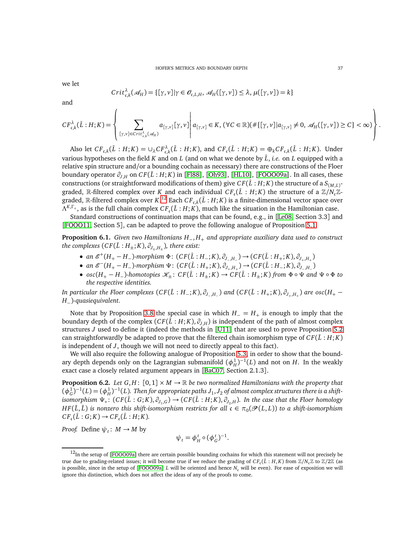we let

$$
Crit_{c,k}^{\lambda}(\mathcal{A}_H) = \{[\gamma, \nu] | \gamma \in \mathcal{O}_{c,L,H}, \mathcal{A}_H([\gamma, \nu]) \le \lambda, \mu([\gamma, \nu]) = k \}
$$

and

$$
CF_{\mathfrak{c},k}^{\lambda}(\hat{L}:H;K)=\left\{\sum_{[\gamma,v]\in Crit_{\mathfrak{c},k}^{\lambda}(\mathcal{A}_H)}a_{[\gamma,v]}[\gamma,v]\left|\ a_{[\gamma,v]}\in K,(\forall C\in\mathbb{R})(\#\{[\gamma,v] | a_{[\gamma,v]}\neq 0,\mathcal{A}_H([\gamma,v])\geq C\}<\infty)\right.\right\}.
$$

Also let  $CF_{\mathfrak{c},k}(\hat{L}:H;K) = \cup_{\lambda} CF_{\mathfrak{c},k}^{\lambda}(\hat{L}:H;K)$ , and  $CF_{\mathfrak{c}}(\hat{L}:H;K) = \bigoplus_{k} CF_{\mathfrak{c},k}(\hat{L}:H;K)$ . Under various hypotheses on the field *K* and on *L* (and on what we denote by  $\hat{L}$ , *i.e.* on *L* equipped with a relative spin structure and/or a bounding cochain as necessary) there are constructions of the Floer boundary operator  $\partial_{J,H}$  on  $CF(\hat{L}:H;K)$  in [[Fl88](#page-60-27)], [[Oh93](#page-61-14)], [[HL10](#page-60-28)], [[FOOO09a](#page-60-14)]. In all cases, these constructions (or straightforward modifications of them) give  $CF(\hat{L}:H;K)$  the structure of a  $S_{(M,L)}$ graded, R-filtered complex over *K* and each individual  $CF_c(\hat{L} : H; K)$  the structure of a  $\mathbb{Z}/N_c\mathbb{Z}$ graded,  $\mathbb{R}$ -filtered complex over  $K$ .<sup>[12](#page-36-1)</sup> Each  $CF_{\mathfrak{c},k}(\hat{L}:H;K)$  is a finite-dimensional vector space over  $\Lambda^{K,\Gamma_c}$ , as is the full chain complex  $CF_c(\hat{L}:H;K)$ , much like the situation in the Hamiltonian case.

Standard constructions of continuation maps that can be found, e.g., in [[Le08,](#page-60-13) Section 3.3] and [[FOOO11,](#page-60-21) Section 5], can be adapted to prove the following analogue of Proposition [5.1.](#page-21-0)

<span id="page-36-2"></span>**Proposition 6.1.** *Given two Hamiltonians H*−, *H*<sup>+</sup> *and appropriate auxiliary data used to construct the complexes*  $(CF(\hat{L}:H_{\pm}; K), \partial_{J_{\pm}, H_{\pm}})$ *, there exist:* 

- $\bullet$  *an*  $\mathcal{E}^+(H_+ H_-)$ -morphism  $\Phi$ : (CF( $\hat{L}$  : *H*<sub>−</sub>;*K*),  $\partial_{J_-,H_-}$ ) → (CF( $\hat{L}$  : *H*<sub>+</sub>;*K*),  $\partial_{J_+,H_+}$ )
- $\bullet$  *an*  $\mathcal{E}^{-}(H_{+} H_{-})$ -morphism  $\Psi$ : (CF( $\hat{L}$  : *H*<sub>+</sub>;*K*),  $\partial_{J_{+},H_{+}}$ ) → (CF( $\hat{L}$  : *H*<sub>−</sub>;*K*),  $\partial_{J_{-},H_{-}}$ )
- $osc(H_+ H_-)$ *-homotopies*  $\mathcal{K}_\pm$ :  $CF(\hat{L}: H_\pm; K) \to CF(\hat{L}: H_\pm; K)$  *from*  $\Phi \circ \Psi$  *and*  $\Psi \circ \Phi$  *to the respective identities.*

In particular the Floer complexes  $(CF(\hat{L}:H_-;K),\partial_{J_-;H_-})$  and  $(CF(\hat{L}:H_+;K),\partial_{J_+,H_+})$  are  $osc(H_+-$ *H*−)*-quasiequivalent.*

Note that by Proposition [3.8](#page-15-2) the special case in which  $H_-=H_+$  is enough to imply that the boundary depth of the complex  $(CF(\hat{L}:H;K), \partial_{J,H})$  is independent of the path of almost complex structures *J* used to define it (indeed the methods in [[U11](#page-61-11)] that are used to prove Proposition [5.2](#page-22-0) can straightforwardly be adapted to prove that the filtered chain isomorphism type of  $CF(\hat{L}:H;K)$ is independent of *J*, though we will not need to directly appeal to this fact).

We will also require the following analogue of Proposition [5.3,](#page-22-1) in order to show that the boundary depth depends only on the Lagrangian submanifold  $(\phi_H^1)^{-1}(L)$  and not on *H*. In the weakly exact case a closely related argument appears in [[BaC07,](#page-59-3) Section 2.1.3].

<span id="page-36-0"></span>**Proposition 6.2.** *Let*  $G, H: [0, 1] \times M \rightarrow \mathbb{R}$  *be two normalized Hamiltonians with the property that*  $(\phi_G^1)^{-1}(L) = (\phi_H^1)^{-1}(L)$ . Then for appropriate paths  $J_1, J_2$  of almost complex structures there is a shift $i$ somorphism  $\Psi_*\colon (CF(\hat{L}:G;K), \partial_{J_1,G}) \to (CF(\hat{L}:H;K), \partial_{J_2,H})$ . In the case that the Floer homology  $HF(\hat{L},\hat{L})$  is nonzero this shift-isomorphism restricts for all  $\mathfrak{c}\in\pi_0(\mathscr{P}(L,L))$  to a shift-isomorphism  $CF_{c}(\hat{L}: G; K) \rightarrow CF_{c}(\hat{L}: H; K).$ 

*Proof.* Define  $\psi_t$ :  $M \to M$  by

$$
\psi_t = \phi_H^t \circ (\phi_G^t)^{-1}.
$$

<span id="page-36-1"></span> $12$ In the setup of [[FOOO09a](#page-60-14)] there are certain possible bounding cochains for which this statement will not precisely be true due to grading-related issues; it will become true if we reduce the grading of  $CF_c(\hat{L}: H, K)$  from  $\mathbb{Z}/N_c\mathbb{Z}$  to  $\mathbb{Z}/2\mathbb{Z}$  (as is possible, since in the setup of  $[FOOO09a] L$  $[FOOO09a] L$  $[FOOO09a] L$  will be oriented and hence  $N_c$  will be even). For ease of exposition we will ignore this distinction, which does not affect the ideas of any of the proofs to come.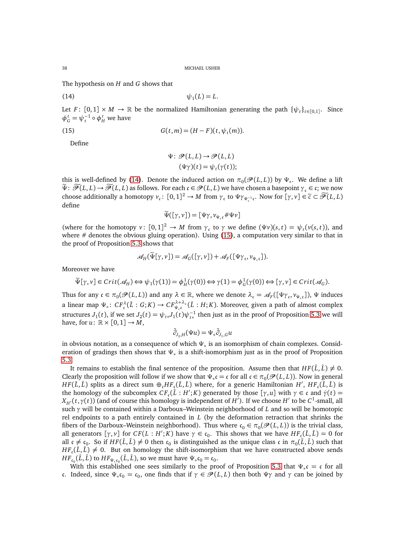The hypothesis on *H* and *G* shows that

$$
\psi_1(L) = L.
$$

Let *F* :  $[0,1] \times M \to \mathbb{R}$  be the normalized Hamiltonian generating the path  $\{\psi_t\}_{t \in [0,1]}$ . Since  $φ$ <sup>*t*</sup></sup> $G$  =  $ψ$ <sup>*τ*</sup> $I$ </sub>  $\circ φ$ <sup>*t*</sup><sub>*H*</sub> we have

(15) 
$$
G(t,m) = (H - F)(t, \psi_t(m)).
$$

Define

<span id="page-37-1"></span><span id="page-37-0"></span>
$$
\Psi \colon \mathcal{P}(L, L) \to \mathcal{P}(L, L)
$$

$$
(\Psi \gamma)(t) = \psi_t(\gamma(t));
$$

this is well-defined by [\(14\)](#page-37-0). Denote the induced action on  $\pi_0(\mathscr{P}(L,L))$  by  $\Psi_*$ . We define a lift  $\widetilde{\Psi}$ :  $\widetilde{\mathcal{P}}(L,L) \to \widetilde{\mathcal{P}}(L,L)$  as follows. For each  $c \in \mathcal{P}(L,L)$  we have chosen a basepoint  $\gamma_c \in c$ ; we now choose additionally a homotopy  $v_c: [0, 1]^2 \to M$  from  $\gamma_c$  to  $\Psi \gamma_{\Psi_*^{-1}c}$ . Now for  $[\gamma, v] \in \widetilde{c} \subset \widetilde{\mathscr{P}}(L, L)$ define

$$
\widetilde{\Psi}([\gamma,\nu])=[\Psi\gamma,\nu_{\Psi_*\mathfrak{c}}\#\Psi\nu]
$$

(where for the homotopy  $v: [0, 1]^2 \to M$  from  $\gamma_c$  to  $\gamma$  we define  $(\Psi v)(s, t) = \psi_t(v(s, t))$ , and where  $#$  denotes the obvious gluing operation). Using  $(15)$ , a computation very similar to that in the proof of Proposition [5.3](#page-22-1) shows that

$$
\mathscr{A}_H(\Psi[\gamma,\nu]) = \mathscr{A}_G([\gamma,\nu]) + \mathscr{A}_F([\Psi\gamma_c,\nu_{\Psi_c}]).
$$

Moreover we have

$$
\widetilde{\Psi}[\gamma, \nu] \in Crit(\mathcal{A}_H) \Longleftrightarrow \psi_1(\gamma(1)) = \phi_H^1(\gamma(0)) \Longleftrightarrow \gamma(1) = \phi_G^1(\gamma(0)) \Longleftrightarrow [\gamma, \nu] \in Crit(\mathcal{A}_G).
$$

Thus for any  $\mathfrak{c} \in \pi_0(\mathcal{P}(L, L))$  and any  $\lambda \in \mathbb{R}$ , where we denote  $\lambda_{\mathfrak{c}} = \mathcal{A}_F([\Psi \gamma_{\mathfrak{c}}, \nu_{\Psi_{\ast} \mathfrak{c}}])$ ,  $\Psi$  induces a linear map  $\Psi_*\colon CF_c^{\lambda}(\hat{L}:G;K)\to CF_{\Psi_*c}^{\lambda+\lambda_c}(\hat{L}:H;K)$ . Moreover, given a path of almost complex structures *J*<sub>1</sub>(*t*), if we set *J*<sub>2</sub>(*t*) =  $\psi_{t*}$ *J*<sub>1</sub>(*t*) $\psi_{t*}^{-1}$  then just as in the proof of Proposition [5.3](#page-22-1) we will have, for  $u: \mathbb{R} \times [0,1] \rightarrow M$ ,

$$
\bar{\partial}_{J_2,H}(\Psi u) = \Psi_* \bar{\partial}_{J_1,G} u
$$

in obvious notation, as a consequence of which  $\Psi_*$  is an isomorphism of chain complexes. Consideration of gradings then shows that  $\Psi_*$  is a shift-isomorphism just as in the proof of Proposition [5.3.](#page-22-1)

It remains to establish the final sentence of the proposition. Assume then that  $HF(\hat{L}, \hat{L}) \neq 0$ . Clearly the proposition will follow if we show that  $\Psi_* \mathfrak{c} = \mathfrak{c}$  for all  $\mathfrak{c} \in \pi_0(\mathcal{P}(L, L))$ . Now in general  $HF(\hat{L},\hat{L})$  splits as a direct sum  $\oplus_{\mathfrak{c}} HF_{\mathfrak{c}}(\hat{L},\hat{L})$  where, for a generic Hamiltonian  $H'$ ,  $HF_{\mathfrak{c}}(\hat{L},\hat{L})$  is the homology of the subcomplex  $CF_c(\hat{L}: H'; K)$  generated by those  $[\gamma, u]$  with  $\gamma \in \mathfrak{c}$  and  $\dot{\gamma}(t) =$  $X_{H'}(t,\gamma(t))$  (and of course this homology is independent of  $H'$ ). If we choose  $H'$  to be  $C^1$ -small, all such *γ* will be contained within a Darboux–Weinstein neighborhood of *L* and so will be homotopic rel endpoints to a path entirely contained in *L* (by the deformation retraction that shrinks the fibers of the Darboux–Weinstein neighborhood). Thus where  $\mathfrak{c}_0 \in \pi_0(\mathcal{P}(L,L))$  is the trivial class, all generators  $[\gamma, \nu]$  for  $CF(L : H'; K)$  have  $\gamma \in \mathfrak{c}_0$ . This shows that we have  $HF_{\mathfrak{c}}(\hat{L}, \hat{L}) = 0$  for all  $c \neq c_0$ . So if  $HF(\hat{L}, \hat{L}) \neq 0$  then  $c_0$  is distinguished as the unique class c in  $\pi_0(\hat{L}, \hat{L})$  such that  $HF_c(\hat{L}, \hat{L}) \neq 0$ . But on homology the shift-isomorphism that we have constructed above sends  $HF_{\mathfrak{c}_0}(\hat{L}, \hat{L})$  to  $HF_{\Psi_*\mathfrak{c}_0}(\hat{L}, \hat{L})$ , so we must have  $\Psi_*\mathfrak{c}_0 = \mathfrak{c}_0$ .

With this established one sees similarly to the proof of Proposition [5.3](#page-22-1) that  $\Psi_*\mathfrak{c} = \mathfrak{c}$  for all c. Indeed, since  $\Psi_* \mathfrak{c}_0 = \mathfrak{c}_0$ , one finds that if  $\gamma \in \mathcal{P}(L, L)$  then both  $\Psi \gamma$  and  $\gamma$  can be joined by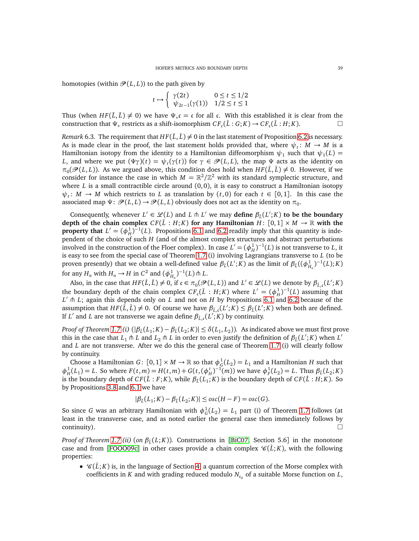homotopies (within  $\mathcal{P}(L, L)$ ) to the path given by

$$
t \mapsto \begin{cases} \gamma(2t) & 0 \le t \le 1/2 \\ \psi_{2t-1}(\gamma(1)) & 1/2 \le t \le 1 \end{cases}
$$

Thus (when  $HF(\hat{L}, \hat{L}) \neq 0$ ) we have  $\Psi_* \mathfrak{c} = \mathfrak{c}$  for all  $\mathfrak{c}$ . With this established it is clear from the construction that  $\Psi_*$  restricts as a shift-isomorphism  $CF_c(\hat{L}:G;K) \to CF_c(\hat{L}:H;K)$ .

*Remark* 6.3. The requirement that  $HF(\hat{\iota}, \hat{\iota}) \neq 0$  in the last statement of Proposition [6.2](#page-36-0) is necessary. As is made clear in the proof, the last statement holds provided that, where  $\psi_t \colon M \to M$  is a Hamiltonian isotopy from the identity to a Hamiltonian diffeomorphism  $\psi_1$  such that  $\psi_1(L) =$ *L*, and where we put  $(\Psi \gamma)(t) = \psi_t(\gamma(t))$  for  $\gamma \in \mathcal{P}(L, L)$ , the map  $\Psi$  acts as the identity on  $\pi_0(\mathcal{P}(L, L))$ . As we argued above, this condition does hold when  $HF(\hat{L}, \hat{L}) \neq 0$ . However, if we consider for instance the case in which  $M = \mathbb{R}^2/\mathbb{Z}^2$  with its standard symplectic structure, and where  $L$  is a small contractible circle around  $(0, 0)$ , it is easy to construct a Hamiltonian isotopy  $\psi_t$ : *M* → *M* which restricts to *L* as translation by  $(t, 0)$  for each  $t \in [0, 1]$ . In this case the associated map  $\Psi\colon \mathscr{P}(L,L)\to \mathscr{P}(L,L)$  obviously does not act as the identity on  $\pi_0$ .

Consequently, whenever  $L' \in \mathcal{L}(L)$  and  $L \uparrow L'$  we may **define**  $\beta_{\hat{L}}(L';K)$  to be the boundary **depth of the chain complex**  $CF(\hat{L} : H; K)$  for any Hamiltonian  $H: [0, 1] \times M \rightarrow \mathbb{R}$  with the **property that**  $L' = (\phi_H^1)^{-1}(L)$ . Propositions [6.1](#page-36-2) and [6.2](#page-36-0) readily imply that this quantity is independent of the choice of such *H* (and of the almost complex structures and abstract perturbations involved in the construction of the Floer complex). In case  $L' = (\phi_H^1)^{-1}(L)$  is not transverse to *L*, it is easy to see from the special case of Theorem [1.7](#page-9-0) (i) involving Lagrangians transverse to *L* (to be proven presently) that we obtain a well-defined value  $\beta_{\hat{L}}(L';K)$  as the limit of  $\beta_{\hat{L}}((\phi_{H_n}^1)^{-1}(L);K)$ for any  $H_n$  with  $H_n \to H$  in  $C^2$  and  $(\phi_{H_n}^1)^{-1}(L) \uparrow L$ .

Also, in the case that  $HF(\hat{L}, \hat{L}) \neq 0$ , if  $c \in \pi_0(\mathscr{P}(L, L))$  and  $L' \in \mathscr{L}(L)$  we denote by  $\beta_{\hat{L},c}(L';K)$ the boundary depth of the chain complex  $CF_c(\hat{L}: H; K)$  where  $L' = (\phi_H^1)^{-1}(L)$  assuming that *L* ′ ⋔ *L*; again this depends only on *L* and not on *H* by Propositions [6.1](#page-36-2) and [6.2](#page-36-0) because of the assumption that  $HF(\tilde{L}, \tilde{L}) \neq 0$ . Of course we have  $\beta_{\tilde{L},c}(L';K) \leq \beta_{\tilde{L}}(L';K)$  when both are defined. If  $L'$  and  $L$  are not transverse we again define  $\beta_{\hat{L},\mathfrak{c}}(L';K)$  by continuity.

*Proof of Theorem [1.7](#page-9-0) (i)*  $(|\beta_{\hat{L}}(L_1;K)-\beta_{\hat{L}}(L_2;K)|\leq \delta(L_1,L_2)$ ). As indicated above we must first prove this in the case that  $L_1 \pitchfork L$  and  $L_2 \pitchfork L$  in order to even justify the definition of  $\beta_L(L';K)$  when  $L'$ and *L* are not transverse. After we do this the general case of Theorem [1.7](#page-9-0) (i) will clearly follow by continuity.

Choose a Hamiltonian *G*:  $[0,1] \times M \to \mathbb{R}$  so that  $\phi_G^1(L_2) = L_1$  and a Hamiltonian *H* such that  $\phi_H^1(L_1) = L$ . So where  $F(t,m) = H(t,m) + G(t, (\phi_H^t)^{-1}(m))$  we have  $\phi_F^1(L_2) = L$ . Thus  $\beta_{\tilde{L}}(L_2; K)$ is the boundary depth of  $CF(\hat{L}:F;K)$ , while  $\beta_{\hat{L}}(L_1;K)$  is the boundary depth of  $CF(\hat{L}:H;K)$ . So by Propositions [3.8](#page-15-2) and [6.1](#page-36-2) we have

$$
|\beta_{\hat{L}}(L_1;K) - \beta_{\hat{L}}(L_2;K)| \leq osc(H - F) = osc(G).
$$

So since *G* was an arbitrary Hamiltonian with  $\phi_G^1(L_2) = L_1$  part (i) of Theorem [1.7](#page-9-0) follows (at least in the transverse case, and as noted earlier the general case then immediately follows by continuity).  $\Box$ 

*Proof of Theorem [1.7](#page-9-0) (ii)* (*on β*<sup>ˆ</sup>*<sup>L</sup>* (*L*; *K*))*.* Constructions in [[BiC07,](#page-59-2) Section 5.6] in the monotone case and from [[FOOO09c](#page-60-23)] in other cases provide a chain complex  $\mathcal{C}(\hat{L}; K)$ , with the following properties:

•  $\mathcal{C}(\hat{L}; K)$  is, in the language of Section [4,](#page-16-0) a quantum correction of the Morse complex with coefficients in *K* and with grading reduced modulo  $N_{\mathfrak{c}_0}$  of a suitable Morse function on *L*,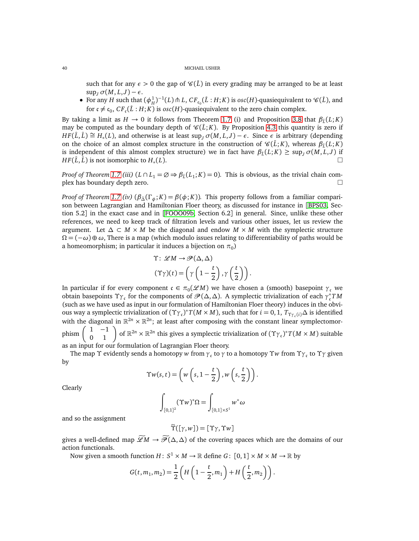such that for any  $\epsilon > 0$  the gap of  $\mathcal{C}(\hat{L})$  in every grading may be arranged to be at least  $\sup_J \sigma(M, L, J) - \epsilon$ .

• For any *H* such that  $(\phi_H^1)^{-1}(L) \uparrow L$ ,  $CF_{\mathfrak{c}_0}(\hat{L}:H;K)$  is  $osc(H)$ -quasiequivalent to  $\mathcal{C}(\hat{L})$ , and for  $c \neq c_0$ ,  $CF_c(\hat{L}: H; K)$  is  $osc(H)$ -quasiequivalent to the zero chain complex.

By taking a limit as  $H \to 0$  it follows from Theorem [1.7](#page-9-0) (i) and Proposition [3.8](#page-15-2) that  $\beta_{\hat{L}}(L;K)$ may be computed as the boundary depth of  $\mathcal{C}(\hat{L}; K)$ . By Proposition [4.3](#page-17-4) this quantity is zero if  $HF(\hat{L}, \hat{L}) \cong H_*(L)$ , and otherwise is at least  $\sup_J \sigma(M, L, J) - \epsilon$ . Since  $\epsilon$  is arbitrary (depending on the choice of an almost complex structure in the construction of  $\mathscr{C}(\hat{L}; K)$ , whereas  $\beta_{\hat{L}}(L; K)$ is independent of this almost complex structure) we in fact have  $\beta_{\hat{L}}(L;K) \geq \sup_{J} \sigma(M,L,J)$  if *HF*( $\tilde{L}$ ,  $\tilde{L}$ ) is not isomorphic to  $H_*(L)$ . (*L*).

*Proof of Theorem [1.7](#page-9-0)* (iii)  $(L \cap L_1 = \emptyset \Rightarrow \beta_{\hat{L}}(L_1; K) = 0)$ . This is obvious, as the trivial chain complex has boundary depth zero.

*Proof of Theorem [1.7](#page-9-0) (iv)*  $(\beta_{\Delta}(\Gamma_{\phi}; K) = \beta(\phi; K))$ . This property follows from a familiar comparison between Lagrangian and Hamiltonian Floer theory, as discussed for instance in [[BPS03,](#page-60-29) Section 5.2] in the exact case and in [[FOOO09b,](#page-60-19) Section 6.2] in general. Since, unlike these other references, we need to keep track of filtration levels and various other issues, let us review the argument. Let  $\Delta \subset M \times M$  be the diagonal and endow  $M \times M$  with the symplectic structure  $\Omega = (-\omega) \oplus \omega$ , There is a map (which modulo issues relating to differentiability of paths would be a homeomorphism; in particular it induces a bijection on  $\pi_0$ )

$$
\Upsilon: \mathscr{L}M \to \mathscr{P}(\Delta, \Delta)
$$

$$
(\Upsilon \gamma)(t) = \left(\gamma \left(1 - \frac{t}{2}\right), \gamma \left(\frac{t}{2}\right)\right).
$$

In particular if for every component  $c \in \pi_0(\mathscr{L}M)$  we have chosen a (smooth) basepoint  $\gamma_c$  we obtain basepoints  $\Upsilon_{\gamma_c}$  for the components of  $\mathcal{P}(\Delta, \Delta)$ . A symplectic trivialization of each  $\gamma_c^* T M$ (such as we have used as input in our formulation of Hamiltonian Floer theory) induces in the obvious way a symplectic trivialization of  $(\Upsilon \gamma_c)^* T(M \times M)$ , such that for  $i = 0, 1, T_{\Upsilon \gamma_c(i)} \Delta$  is identified with the diagonal in  $\mathbb{R}^{2n} \times \mathbb{R}^{2n}$ ; at least after composing with the constant linear symplectomorphism  $\begin{pmatrix} 1 & -1 \\ 0 & 1 \end{pmatrix}$  of  $\mathbb{R}^{2n} \times \mathbb{R}^{2n}$  this gives a symplectic trivialization of  $(\Upsilon_{\Upsilon_{\mathcal{C}}})^* T(M \times M)$  suitable as an input for our formulation of Lagrangian Floer theory.

The map Υ evidently sends a homotopy *w* from *γ*<sup>c</sup> to *γ* to a homotopy Υ*w* from Υ*γ*<sup>c</sup> to Υ*γ* given by

$$
\Upsilon w(s,t) = \left(w\left(s,1-\frac{t}{2}\right), w\left(s,\frac{t}{2}\right)\right).
$$

Clearly

$$
\int_{[0,1]^2} (\Upsilon w)^* \Omega = \int_{[0,1] \times S^1} w^* \omega
$$

and so the assignment

$$
\widetilde{\Upsilon}([\gamma,w]) = [\Upsilon \gamma, \Upsilon w]
$$

gives a well-defined map  $\widetilde{\mathscr{L}}M \to \widetilde{\mathscr{P}}(\Delta,\Delta)$  of the covering spaces which are the domains of our action functionals.

Now given a smooth function  $H\colon S^1\times M\to\mathbb{R}$  define  $G\colon\thinspace [0,1]\times M\times M\to\mathbb{R}$  by

$$
G(t, m_1, m_2) = \frac{1}{2} \left( H\left( 1 - \frac{t}{2}, m_1 \right) + H\left( \frac{t}{2}, m_2 \right) \right).
$$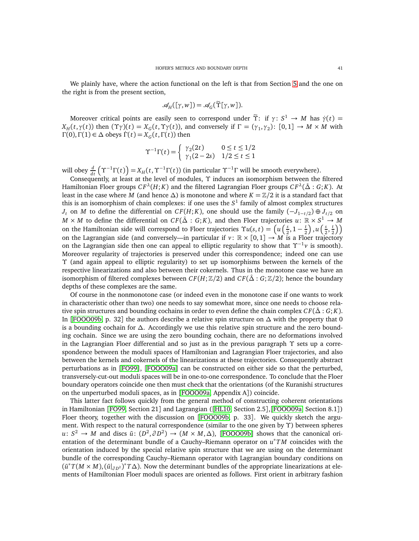We plainly have, where the action functional on the left is that from Section [5](#page-19-0) and the one on the right is from the present section,

$$
\mathscr{A}_H([\gamma,w])=\mathscr{A}_G(\widetilde{\Upsilon}[\gamma,w]).
$$

Moreover critical points are easily seen to correspond under  $\tilde{\Upsilon}$ : if  $\gamma: S^1 \to M$  has  $\dot{\gamma}(t) =$ *X*<sub>*H*</sub>(*t*,γ(*t*)) then (Υγ)(*t*) = *X*<sub>*G*</sub>(*t*,Υγ(*t*)), and conversely if Γ = (γ<sub>1</sub>,γ<sub>2</sub>): [0,1] → *M* × *M* with  $Γ(0), Γ(1) ∈ Δ obeys Γ(t) = X<sub>G</sub>(t, Γ(t))$  then

$$
\Upsilon^{-1}\Gamma(t) = \begin{cases} \gamma_2(2t) & 0 \le t \le 1/2\\ \gamma_1(2-2s) & 1/2 \le t \le 1 \end{cases}
$$

will obey  $\frac{d}{dt}(\Upsilon^{-1}\Gamma(t)) = X_H(t, \Upsilon^{-1}\Gamma(t))$  (in particular  $\Upsilon^{-1}\Gamma$  will be smooth everywhere).

Consequently, at least at the level of modules, Υ induces an isomorphism between the filtered Hamiltonian Floer groups  $CF^{\lambda}(H; K)$  and the filtered Lagrangian Floer groups  $CF^{\lambda}(\hat{\Delta}: G; K)$ . At least in the case where *M* (and hence  $\Delta$ ) is monotone and where  $K = \mathbb{Z}/2$  it is a standard fact that this is an isomorphism of chain complexes: if one uses the *S* 1 family of almost complex structures *J*<sup>*t*</sup> on *M* to define the differential on *CF*(*H*; *K*), one should use the family (−*J*<sub>1−*t*/2</sub>) ⊕ *J*<sub>*t*/2</sub> on  $M \times M$  to define the differential on  $CF(\hat{\Delta} : G; K)$ , and then Floer trajectories  $u \colon \mathbb{R} \times S^1 \to M$ on the Hamiltonian side will correspond to Floer trajectories  $\Upsilon u(s,t) = \left(u\left(\frac{s}{s}\right)\right)$  $\frac{s}{2}$ , 1 –  $\frac{t}{2}$  $\left(\frac{t}{2}\right)$ ,  $u\left(\frac{s}{2}\right)$  $\frac{s}{2}$ ,  $\frac{t}{2}$  $\left(\frac{t}{2}\right)$ on the Lagrangian side (and conversely—in particular if  $v : \mathbb{R} \times [0,1] \to M$  is a Floer trajectory on the Lagrangian side then one can appeal to elliptic regularity to show that  $\Upsilon^{-1}v$  is smooth). Moreover regularity of trajectories is preserved under this correspondence; indeed one can use Υ (and again appeal to elliptic regularity) to set up isomorphisms between the kernels of the respective linearizations and also between their cokernels. Thus in the monotone case we have an isomorphism of filtered complexes between  $CF(H; \mathbb{Z}/2)$  and  $CF(\hat{\Delta} : G; \mathbb{Z}/2)$ ; hence the boundary depths of these complexes are the same.

Of course in the nonmonotone case (or indeed even in the monotone case if one wants to work in characteristic other than two) one needs to say somewhat more, since one needs to choose relative spin structures and bounding cochains in order to even define the chain complex  $CF(\hat{\Delta}: G; K)$ . In [[FOOO09b,](#page-60-19) p. 32] the authors describe a relative spin structure on ∆ with the property that 0 is a bounding cochain for ∆. Accordingly we use this relative spin structure and the zero bounding cochain. Since we are using the zero bounding cochain, there are no deformations involved in the Lagrangian Floer differential and so just as in the previous paragraph  $\Upsilon$  sets up a correspondence between the moduli spaces of Hamiltonian and Lagrangian Floer trajectories, and also between the kernels and cokernels of the linearizations at these trajectories. Consequently abstract perturbations as in [[FO99](#page-60-15)], [[FOOO09a](#page-60-14)] can be constructed on either side so that the perturbed, transversely-cut-out moduli spaces will be in one-to-one correspondence. To conclude that the Floer boundary operators coincide one then must check that the orientations (of the Kuranishi structures on the unperturbed moduli spaces, as in [[FOOO09a,](#page-60-14) Appendix A]) coincide.

This latter fact follows quickly from the general method of constructing coherent orientations in Hamiltonian [[FO99,](#page-60-15) Section 21] and Lagrangian ([[HL10,](#page-60-28) Section 2.5],[[FOOO09a,](#page-60-14) Section 8.1]) Floer theory, together with the discussion on [[FOOO09b,](#page-60-19) p. 33]. We quickly sketch the argument. With respect to the natural correspondence (similar to the one given by Υ) between spheres *u*:  $S^2$  → *M* and discs  $\bar{u}$ :  $(D^2, \partial D^2)$  →  $(M \times M, \Delta)$ , [[FOOO09b](#page-60-19)] shows that the canonical orientation of the determinant bundle of a Cauchy–Riemann operator on *u* <sup>∗</sup>*T M* coincides with the orientation induced by the special relative spin structure that we are using on the determinant bundle of the corresponding Cauchy–Riemann operator with Lagrangian boundary conditions on  $(\bar{u}^*T(M \times M), (\bar{u}|_{\partial D^2})^*T\Delta)$ . Now the determinant bundles of the appropriate linearizations at elements of Hamiltonian Floer moduli spaces are oriented as follows. First orient in arbitrary fashion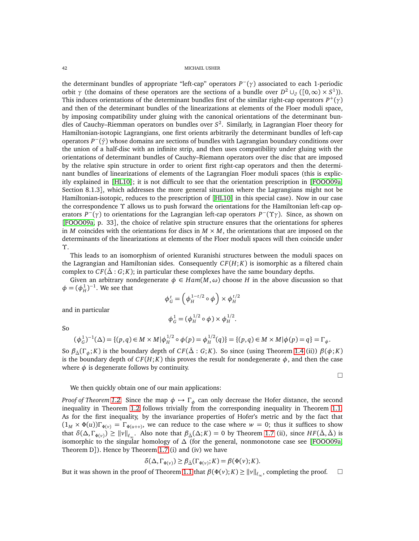the determinant bundles of appropriate "left-cap" operators *P* <sup>−</sup>(*γ*) associated to each 1-periodic orbit *γ* (the domains of these operators are the sections of a bundle over  $D^2 \cup_{\partial} ([0,\infty) \times S^1)$ ). This induces orientations of the determinant bundles first of the similar right-cap operators *P* <sup>+</sup>(*γ*) and then of the determinant bundles of the linearizations at elements of the Floer moduli space, by imposing compatibility under gluing with the canonical orientations of the determinant bundles of Cauchy–Riemman operators on bundles over *S* 2 . Similarly, in Lagrangian Floer theory for Hamiltonian-isotopic Lagrangians, one first orients arbitrarily the determinant bundles of left-cap operators *P* <sup>−</sup>(*γ*¯) whose domains are sections of bundles with Lagrangian boundary conditions over the union of a half-disc with an infinite strip, and then uses compatibility under gluing with the orientations of determinant bundles of Cauchy–Riemann operators over the disc that are imposed by the relative spin structure in order to orient first right-cap operators and then the determinant bundles of linearizations of elements of the Lagrangian Floer moduli spaces (this is explicitly explained in [[HL10](#page-60-28)]; it is not difficult to see that the orientation prescription in [[FOOO09a,](#page-60-14) Section 8.1.3], which addresses the more general situation where the Lagrangians might not be Hamiltonian-isotopic, reduces to the prescription of [[HL10](#page-60-28)] in this special case). Now in our case the correspondence Υ allows us to push forward the orientations for the Hamiltonian left-cap operators *P* <sup>−</sup>(*γ*) to orientations for the Lagrangian left-cap operators *P* <sup>−</sup>(Υ*γ*). Since, as shown on [[FOOO09a,](#page-60-14) p. 33], the choice of relative spin structure ensures that the orientations for spheres in *M* coincides with the orientations for discs in  $M \times M$ , the orientations that are imposed on the determinants of the linearizations at elements of the Floer moduli spaces will then coincide under Υ.

This leads to an isomorphism of oriented Kuranishi structures between the moduli spaces on the Lagrangian and Hamiltonian sides. Consequently  $CF(H; K)$  is isomorphic as a filtered chain complex to  $CF(\hat{\Delta}: G; K)$ ; in particular these complexes have the same boundary depths.

Given an arbitrary nondegenerate  $\phi \in Ham(M, \omega)$  choose *H* in the above discussion so that  $\phi = (\phi_H^1)^{-1}$ . We see that

$$
\phi_G^t = \left(\phi_H^{1-t/2} \circ \phi\right) \times \phi_H^{t/2}
$$

and in particular

So

$$
\phi_G^1 = (\phi_H^{1/2} \circ \phi) \times \phi_H^{1/2}.
$$

$$
f_{\rm{max}}(x)
$$

$$
(\phi_G^1)^{-1}(\Delta) = \{(p,q) \in M \times M | \phi_H^{1/2} \circ \phi(p) = \phi_H^{1/2}(q)\} = \{(p,q) \in M \times M | \phi(p) = q\} = \Gamma_{\phi}.
$$

So  $\beta_{\Delta}(\Gamma_{\phi}; K)$  is the boundary depth of  $CF(\hat{\Delta}: G; K)$ . So since (using Theorem [1.4](#page-7-1) (ii))  $\beta(\phi; K)$ is the boundary depth of  $CF(H; K)$  this proves the result for nondegenerate  $\phi$ , and then the case where  $\phi$  is degenerate follows by continuity.

$$
\qquad \qquad \Box
$$

# We then quickly obtain one of our main applications:

*Proof of Theorem [1.2.](#page-5-0)* Since the map  $\phi \mapsto \Gamma_{\phi}$  can only decrease the Hofer distance, the second inequality in Theorem [1.2](#page-5-0) follows trivially from the corresponding inequality in Theorem [1.1.](#page-1-0) As for the first inequality, by the invariance properties of Hofer's metric and by the fact that  $(1_M \times \Phi(u))\Gamma_{\Phi(v)} = \Gamma_{\Phi(u+v)}$ , we can reduce to the case where  $w = 0$ ; thus it suffices to show that  $\delta(\Delta, \Gamma_{\Phi(\nu)}) \geq ||\nu||_{\ell_{\infty}}$ . Also note that  $\beta_{\hat{\Delta}}(\Delta; K) = 0$  by Theorem [1.7](#page-9-0) (ii), since  $HF(\hat{\Delta}, \hat{\Delta})$  is isomorphic to the singular homology of  $\Delta$  (for the general, nonmonotone case see [[FOOO09a,](#page-60-14) Theorem D]). Hence by Theorem [1.7](#page-9-0) (i) and (iv) we have

$$
\delta(\Delta, \Gamma_{\Phi(\nu)}) \ge \beta_{\hat{\Delta}}(\Gamma_{\Phi(\nu)}; K) = \beta(\Phi(\nu); K).
$$

But it was shown in the proof of Theorem [1.1](#page-1-0) that  $\beta(\Phi(v); K) \ge ||v||_{\ell_{\infty}}$ , completing the proof.  $\Box$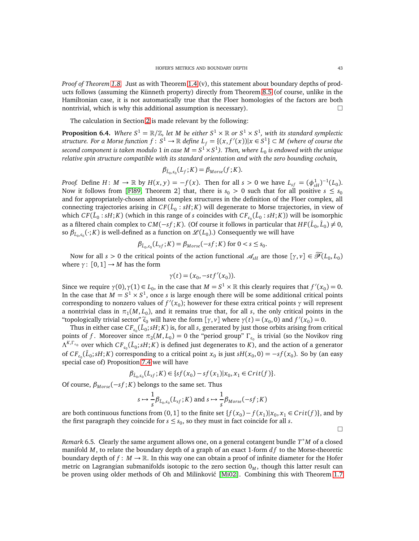*Proof of Theorem [1.8.](#page-9-1)* Just as with Theorem [1.4](#page-7-1) (v), this statement about boundary depths of products follows (assuming the Künneth property) directly from Theorem [8.5](#page-50-0) (of course, unlike in the Hamiltonian case, it is not automatically true that the Floer homologies of the factors are both nontrivial, which is why this additional assumption is necessary).  $\Box$ 

The calculation in Section [2](#page-11-0) is made relevant by the following:

<span id="page-42-0"></span>**Proposition 6.4.** Where  $S^1 = \mathbb{R}/\mathbb{Z}$ , let M be either  $S^1 \times \mathbb{R}$  or  $S^1 \times S^1$ , with its standard symplectic  $s$  *structure. For a Morse function*  $f: S^1 \to \mathbb{R}$  *define*  $L_f = \{(x, f'(x)) | x \in S^1\} \subset M$  *(where of course the*  $s$ econd component is taken modulo  $1$  in case  $M = S^1 \times S^1$ ). Then, where  $L_0$  is endowed with the unique *relative spin structure compatible with its standard orientation and with the zero bounding cochain,*

$$
\beta_{\hat{L}_0, c_0}(L_f; K) = \beta_{Morse}(f; K).
$$

*Proof.* Define  $H: M \to \mathbb{R}$  by  $H(x, y) = -f(x)$ . Then for all  $s > 0$  we have  $L_{sf} = (\phi_{sH}^1)^{-1}(L_0)$ . Now it follows from [[Fl89,](#page-60-30) Theorem 2] that, there is  $s_0 > 0$  such that for all positive  $s \leq s_0$ and for appropriately-chosen almost complex structures in the definition of the Floer complex, all connecting trajectories arising in  $CF(\hat{L} _0: sH; K)$  will degenerate to Morse trajectories, in view of which  $CF(\hat{L}_0: sH; K)$  (which in this range of *s* coincides with  $CF_{c_0}(\hat{L}_0: sH; K)$ ) will be isomorphic as a filtered chain complex to  $CM(-sf; K)$ . (Of course it follows in particular that  $HF(\hat{L}_0, \hat{L}_0) \neq 0$ , so  $\beta_{\hat{L}_0, \mathfrak{c}_0}(\cdot; K)$  is well-defined as a function on  $\mathscr{L}(L_0)$ .) Consequently we will have

$$
\beta_{\hat{L}_0,c_0}(L_{sf};K) = \beta_{Morse}(-sf;K) \text{ for } 0 < s \leq s_0.
$$

Now for all  $s > 0$  the critical points of the action functional  $\mathcal{A}_{sH}$  are those  $[\gamma, \nu] \in \mathcal{P}(L_0, L_0)$ where  $\gamma: [0, 1] \rightarrow M$  has the form

$$
\gamma(t) = (x_0, -stf'(x_0)).
$$

Since we require  $\gamma(0), \gamma(1) \in L_0$ , in the case that  $M = S^1 \times \mathbb{R}$  this clearly requires that  $f'(x_0) = 0$ . In the case that  $M = S^1 \times S^1$ , once *s* is large enough there will be some additional critical points corresponding to nonzero values of  $f'(x_0)$ ; however for these extra critical points  $\gamma$  will represent a nontrivial class in  $\pi_1(M, L_0)$ , and it remains true that, for all *s*, the only critical points in the "topologically trivial sector"  $\tilde{c}_0$  will have the form  $[\gamma, v]$  where  $\gamma(t) = (x_0, 0)$  and  $f'(x_0) = 0$ .

Thus in either case  $CF_{\epsilon_0}(\hat{L}_0; sH; K)$  is, for all *s*, generated by just those orbits arising from critical points of *f*. Moreover since  $\pi_2(M, L_0) = 0$  the "period group"  $\Gamma_{c_0}$  is trivial (so the Novikov ring  $\Lambda^{K,\Gamma_{\mathfrak{c}_0}}$  over which  $CF_{\mathfrak{c}_0}(\hat{L}_0; sH; K)$  is defined just degenerates to  $K$ ), and the action of a generator of  $CF_{c_0}(\hat{L}_0; sH; K)$  corresponding to a critical point  $x_0$  is just  $sH(x_0, 0) = -sf(x_0)$ . So by (an easy special case of) Proposition [7.4](#page-45-0) we will have

$$
\beta_{\hat{L}_0, c_0}(L_{sf}; K) \in \{sf(x_0) - sf(x_1)|x_0, x_1 \in Crit(f)\}.
$$

Of course,  $\beta_{Morse}(-sf;K)$  belongs to the same set. Thus

$$
s \mapsto \frac{1}{s} \beta_{\hat{L}_0, c_0}(L_{sf}; K)
$$
 and  $s \mapsto \frac{1}{s} \beta_{Morse}(-sf; K)$ 

are both continuous functions from  $(0, 1]$  to the finite set  $\{f(x_0) - f(x_1)|x_0, x_1 \in Crit(f)\}$ , and by the first paragraph they coincide for  $s \leq s_0$ , so they must in fact coincide for all *s*.

 $\Box$ 

*Remark* 6.5*.* Clearly the same argument allows one, on a general cotangent bundle *T* <sup>∗</sup>*M* of a closed manifold *M*, to relate the boundary depth of a graph of an exact 1-form *d f* to the Morse-theoretic boundary depth of  $f : M \to \mathbb{R}$ . In this way one can obtain a proof of infinite diameter for the Hofer metric on Lagrangian submanifolds isotopic to the zero section  $0<sub>M</sub>$ , though this latter result can be proven using older methods of Oh and Milinković [[Mi02](#page-61-13)]. Combining this with Theorem [1.7](#page-9-0)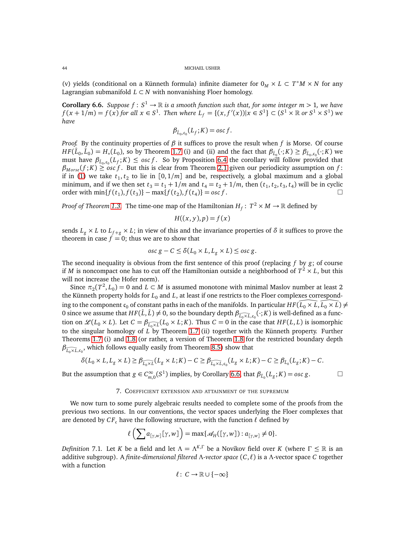(v) yields (conditional on a Künneth formula) infinite diameter for  $0_M \times L \subset T^*M \times N$  for any Lagrangian submanifold  $L \subset N$  with nonvanishing Floer homology.

<span id="page-43-1"></span>**Corollary 6.6.** *Suppose*  $f : S^1 \to \mathbb{R}$  *is a smooth function such that, for some integer m* > 1*, we have*  $f(x+1/m) = f(x)$  for all  $x \in S^1$ . Then where  $L_f = \{(x, f'(x)) | x \in S^1\} \subset (S^1 \times \mathbb{R} \text{ or } S^1 \times S^1)$  we *have*

$$
\beta_{\hat{L}_0,c_0}(L_f;K)=\mathrm{osc}\,f.
$$

*Proof.* By the continuity properties of  $\beta$  it suffices to prove the result when f is Morse. Of course  $HF(\hat{L}_0, \hat{L}_0) = H_*(L_0)$ , so by Theorem [1.7](#page-9-0) (i) and (ii) and the fact that  $\beta_{\hat{L}_0}(\cdot; K) \geq \beta_{\hat{L}_0, c_0}(\cdot; K)$  we must have  $\beta_{\hat{L}_0,c_0}(L_f;K) \leq \cos f$ . So by Proposition [6.4](#page-42-0) the corollary will follow provided that  $\beta_{Morse}(f;K) \geq \alpha sc f$ . But this is clear from Theorem [2.1](#page-11-2) given our periodicity assumption on *f*: if in [\(1\)](#page-11-1) we take  $t_1, t_2$  to lie in  $[0, 1/m]$  and be, respectively, a global maximum and a global minimum, and if we then set  $t_3 = t_1 + 1/m$  and  $t_4 = t_2 + 1/m$ , then  $(t_1, t_2, t_3, t_4)$  will be in cyclic order with  $\min\{f(t_1), f(t_3)\} - \max\{f(t_2), f(t_4)\} = \text{osc } f$ . □

*Proof of Theorem [1.3.](#page-6-0)* The time-one map of the Hamiltonian  $H_f: T^2 \times M \to \mathbb{R}$  defined by

$$
H((x, y), p) = f(x)
$$

sends  $L_g \times L$  to  $L_{f+g} \times L$ ; in view of this and the invariance properties of  $\delta$  it suffices to prove the theorem in case  $f = 0$ ; thus we are to show that

$$
osc\ g - C \le \delta(L_0 \times L, L_g \times L) \le osc\ g.
$$

The second inequality is obvious from the first sentence of this proof (replacing *f* by *g*; of course if *M* is noncompact one has to cut off the Hamiltonian outside a neighborhood of  $T^2 \times L$ , but this will not increase the Hofer norm).

Since  $\pi_2(T^2, L_0) = 0$  and  $L \subset M$  is assumed monotone with minimal Maslov number at least 2 the Künneth property holds for  $L_0$  and  $L$ , at least if one restricts to the Floer complexes corresponding to the component  $c_0$  of constant paths in each of the manifolds. In particular  $HF(\overline{L}_0 \times \overline{L}, \overline{L}_0 \times \overline{L}) \neq$ 0 since we assume that  $HF(\hat{L}, \hat{L}) \neq 0$ , so the boundary depth  $\beta_{\widehat{L}_0 \times \widehat{L}, c_0}(\cdot; K)$  is well-defined as a function on  $\mathscr{L}(L_0 \times L)$ . Let  $C = \beta_{\widehat{L_0 \times L}}(L_0 \times L; K)$ . Thus  $C = 0$  in the case that  $HF(L, L)$  is isomorphic to the singular homology of *L* by Theorem [1.7](#page-9-0) (ii) together with the Künneth property. Further Theorems [1.7](#page-9-0) (i) and [1.8](#page-9-1) (or rather, a version of Theorem [1.8](#page-9-1) for the restricted boundary depth  $\beta_{\widehat{L_0\times L},\mathfrak{c}_0}$ , which follows equally easily from Theorem [8.5\)](#page-50-0) show that

$$
\delta(L_0 \times L, L_g \times L) \geq \beta_{\widehat{L_0 \times L}}(L_g \times L; K) - C \geq \beta_{\widehat{L_0 \times L}, c_0}(L_g \times L; K) - C \geq \beta_{\widehat{L}_0}(L_g; K) - C.
$$

<span id="page-43-0"></span>But the assumption that  $g \in C^{\infty}_{m,0}(S^1)$  implies, by Corollary [6.6,](#page-43-1) that  $\beta_{\hat{L}_0}(L_g; K) = \text{osc } g$ .

that 
$$
\beta_i
$$
  $(L_{\alpha}:K) = osc \varrho$ .

### 7. COEFFICIENT EXTENSION AND ATTAINMENT OF THE SUPREMUM

We now turn to some purely algebraic results needed to complete some of the proofs from the previous two sections. In our conventions, the vector spaces underlying the Floer complexes that are denoted by  $CF_c$  have the following structure, with the function  $\ell$  defined by

$$
\ell\left(\sum a_{[\gamma,w]}[\gamma,w]\right)=\max\{\mathscr{A}_H([\gamma,w]):a_{[\gamma,w]}\neq 0\}.
$$

*Definition* 7.1*.* Let *K* be a field and let  $\Lambda = \Lambda^{K,\Gamma}$  be a Novikov field over *K* (where  $\Gamma \leq \mathbb{R}$  is an additive subgroup). A *finite-dimensional filtered* Λ*-vector space* (*C*, *ℓ*) is a Λ-vector space *C* together with a function

$$
\ell\colon\thinspace C\to\mathbb{R}\cup\{-\infty\}
$$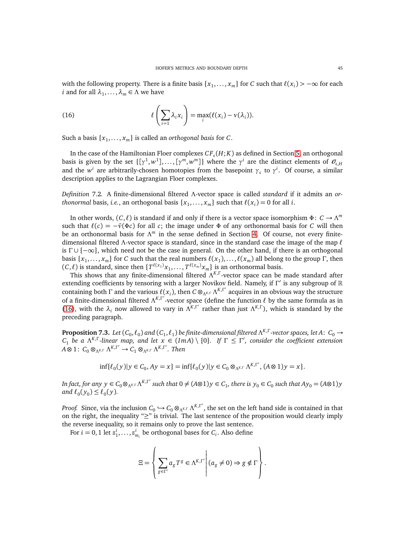with the following property. There is a finite basis  $\{x_1, \ldots, x_m\}$  for *C* such that  $\ell(x_i) > -\infty$  for each *i* and for all  $\lambda_1, \ldots, \lambda_m \in \Lambda$  we have

<span id="page-44-0"></span>(16) 
$$
\ell\left(\sum_{i=1} \lambda_i x_i\right) = \max_i (\ell(x_i) - \nu(\lambda_i)).
$$

Such a basis  $\{x_1, \ldots, x_m\}$  is called an *orthogonal basis* for *C*.

In the case of the Hamiltonian Floer complexes  $CF_{c}(H;K)$  as defined in Section [5,](#page-19-0) an orthogonal basis is given by the set  $\{[\gamma^1,w^1],\ldots,[\gamma^m,w^m]\}$  where the  $\gamma^i$  are the distinct elements of  $\mathcal{O}_{\mathfrak{c},H}$ and the  $w^i$  are arbitrarily-chosen homotopies from the basepoint  $\gamma_c$  to  $\gamma^i$ . Of course, a similar description applies to the Lagrangian Floer complexes.

*Definition* 7.2*.* A finite-dimensional filtered Λ-vector space is called *standard* if it admits an *orthonormal* basis, *i.e.*, an orthogonal basis  $\{x_1, \ldots, x_m\}$  such that  $\ell(x_i) = 0$  for all *i*.

In other words,  $(C, \ell)$  is standard if and only if there is a vector space isomorphism  $\Phi: C \to \Lambda^m$ such that  $\ell(c) = -\bar{\nu}(\Phi c)$  for all *c*; the image under  $\Phi$  of any orthonormal basis for *C* will then be an orthonormal basis for Λ *<sup>m</sup>* in the sense defined in Section [4.](#page-16-0) Of course, not every finitedimensional filtered Λ-vector space is standard, since in the standard case the image of the map *ℓ* is  $\Gamma \cup \{-\infty\}$ , which need not be the case in general. On the other hand, if there is an orthogonal  $\{x_1, \ldots, x_m\}$  for *C* such that the real numbers  $\ell(x_1), \ldots, \ell(x_m)$  all belong to the group Γ, then  $(C, \ell)$  is standard, since then  $\{T^{\ell(x_1)}x_1, \ldots, T^{\ell(x_m)}x_m\}$  is an orthonormal basis.

This shows that any finite-dimensional filtered Λ *K*,Γ -vector space can be made standard after extending coefficients by tensoring with a larger Novikov field. Namely, if Γ ′ is any subgroup of R containing both  $\Gamma$  and the various  $\ell(x_i)$ , then  $C \otimes_{\Lambda^{K,\Gamma}} \Lambda^{K,\Gamma'}$  acquires in an obvious way the structure of a finite-dimensional filtered Λ *K*,Γ ′ -vector space (define the function *ℓ* by the same formula as in [\(16\)](#page-44-0), with the  $\lambda_i$  now allowed to vary in  $\Lambda^{K,\Gamma'}$  rather than just  $\Lambda^{K,\Gamma}$ ), which is standard by the preceding paragraph.

<span id="page-44-1"></span>**Proposition 7.3.** Let  $(C_0, \ell_0)$  and  $(C_1, \ell_1)$  be finite-dimensional filtered  $\Lambda^{K,\Gamma}$ -vector spaces, let A:  $C_0 \to$  $C_1$  *be a*  $\Lambda^{K,\Gamma}$ -linear map, and let  $x \in (Im A) \setminus \{0\}$ . If  $\Gamma \leq \Gamma'$ , consider the coefficient extension  $A \otimes 1$ :  $C_0 \otimes_{\Lambda^{K,\Gamma}} \Lambda^{K,\Gamma'} \to C_1 \otimes_{\Lambda^{K,\Gamma}} \Lambda^{K,\Gamma'}$ . Then

$$
\inf \{ \ell_0(y) | y \in C_0, Ay = x \} = \inf \{ \ell_0(y) | y \in C_0 \otimes_{\Lambda^{K,\Gamma}} \Lambda^{K,\Gamma'}, (A \otimes 1) y = x \}.
$$

In fact, for any  $y \in C_0 \otimes_{\Lambda^{K,\Gamma}} \Lambda^{K,\Gamma'}$  such that  $0 \neq (A \otimes 1)y \in C_1$ , there is  $y_0 \in C_0$  such that  $Ay_0 = (A \otimes 1)y$ *and*  $\ell_0(y_0) \leq \ell_0(y)$ .

*Proof.* Since, via the inclusion  $C_0 \hookrightarrow C_0 \otimes_{\Lambda^{K,\Gamma}} \Lambda^{K,\Gamma'}$ , the set on the left hand side is contained in that on the right, the inequality "≥" is trivial. The last sentence of the proposition would clearly imply the reverse inequality, so it remains only to prove the last sentence.

For  $i = 0, 1$  let  $z_1^i, \ldots, z_{m_i}^i$  be orthogonal bases for  $C_i$ . Also define

$$
\Xi = \left\{ \left. \sum_{g \in \Gamma'} a_g T^g \in \Lambda^{K, \Gamma'} \right| (a_g \neq 0) \Rightarrow g \notin \Gamma \right\}.
$$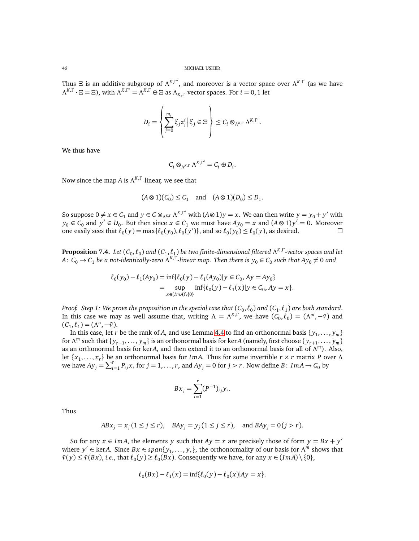Thus  $\Xi$  is an additive subgroup of  $\Lambda^{K,\Gamma'}$ , and moreover is a vector space over  $\Lambda^{K,\Gamma}$  (as we have  $\Lambda^{K,\Gamma} \cdot \Xi = \Xi$ ), with  $\Lambda^{K,\Gamma'} = \Lambda^{K,\Gamma} \oplus \Xi$  as  $\Lambda_{K,\Gamma}$ -vector spaces. For  $i = 0, 1$  let

$$
D_i = \left\{\sum_{j=0}^{m_i} \xi_j z_j^i \left| \xi_j \in \Xi \right.\right\} \leq C_i \otimes_{\Lambda^{K,\Gamma}} \Lambda^{K,\Gamma'}.
$$

We thus have

$$
C_i\otimes_{\Lambda^{K,\Gamma}}\Lambda^{K,\Gamma'}=C_i\oplus D_i.
$$

Now since the map *A* is Λ *K*,Γ -linear, we see that

$$
(A \otimes 1)(C_0) \le C_1 \quad \text{and} \quad (A \otimes 1)(D_0) \le D_1.
$$

So suppose  $0 \neq x \in C_1$  and  $y \in C \otimes_{\Lambda^{K,\Gamma}} \Lambda^{K,\Gamma'}$  with  $(A \otimes 1)y = x$ . We can then write  $y = y_0 + y'$  with *y*<sub>0</sub> ∈ *C*<sub>0</sub> and *y*<sup> $\prime$ </sup> ∈ *D*<sub>0</sub>. But then since *x* ∈ *C*<sub>1</sub> we must have *Ay*<sub>0</sub> = *x* and (*A* ⊗ 1)*y*<sup> $\prime$ </sup> = 0. Moreover one easily sees that  $\ell_0(y) = \max{\ell_0(y_0), \ell_0(y')\}$ , and so  $\ell_0(y_0) \le \ell_0(y)$ , as desired.

<span id="page-45-0"></span>**Proposition 7.4.** Let  $(C_0,\ell_0)$  and  $(C_1,\ell_1)$  be two finite-dimensional filtered  $\Lambda^{K,\Gamma}$ -vector spaces and let  $A\colon C_0\to C_1$  be a not-identically-zero  $\Lambda^{K,\Gamma}$ -linear map. Then there is  $y_0\in C_0$  such that  $Ay_0\neq 0$  and

$$
\ell_0(y_0) - \ell_1(Ay_0) = \inf \{ \ell_0(y) - \ell_1(Ay_0) | y \in C_0, Ay = Ay_0 \}
$$
  
= 
$$
\sup_{x \in (Im A) \setminus \{0\}} \inf \{ \ell_0(y) - \ell_1(x) | y \in C_0, Ay = x \}.
$$

*Proof. Step 1: We prove the proposition in the special case that*  $(C_0,\ell_0)$  *and*  $(C_1,\ell_1)$  *are both standard.* In this case we may as well assume that, writing  $\Lambda = \Lambda^{K,\Gamma}$ , we have  $(C_0, \ell_0) = (\Lambda^m, -\bar{\nu})$  and  $(C_1, \ell_1) = (\Lambda^n, -\bar{\nu}).$ 

In this case, let *r* be the rank of *A*, and use Lemma [4.4](#page-17-1) to find an orthonormal basis  $\{y_1, \ldots, y_m\}$ for  $\Lambda^m$  such that  $\{y_{r+1},..., y_m\}$  is an orthonormal basis for ker*A* (namely, first choose  $\{y_{r+1},..., y_m\}$ as an orthonormal basis for ker*A*, and then extend it to an orthonormal basis for all of Λ *<sup>m</sup>*). Also, let {*x*<sup>1</sup> ,... , *x<sup>r</sup>* } be an orthonormal basis for *Im A*. Thus for some invertible *r* × *r* matrix *P* over Λ we have  $Ay_j = \sum_{i=1}^r P_{ij}x_i$  for  $j = 1, ..., r$ , and  $Ay_j = 0$  for  $j > r$ . Now define  $B: Im A \rightarrow C_0$  by

$$
Bx_j = \sum_{i=1}^r (P^{-1})_{ij} y_i.
$$

Thus

$$
ABx_j = x_j (1 \le j \le r)
$$
,  $BAy_j = y_j (1 \le j \le r)$ , and  $BAy_j = 0 (j > r)$ .

So for any  $x \in ImA$ , the elements *y* such that  $Ay = x$  are precisely those of form  $y = Bx + y'$ where  $y' \in \text{ker}A$ . Since  $Bx \in span\{y_1, \ldots, y_r\}$ , the orthonormality of our basis for  $\Lambda^m$  shows that  $\bar{v}(y) \leq \bar{v}(Bx)$ , *i.e.*, that  $\ell_0(y) \geq \ell_0(Bx)$ . Consequently we have, for any  $x \in (Im A) \setminus \{0\}$ ,

$$
\ell_0(Bx) - \ell_1(x) = \inf \{ \ell_0(y) - \ell_0(x) | Ay = x \}.
$$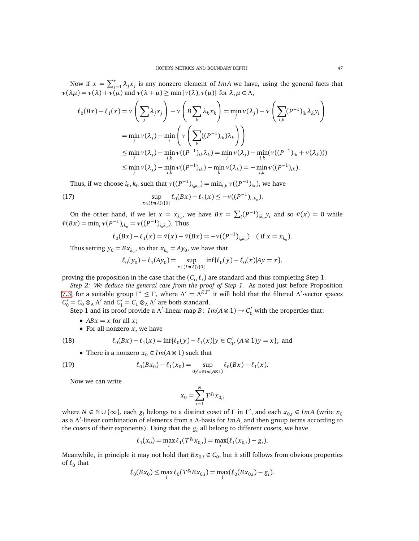Now if  $x = \sum_{j=1}^r \lambda_j x_j$  is any nonzero element of *ImA* we have, using the general facts that  $v(\lambda\mu) = v(\lambda) + v(\mu)$  and  $v(\lambda + \mu) \ge \min\{v(\lambda), v(\mu)\}\$  for  $\lambda, \mu \in \Lambda$ ,

$$
\ell_0(Bx) - \ell_1(x) = \bar{v} \left( \sum_j \lambda_j x_j \right) - \bar{v} \left( B \sum_k \lambda_k x_k \right) = \min_j v(\lambda_j) - \bar{v} \left( \sum_{i,k} (P^{-1})_{ik} \lambda_k y_i \right)
$$
  
\n
$$
= \min_j v(\lambda_j) - \min_i \left( v \left( \sum_k ((P^{-1})_{ik}) \lambda_k \right) \right)
$$
  
\n
$$
\leq \min_j v(\lambda_j) - \min_{i,k} v((P^{-1})_{ik} \lambda_k) = \min_j v(\lambda_j) - \min_{i,k} v((P^{-1})_{ik} + v(\lambda_k)))
$$
  
\n
$$
\leq \min_j v(\lambda_j) - \min_{i,k} v((P^{-1})_{ik}) - \min_k v(\lambda_k) = -\min_{i,k} v((P^{-1})_{ik}).
$$

Thus, if we choose  $i_0, k_0$  such that  $v((P^{-1})_{i_0k_0}) = \min_{i,k} v((P^{-1})_{ik})$ , we have

(17) 
$$
\sup_{x \in (Im A) \setminus \{0\}} \ell_0(Bx) - \ell_1(x) \leq -\nu((P^{-1})_{i_0 k_0}).
$$

On the other hand, if we let  $x = x_{k_0}$ , we have  $Bx = \sum_i (P^{-1})_{ik_0} y_i$  and so  $\bar{v}(x) = 0$  while  $\bar{v}(Bx) = \min_i v(P^{-1})_{ik_0} = v((P^{-1})_{i_0k_0})$ . Thus

$$
\ell_0(Bx) - \ell_1(x) = \bar{\nu}(x) - \bar{\nu}(Bx) = -\nu((P^{-1})_{i_0k_0}) \quad (\text{if } x = x_{k_0}).
$$

Thus setting  $y_0 = Bx_{k_0}$ , so that  $x_{k_0} = Ay_0$ , we have that

$$
\ell_0(y_0) - \ell_1(Ay_0) = \sup_{x \in (Im A) \setminus \{0\}} inf{\ell_0(y) - \ell_0(x)|Ay = x},
$$

proving the proposition in the case that the  $(C_i, \ell_i)$  are standard and thus completing Step 1.

*Step 2: We deduce the general case from the proof of Step 1.* As noted just before Proposition [7.3,](#page-44-1) for a suitable group  $\Gamma' \leq \Gamma$ , where  $\Lambda' = \Lambda^{K,\Gamma'}$  it will hold that the filtered  $\Lambda'$ -vector spaces  $C'_0 = C_0 \otimes_{\Lambda} \Lambda'$  and  $C'_1 = C_1 \otimes_{\Lambda} \Lambda'$  are both standard.

Step 1 and its proof provide a  $\Lambda'$ -linear map *B*:  $Im(A \otimes 1) \rightarrow C'_0$  with the properties that:

- $ABx = x$  for all *x*;
- For all nonzero *x*, we have

(18) 
$$
\ell_0(Bx) - \ell_1(x) = \inf \{ \ell_0(y) - \ell_1(x) | y \in C'_0, (A \otimes 1)y = x \}; \text{ and}
$$

• There is a nonzero  $x_0 \in Im(A \otimes 1)$  such that

(19) 
$$
\ell_0(Bx_0) - \ell_1(x_0) = \sup_{0 \neq x \in Im(A \otimes 1)} \ell_0(Bx) - \ell_1(x).
$$

Now we can write

<span id="page-46-0"></span>
$$
x_0 = \sum_{i=1}^N T^{g_i} x_{0,i}
$$

where  $N \in \mathbb{N} \cup \{\infty\}$ , each  $g_i$  belongs to a distinct coset of  $\Gamma$  in  $\Gamma'$ , and each  $x_{0,i} \in ImA$  (write  $x_0$ as a Λ ′ -linear combination of elements from a Λ-basis for *Im A*, and then group terms according to the cosets of their exponents). Using that the  $g_i$  all belong to different cosets, we have

$$
\ell_1(x_0) = \max_i \ell_1(T^{g_i}x_{0,i}) = \max_i (\ell_1(x_{0,i}) - g_i).
$$

Meanwhile, in principle it may not hold that  $Bx_{0,i} \in C_0$ , but it still follows from obvious properties of *ℓ*<sup>0</sup> that

$$
\ell_0(Bx_0) \le \max_i \ell_0(T^{g_i}Bx_{0,i}) = \max_i (\ell_0(Bx_{0,i}) - g_i).
$$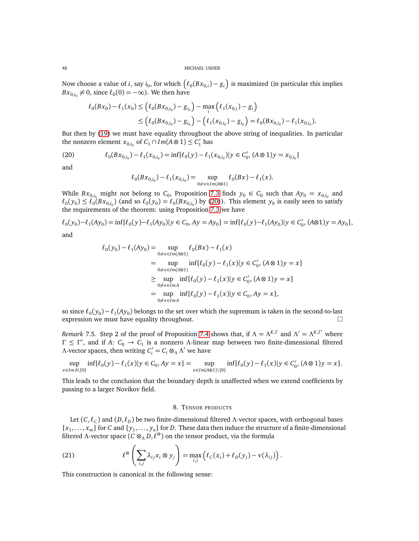Now choose a value of *i*, say  $i_0$ , for which  $(\ell_0(Bx_{0,i}) - g_i)$  is maximized (in particular this implies  $Bx_{0,i_0}\neq 0$ , since  $\ell_0(0)=-\infty$ ). We then have

$$
\ell_0(Bx_0) - \ell_1(x_0) \le (\ell_0(Bx_{0,i_0}) - g_{i_0}) - \max_i (\ell_1(x_{0,i}) - g_i)
$$
  
 
$$
\le (\ell_0(Bx_{0,i_0}) - g_{i_0}) - (\ell_1(x_{0,i_0}) - g_{i_0}) = \ell_0(Bx_{0,i_0}) - \ell_1(x_{0,i_0}).
$$

But then by [\(19\)](#page-46-0) we must have equality throughout the above string of inequalities. In particular the nonzero element  $x_{0,i_0}$  of  $C_1 \cap Im(A \otimes 1) \leq C'_1$  has

(20) 
$$
\ell_0(Bx_{0,i_0}) - \ell_1(x_{0,i_0}) = \inf{\ell_0(y) - \ell_1(x_{0,i_0}) | y \in C'_0, (A \otimes 1)y = x_{0,i_0}\}
$$

and

<span id="page-47-2"></span>
$$
\ell_0(Bx_{0,i_0}) - \ell_1(x_{0,i_0}) = \sup_{0 \neq x \in Im(A \otimes 1)} \ell_0(Bx) - \ell_1(x).
$$

While  $Bx_{0,i_0}$  might not belong to  $C_0$ , Proposition [7.3](#page-44-1) finds  $y_0 \in C_0$  such that  $Ay_0 = x_{0,i_0}$  and  $\ell_0(y_0) \leq \ell_0(Bx_{0,i_0})$  (and so  $\ell_0(y_0) = \ell_0(Bx_{0,i_0})$  by [\(20\)](#page-47-2)). This element  $y_0$  is easily seen to satisfy the requirements of the theorem: using Proposition [7.3](#page-44-1) we have

$$
\ell_0(y_0) - \ell_1(Ay_0) = \inf \{ \ell_0(y) - \ell_1(Ay_0) | y \in C_0, Ay = Ay_0 \} = \inf \{ \ell_0(y) - \ell_1(Ay_0) | y \in C'_0, (A \otimes 1)y = Ay_0 \},
$$

and

$$
\ell_0(y_0) - \ell_1(Ay_0) = \sup_{0 \neq x \in Im(A \otimes 1)} \ell_0(Bx) - \ell_1(x)
$$
  
\n
$$
= \sup_{0 \neq x \in Im(A \otimes 1)} inf{\ell_0(y) - \ell_1(x)|y \in C'_0, (A \otimes 1)y = x}
$$
  
\n
$$
\geq \sup_{0 \neq x \in Im(A \otimes 1)} inf{\ell_0(y) - \ell_1(x)|y \in C'_0, (A \otimes 1)y = x}
$$
  
\n
$$
= \sup_{0 \neq x \in Im(A)} inf{\ell_0(y) - \ell_1(x)|y \in C_0, Ay = x},
$$

so since  $\ell_0(y_0) - \ell_1(Ay_0)$  belongs to the set over which the supremum is taken in the second-to-last expression we must have equality throughout.  $\square$ 

<span id="page-47-1"></span>*Remark* 7.5. Step 2 of the proof of Proposition [7.4](#page-45-0) shows that, if  $\Lambda = \Lambda^{K,\Gamma}$  and  $\Lambda' = \Lambda^{K,\Gamma'}$  where  $Γ ≤ Γ'$ , and if *A*:  $C_0 → C_1$  is a nonzero Λ-linear map between two finite-dimensional filtered Λ-vector spaces, then writing  $C_i' = C_i \otimes_\Lambda \Lambda'$  we have

$$
\sup_{x \in Im A \setminus \{0\}} \inf \{ \ell_0(y) - \ell_1(x) | y \in C_0, Ay = x \} = \sup_{x \in Im(A \otimes 1) \setminus \{0\}} \inf \{ \ell_0(y) - \ell_1(x) | y \in C'_0, (A \otimes 1)y = x \}.
$$

<span id="page-47-0"></span>This leads to the conclusion that the boundary depth is unaffected when we extend coefficients by passing to a larger Novikov field.

# 8. TENSOR PRODUCTS

Let (*C*, *ℓ<sup>C</sup>* ) and (*D*, *ℓD*) be two finite-dimensional filtered Λ-vector spaces, with orthogonal bases  $\{x_1, \ldots, x_m\}$  for *C* and  $\{y_1, \ldots, y_n\}$  for *D*. These data then induce the structure of a finite-dimensional filtered Λ-vector space (*C* ⊗<sub>Λ</sub> *D*,  $\ell$ <sup>⊗</sup>) on the tensor product, via the formula

<span id="page-47-3"></span>(21) 
$$
\ell^{\otimes} \left( \sum_{i,j} \lambda_{ij} x_i \otimes y_j \right) = \max_{i,j} \left( \ell_C(x_i) + \ell_D(y_j) - \nu(\lambda_{ij}) \right).
$$

This construction is canonical in the following sense: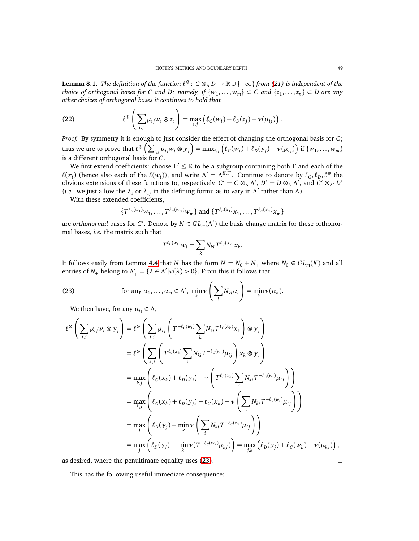**Lemma 8.1.** *The definition of the function ℓ* <sup>⊗</sup> : *C* ⊗<sup>Λ</sup> *D* → R ∪ {−∞} *from [\(21\)](#page-47-3) is independent of the*  $R$  choice of orthogonal bases for C and D: namely, if  $\{w_1,\ldots,w_m\}\subset C$  and  $\{z_1,\ldots,z_n\}\subset D$  are any *other choices of orthogonal bases it continues to hold that*

<span id="page-48-1"></span>(22) 
$$
\ell^{\otimes} \left( \sum_{i,j} \mu_{ij} w_i \otimes z_j \right) = \max_{i,j} \left( \ell_C(w_i) + \ell_D(z_j) - \nu(\mu_{ij}) \right).
$$

*Proof.* By symmetry it is enough to just consider the effect of changing the orthogonal basis for *C*; thus we are to prove that  $\ell^{\infty}\left(\sum_{i,j}\mu_{ij}w_i\otimes y_j\right) = \max_{i,j}\left(\ell_{C}(w_i)+\ell_{D}(y_j)-v(\mu_{ij})\right)$  if  $\{w_1,\ldots,w_m\}$ is a different orthogonal basis for *C*.

We first extend coefficients: choose  $\Gamma' \leq \mathbb{R}$  to be a subgroup containing both  $\Gamma$  and each of the  $\ell(x_i)$  (hence also each of the  $\ell(w_i)$ ), and write  $\Lambda' = \Lambda^{K,\Gamma'}$ . Continue to denote by  $\ell_c, \ell_p, \ell^{\otimes}$  the obvious extensions of these functions to, respectively,  $C' = C \otimes_{\Lambda} \Lambda'$ ,  $D' = D \otimes_{\Lambda} \Lambda'$ , and  $C' \otimes_{\Lambda'} D'$ (*i.e.*, we just allow the  $\lambda_i$  or  $\lambda_{ij}$  in the defining formulas to vary in  $\Lambda'$  rather than  $\Lambda$ ).

With these extended coefficients,

$$
\{T^{\ell_C(w_1)}w_1,\ldots,T^{\ell_C(w_m)}w_m\}\text{ and }\{T^{\ell_C(x_1)}x_1,\ldots,T^{\ell_C(x_m)}x_m\}
$$

are *orthonormal* bases for *C'*. Denote by  $N \in GL_m(\Lambda')$  the basis change matrix for these orthonormal bases, *i.e.* the matrix such that

$$
T^{\ell_c(w_l)}w_l = \sum_k N_{kl} T^{\ell_c(x_k)} x_k.
$$

It follows easily from Lemma [4.4](#page-17-1) that *N* has the form  $N = N_0 + N_+$  where  $N_0 \in GL_m(K)$  and all entries of  $N_+$  belong to  $\Lambda'_+ = {\lambda \in \Lambda' | v(\lambda) > 0}$ . From this it follows that

(23) for any 
$$
\alpha_1, ..., \alpha_m \in \Lambda'
$$
,  $\min_k \sqrt{\left(\sum_l N_{kl} \alpha_l\right)} = \min_k \sqrt{\alpha_k}$ .

<span id="page-48-0"></span>We then have, for any  $\mu_{ij} \in \Lambda$ ,

$$
\ell^{\otimes} \left( \sum_{i,j} \mu_{ij} w_i \otimes y_j \right) = \ell^{\otimes} \left( \sum_{i,j} \mu_{ij} \left( T^{-\ell_c(w_i)} \sum_k N_{ki} T^{\ell_c(x_k)} x_k \right) \otimes y_j \right)
$$
  
\n
$$
= \ell^{\otimes} \left( \sum_{k,j} \left( T^{\ell_c(x_k)} \sum_i N_{ki} T^{-\ell_c(w_i)} \mu_{ij} \right) x_k \otimes y_j \right)
$$
  
\n
$$
= \max_{k,j} \left( \ell_c(x_k) + \ell_D(y_j) - \nu \left( T^{\ell_c(x_k)} \sum_i N_{ki} T^{-\ell_c(w_i)} \mu_{ij} \right) \right)
$$
  
\n
$$
= \max_{k,j} \left( \ell_c(x_k) + \ell_D(y_j) - \ell_c(x_k) - \nu \left( \sum_i N_{ki} T^{-\ell_c(w_i)} \mu_{ij} \right) \right)
$$
  
\n
$$
= \max_j \left( \ell_D(y_j) - \min_k \nu \left( \sum_i N_{ki} T^{-\ell_c(w_i)} \mu_{ij} \right) \right)
$$
  
\n
$$
= \max_j \left( \ell_D(y_j) - \min_k \nu (T^{-\ell_c(w_k)} \mu_{kj}) \right) = \max_{j,k} \left( \ell_D(y_j) + \ell_c(w_k) - \nu(\mu_{kj}) \right),
$$

as desired, where the penultimate equality uses [\(23\)](#page-48-0).  $\Box$ 

This has the following useful immediate consequence: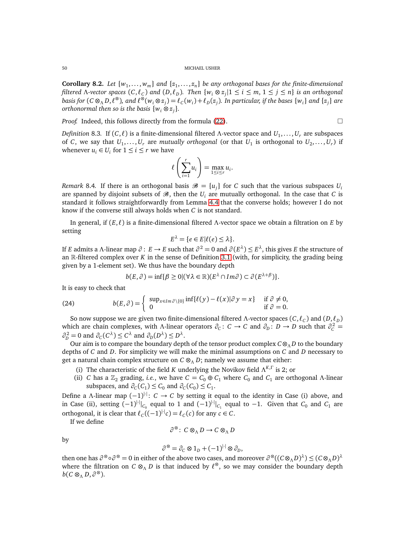<span id="page-49-0"></span>**Corollary 8.2.** Let  $\{w_1, \ldots, w_m\}$  and  $\{z_1, \ldots, z_n\}$  be any orthogonal bases for the finite-dimensional filtered A-vector spaces  $(C, \ell_C)$  and  $(D, \ell_D)$ . Then  $\{w_i \otimes z_j | 1 \leq i \leq m, \, 1 \leq j \leq n\}$  is an orthogonal basis for  $(C\otimes_\Lambda D,\ell^\otimes)$ , and  $\ell^\otimes(w_i\otimes z_j)=\ell_C(w_i)+\ell_D(z_j)$ . In particular, if the bases  $\{w_i\}$  and  $\{z_j\}$  are *orthonormal then so is the basis* {*w<sup>i</sup>* ⊗ *z<sup>j</sup>* }*.*

*Proof.* Indeed, this follows directly from the formula [\(22\)](#page-48-1).

$$
\Box
$$

*Definition* 8.3. If  $(C, \ell)$  is a finite-dimensional filtered Λ-vector space and  $U_1, \ldots, U_r$  are subspaces of *C*, we say that  $U_1, \ldots, U_r$  are *mutually orthogonal* (or that  $U_1$  is orthogonal to  $U_2, \ldots, U_r$ ) if whenever  $u_i \in U_i$  for  $1 \leq i \leq r$  we have

$$
\ell\left(\sum_{i=1}^r u_i\right) = \max_{1 \le i \le r} u_i.
$$

*Remark* 8.4. If there is an orthogonal basis  $\mathscr{B} = \{u_j\}$  for *C* such that the various subspaces  $U_i$ are spanned by disjoint subsets of  $\mathcal{B}$ , then the  $U_i$  are mutually orthogonal. In the case that *C* is standard it follows straightforwardly from Lemma [4.4](#page-17-1) that the converse holds; however I do not know if the converse still always holds when *C* is not standard.

In general, if (*E*, *ℓ*) is a finite-dimensional filtered Λ-vector space we obtain a filtration on *E* by setting

$$
E^{\lambda} = \{e \in E | \ell(e) \leq \lambda\}.
$$

If *E* admits a Λ-linear map *∂* : *E* → *E* such that *∂* <sup>2</sup> = 0 and *∂* (*E λ* ) ≤ *E λ* , this gives *E* the structure of an R-filtered complex over *K* in the sense of Definition [3.1](#page-14-2) (with, for simplicity, the grading being given by a 1-element set). We thus have the boundary depth

<span id="page-49-1"></span>
$$
b(E,\partial) = \inf \{ \beta \ge 0 | (\forall \lambda \in \mathbb{R}) (E^{\lambda} \cap Im \partial) \subset \partial (E^{\lambda+\beta}) \}.
$$

It is easy to check that

(24) 
$$
b(E, \partial) = \begin{cases} \sup_{x \in Im \partial \setminus \{0\}} \inf \{ \ell(y) - \ell(x) | \partial y = x \} & \text{if } \partial \neq 0, \\ 0 & \text{if } \partial = 0. \end{cases}
$$

So now suppose we are given two finite-dimensional filtered Λ-vector spaces  $(C, \ell_C)$  and  $(D, \ell_D)$ which are chain complexes, with *Λ*-linear operators  $\partial_c$ :  $C \to C$  and  $\partial_D$ :  $D \to D$  such that  $\partial_c^2 =$  $\partial_p^2 = 0$  and  $\partial_c(C^{\lambda}) \leq C^{\lambda}$  and  $\partial_p(D^{\lambda}) \leq D^{\lambda}$ .

Our aim is to compare the boundary depth of the tensor product complex *C*⊗<sup>Λ</sup> *D* to the boundary depths of *C* and *D*. For simplicity we will make the minimal assumptions on *C* and *D* necessary to get a natural chain complex structure on  $C \otimes_{\Lambda} D$ ; namely we assume that either:

- (i) The characteristic of the field *K* underlying the Novikov field  $\Lambda^{K,\Gamma}$  is 2; or
- (ii) *C* has a  $\mathbb{Z}_2$  grading, *i.e.*, we have  $C = C_0 \oplus C_1$  where  $C_0$  and  $C_1$  are orthogonal Λ-linear subspaces, and  $\partial_C(C_1) \leq C_0$  and  $\partial_C(C_0) \leq C_1$ .

Define a Λ-linear map (−1) |·|: *C* → *C* by setting it equal to the identity in Case (i) above, and in Case (ii), setting  $(-1)^{|\cdot|}|_{C_0}$  equal to 1 and  $(-1)^{|\cdot|}|_{C_1}$  equal to −1. Given that  $C_0$  and  $C_1$  are orthogonal, it is clear that  $\ell_c((-1)^{|\cdot|}c) = \ell_c(c)$  for any  $c \in C$ .

If we define

$$
\partial^{\otimes} \colon C \otimes_{\Lambda} D \to C \otimes_{\Lambda} D
$$

by

$$
\partial^{\otimes} = \partial_C \otimes 1_D + (-1)^{|\cdot|} \otimes \partial_D,
$$

then one has  $\partial^\otimes \circ \partial^\otimes = 0$  in either of the above two cases, and moreover  $\partial^\otimes ((C\otimes_\Lambda D)^\lambda) \leq (C\otimes_\Lambda D)^\lambda$ where the filtration on *C* ⊗<sub>Λ</sub> *D* is that induced by  $\ell$ <sup>⊗</sup>, so we may consider the boundary depth  $b(C \otimes_{\Lambda} D, \partial^{\otimes}).$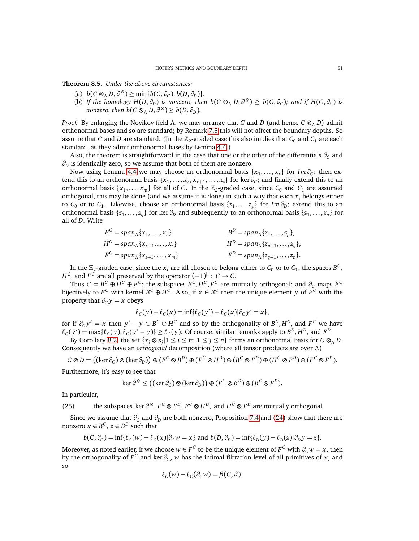<span id="page-50-0"></span>**Theorem 8.5.** *Under the above circumstances:*

- (a)  $b(C \otimes_{\Lambda} D, \partial^{\otimes}) \ge \min\{b(C, \partial_C), b(D, \partial_D)\}.$
- (b) If the homology  $H(D, \partial_D)$  is nonzero, then  $b(C \otimes_{\Lambda} D, \partial^{\otimes}) \geq b(C, \partial_C)$ ; and if  $H(C, \partial_C)$  is *nonzero, then*  $b(C \otimes_A D, \partial^{\otimes}) \geq b(D, \partial_D)$ *.*

*Proof.* By enlarging the Novikov field Λ, we may arrange that *C* and *D* (and hence *C* ⊗<sup>Λ</sup> *D*) admit orthonormal bases and so are standard; by Remark [7.5](#page-47-1) this will not affect the boundary depths. So assume that *C* and *D* are standard. (In the  $\mathbb{Z}_2$ -graded case this also implies that  $C_0$  and  $C_1$  are each standard, as they admit orthonormal bases by Lemma [4.4.](#page-17-1))

Also, the theorem is straightforward in the case that one or the other of the differentials  $\partial_c$  and *∂<sup>D</sup>* is identically zero, so we assume that both of them are nonzero.

Now using Lemma [4.4](#page-17-1) we may choose an orthonormal basis  $\{x_1, \ldots, x_r\}$  for  $Im \partial_C$ ; then extend this to an orthonormal basis  $\{x_1, \ldots, x_r, x_{r+1}, \ldots, x_s\}$  for ker  $\partial_C$ ; and finally extend this to an orthonormal basis  $\{x_1, \ldots, x_m\}$  for all of *C*. In the  $\mathbb{Z}_2$ -graded case, since  $C_0$  and  $C_1$  are assumed orthogonal, this may be done (and we assume it is done) in such a way that each  $x_i$  belongs either to  $C_0$  or to  $C_1$ . Likewise, choose an orthonormal basis  $\{z_1, \ldots, z_p\}$  for  $Im \partial_D$ ; extend this to an orthonormal basis  $\{z_1, \ldots, z_q\}$  for ker  $\partial_D$  and subsequently to an orthonormal basis  $\{z_1, \ldots, z_n\}$  for all of *D*. Write

$$
B^{C} = span_{\Lambda}\{x_{1},...,x_{r}\}
$$
  
\n
$$
H^{C} = span_{\Lambda}\{x_{r+1},...,x_{s}\}
$$
  
\n
$$
H^{D} = span_{\Lambda}\{z_{1},...,z_{p}\},
$$
  
\n
$$
H^{D} = span_{\Lambda}\{z_{p+1},...,z_{q}\},
$$
  
\n
$$
F^{C} = span_{\Lambda}\{x_{s+1},...,x_{m}\}
$$
  
\n
$$
F^{D} = span_{\Lambda}\{z_{q+1},...,z_{n}\}.
$$

In the  $\mathbb{Z}_2$ -graded case, since the  $x_i$  are all chosen to belong either to  $C_0$  or to  $C_1$ , the spaces  $B^C$ , *H*<sup>C</sup>, and *F*<sup>C</sup> are all preserved by the operator  $(-1)^{|\cdot|}$ : *C* → *C*.

Thus  $C = B^C \oplus H^C \oplus F^C$ ; the subspaces  $B^C, H^C, F^C$  are mutually orthogonal; and  $\partial_C$  maps  $F^C$ bijectively to  $B^C$  with kernel  $B^C \oplus H^C$ . Also, if  $x \in B^C$  then the unique element *y* of  $F^C$  with the property that  $\partial_C y = x$  obeys

$$
\ell_C(y) - \ell_C(x) = \inf \{ \ell_C(y') - \ell_C(x) | \partial_C y' = x \},
$$

for if  $\partial_c y' = x$  then  $y' - y \in B^C \oplus H^C$  and so by the orthogonality of  $B^C, H^C$ , and  $F^C$  we have  $\ell_C(y') = \max{\ell_C(y), \ell_C(y'-y)} \ge \ell_C(y)$ . Of course, similar remarks apply to  $B^D, H^D$ , and  $F^D$ .

By Corollary [8.2,](#page-49-0) the set  $\{x_i \otimes z_j | 1 \le i \le m, 1 \le j \le n\}$  forms an orthonormal basis for  $C \otimes_{\Lambda} D$ . Consequently we have an *orthogonal* decomposition (where all tensor products are over Λ)

$$
C \otimes D = ((\ker \partial_C) \otimes (\ker \partial_D)) \oplus (F^C \otimes B^D) \oplus (F^C \otimes H^D) \oplus (B^C \otimes F^D) \oplus (H^C \otimes F^D) \oplus (F^C \otimes F^D).
$$

Furthermore, it's easy to see that

$$
\ker \partial^{\otimes} \le ((\ker \partial_C) \otimes (\ker \partial_D)) \oplus (F^C \otimes B^D) \oplus (B^C \otimes F^D).
$$

In particular,

(25) the subspaces ker  $\partial^{\otimes}$ ,  $F^C \otimes F^D$ ,  $F^C \otimes H^D$ , and  $H^C \otimes F^D$  are mutually orthogonal.

Since we assume that  $\partial_C$  and  $\partial_D$  are both nonzero, Proposition [7.4](#page-45-0) and [\(24\)](#page-49-1) show that there are nonzero  $x \in B^C$ ,  $z \in B^D$  such that

$$
b(C, \partial_C) = \inf \{ \ell_C(w) - \ell_C(x) | \partial_C w = x \} \text{ and } b(D, \partial_D) = \inf \{ \ell_D(y) - \ell_D(z) | \partial_D y = z \}.
$$

Moreover, as noted earlier, if we choose  $w \in F^C$  to be the unique element of  $F^C$  with  $\partial_C w = x$ , then by the orthogonality of  $F^C$  and ker  $\partial_C$ ,  $w$  has the infimal filtration level of all primitives of  $x$ , and so

$$
\ell_C(w) - \ell_C(\partial_C w) = \beta(C, \partial).
$$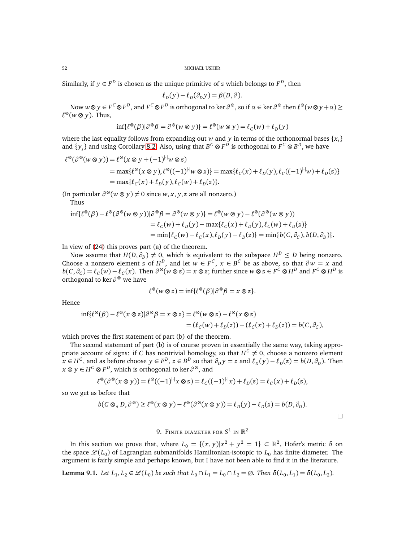Similarly, if  $y \in F^D$  is chosen as the unique primitive of *z* which belongs to  $F^D$ , then

$$
\ell_D(y) - \ell_D(\partial_D y) = \beta(D, \partial).
$$

Now  $w \otimes y \in F^C \otimes F^D$ , and  $F^C \otimes F^D$  is orthogonal to ker  $\partial^\otimes$ , so if  $\alpha \in \ker \partial^\otimes$  then  $\ell^\otimes(w \otimes y + \alpha) \geq 0$ *ℓ* <sup>⊗</sup>(*w* ⊗ *y*). Thus,

$$
\inf \{ \ell^{\otimes}(\beta) | \partial^{\otimes} \beta = \partial^{\otimes} (w \otimes y) \} = \ell^{\otimes} (w \otimes y) = \ell_c(w) + \ell_D(y)
$$

where the last equality follows from expanding out *w* and *y* in terms of the orthonormal bases {*x<sup>i</sup>* } and  $\{y_j\}$  and using Corollary [8.2.](#page-49-0) Also, using that  $B^C \otimes F^D$  is orthogonal to  $F^C \otimes B^D$ , we have

$$
\ell^{\infty}(\partial^{\infty}(w \otimes y)) = \ell^{\infty}(x \otimes y + (-1)^{|\cdot|}w \otimes z)
$$
  
= max{ $\ell^{\infty}(x \otimes y), \ell^{\infty}((-1)^{|\cdot|}w \otimes z)$ } = max{ $\ell_c(x) + \ell_D(y), \ell_c((-1)^{|\cdot|}w) + \ell_D(z)$ }  
= max{ $\ell_c(x) + \ell_D(y), \ell_c(w) + \ell_D(z)$  }.

(In particular  $\partial^{\otimes}(w \otimes y) \neq 0$  since *w*, *x*, *y*, *z* are all nonzero.)

Thus

$$
\inf \{ \ell^{\otimes}(\beta) - \ell^{\otimes}(\partial^{\otimes}(w \otimes y)) | \partial^{\otimes}\beta = \partial^{\otimes}(w \otimes y) \} = \ell^{\otimes}(w \otimes y) - \ell^{\otimes}(\partial^{\otimes}(w \otimes y))
$$
  
\n
$$
= \ell_C(w) + \ell_D(y) - \max \{ \ell_C(x) + \ell_D(y), \ell_C(w) + \ell_D(z) \}
$$
  
\n
$$
= \min \{ \ell_C(w) - \ell_C(x), \ell_D(y) - \ell_D(z) \} = \min \{ b(C, \partial_C), b(D, \partial_D) \}.
$$

In view of [\(24\)](#page-49-1) this proves part (a) of the theorem.

Now assume that  $H(D, \partial_D) \neq 0$ , which is equivalent to the subspace  $H^D \leq D$  being nonzero. Choose a nonzero element *z* of  $H^D$ , and let  $w \in F^C$ ,  $x \in B^C$  be as above, so that  $\partial w = x$  and  $b(C, \partial_C) = \ell_C(w) - \ell_C(x)$ . Then  $\partial^{\otimes}(w \otimes z) = x \otimes z$ ; further since  $w \otimes z \in F^C \otimes H^D$  and  $F^C \otimes H^D$  is orthogonal to ker *∂* <sup>⊗</sup> we have

$$
\ell^{\otimes}(w \otimes z) = \inf \{ \ell^{\otimes}(\beta) | \partial^{\otimes} \beta = x \otimes z \}.
$$

Hence

$$
\inf \{ \ell^{\otimes}(\beta) - \ell^{\otimes} (x \otimes z) | \partial^{\otimes} \beta = x \otimes z \} = \ell^{\otimes} (w \otimes z) - \ell^{\otimes} (x \otimes z)
$$
  
=  $(\ell_C(w) + \ell_D(z)) - (\ell_C(x) + \ell_D(z)) = b(C, \partial_C),$ 

which proves the first statement of part (b) of the theorem.

The second statement of part (b) is of course proven in essentially the same way, taking appropriate account of signs: if *C* has nontrivial homology, so that  $H^C \neq 0$ , choose a nonzero element  $x \in H^C$ , and as before choose  $y \in F^D$ ,  $z \in B^D$  so that  $\partial_D y = z$  and  $\ell_D(y) - \ell_D(z) = b(D, \partial_D)$ . Then *x* ⊗ *y* ∈ *H <sup>C</sup>* ⊗ *F D* , which is orthogonal to ker *∂* <sup>⊗</sup>, and

$$
\ell^{\otimes}(\partial^{\otimes}(x\otimes y)) = \ell^{\otimes}((-1)^{|\cdot|}x\otimes z) = \ell_{C}((-1)^{|\cdot|}x) + \ell_{D}(z) = \ell_{C}(x) + \ell_{D}(z),
$$

so we get as before that

$$
b(C\otimes_{\Lambda} D, \partial^{\otimes}) \geq \ell^{\otimes}(x\otimes y) - \ell^{\otimes}(\partial^{\otimes}(x\otimes y)) = \ell_{D}(y) - \ell_{D}(z) = b(D, \partial_{D}).
$$

 $\Box$ 

# 9. Finite diameter for  $S^1$  in  $\mathbb{R}^2$

<span id="page-51-0"></span>In this section we prove that, where  $L_0 = \{(x, y)|x^2 + y^2 = 1\} \subset \mathbb{R}^2$ , Hofer's metric δ on the space  $\mathcal{L}(L_0)$  of Lagrangian submanifolds Hamiltonian-isotopic to  $L_0$  has finite diameter. The argument is fairly simple and perhaps known, but I have not been able to find it in the literature.

<span id="page-51-1"></span>**Lemma 9.1.** Let  $L_1, L_2 \in \mathcal{L}(L_0)$  be such that  $L_0 \cap L_1 = L_0 \cap L_2 = \emptyset$ . Then  $\delta(L_0, L_1) = \delta(L_0, L_2)$ .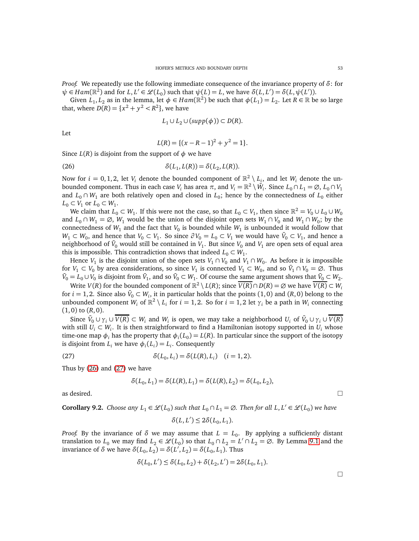*Proof.* We repeatedly use the following immediate consequence of the invariance property of *δ*: for  $\psi$  ∈ *Ham*( $\mathbb{R}^2$ ) and for *L*, *L*' ∈  $\mathcal{L}(L_0)$  such that  $\psi(L) = L$ , we have  $\delta(L, L') = \delta(L, \psi(L'))$ .

Given  $L_1, L_2$  as in the lemma, let  $\phi \in Ham(\mathbb{R}^2)$  be such that  $\phi(L_1) = L_2$ . Let  $R \in \mathbb{R}$  be so large that, where  $D(R) = \{x^2 + y^2 < R^2\}$ , we have

$$
L_1 \cup L_2 \cup (supp(\phi)) \subset D(R).
$$

Let

<span id="page-52-0"></span>
$$
L(R) = \{(x - R - 1)^2 + y^2 = 1\}.
$$

Since  $L(R)$  is disjoint from the support of  $\phi$  we have

(26) 
$$
\delta(L_1, L(R)) = \delta(L_2, L(R)).
$$

Now for  $i = 0, 1, 2$ , let  $V_i$  denote the bounded component of  $\mathbb{R}^2 \setminus L_i$ , and let  $W_i$  denote the unbounded component. Thus in each case  $V_i$  has area  $\pi$ , and  $V_i = \mathbb{R}^2 \setminus \bar{W}_i$ . Since  $L_0 \cap L_1 = \emptyset$ ,  $L_0 \cap V_1$ and  $L_0 \cap W_1$  are both relatively open and closed in  $L_0$ ; hence by the connectedness of  $L_0$  either  $L_0 \subset V_1$  or  $L_0 \subset W_1$ .

We claim that  $L_0 \subset W_1$ . If this were not the case, so that  $L_0 \subset V_1$ , then since  $\mathbb{R}^2 = V_0 \cup L_0 \cup W_0$ and  $L_0 \cap W_1 = \emptyset$ ,  $W_1$  would be the union of the disjoint open sets  $W_1 \cap V_0$  and  $W_1 \cap W_0$ ; by the connectedness of  $W_1$  and the fact that  $V_0$  is bounded while  $W_1$  is unbounded it would follow that *W*<sub>1</sub> ⊂ *W*<sub>0</sub>, and hence that *V*<sub>0</sub> ⊂ *V*<sub>1</sub>. So since  $\partial V_0 = L_0 \subset V_1$  we would have  $\bar{V}_0 \subset V_1$ , and hence a neighborhood of  $\bar{V}_0$  would still be contained in  $V_1.$  But since  $V_0$  and  $V_1$  are open sets of equal area this is impossible. This contradiction shows that indeed  $L_0 \subset W_1$ .

Hence  $V_1$  is the disjoint union of the open sets  $V_1 \cap V_0$  and  $V_1 \cap W_0$ . As before it is impossible for  $V_1 \subset V_0$  by area considerations, so since  $V_1$  is connected  $V_1 \subset W_0$ , and so  $\bar{V}_1 \cap V_0 = \emptyset$ . Thus  $\bar{V}_0 = L_0 \cup V_0$  is disjoint from  $\bar{V}_1$ , and so  $\bar{V}_0 \subset W_1$ . Of course the same argument shows that  $\bar{V}_0 \subset W_2$ .

Write  $V(R)$  for the bounded component of  $\mathbb{R}^2 \setminus L(R)$ ; since  $\overline{V(R)} \cap D(R) = \varnothing$  we have  $\overline{V(R)} \subset W_i$ for  $i = 1, 2$ . Since also  $\bar{V}_0 \subset W_i$ , it in particular holds that the points  $(1, 0)$  and  $(R, 0)$  belong to the unbounded component  $W_i$  of  $\mathbb{R}^2 \setminus L_i$  for  $i = 1, 2$ . So for  $i = 1, 2$  let  $\gamma_i$  be a path in  $W_i$  connecting  $(1, 0)$  to  $(R, 0)$ .

Since  $\bar{V}_0 \cup \gamma_i \cup \overline{V(R)} \subset W_i$  and  $W_i$  is open, we may take a neighborhood  $U_i$  of  $\bar{V}_0 \cup \gamma_i \cup \overline{V(R)}$ with still  $U_i \subset W_i$ . It is then straightforward to find a Hamiltonian isotopy supported in  $U_i$  whose time-one map  $\phi_i$  has the property that  $\phi_i(L_0) = L(R)$ . In particular since the support of the isotopy is disjoint from  $L_i$  we have  $\phi_i(L_i) = L_i$ . Consequently

(27) 
$$
\delta(L_0, L_i) = \delta(L(R), L_i) \quad (i = 1, 2).
$$

Thus by [\(26\)](#page-52-0) and [\(27\)](#page-52-1) we have

<span id="page-52-1"></span>
$$
\delta(L_0, L_1) = \delta(L(R), L_1) = \delta(L(R), L_2) = \delta(L_0, L_2),
$$

as desired.  $\Box$ 

**Corollary 9.2.** *Choose any*  $L_1 \in \mathcal{L}(L_0)$  such that  $L_0 \cap L_1 = \emptyset$ . Then for all  $L, L' \in \mathcal{L}(L_0)$  we have

$$
\delta(L, L') \leq 2\delta(L_0, L_1).
$$

*Proof.* By the invariance of  $\delta$  we may assume that  $L = L_0$ . By applying a sufficiently distant translation to  $L_0$  we may find  $L_2 \in \mathcal{L}(L_0)$  so that  $L_0 \cap L_2 = L' \cap L_2 = \emptyset$ . By Lemma [9.1](#page-51-1) and the invariance of *δ* we have  $\delta(L_0, L_2) = \delta(L', L_2) = \delta(L_0, L_1)$ . Thus

$$
\delta(L_0, L') \le \delta(L_0, L_2) + \delta(L_2, L') = 2\delta(L_0, L_1).
$$

 $\Box$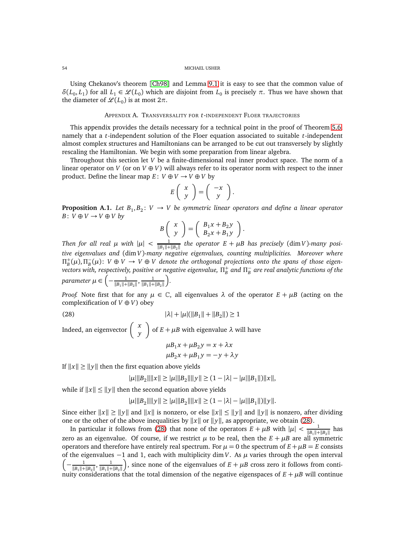Using Chekanov's theorem [[Ch98](#page-60-18)] and Lemma [9.1](#page-51-1) it is easy to see that the common value of *δ*(*L*<sub>0</sub>, *L*<sub>1</sub>) for all *L*<sub>1</sub> ∈  $\mathcal{L}(L_0)$  which are disjoint from *L*<sub>0</sub> is precisely *π*. Thus we have shown that the diameter of  $\mathscr{L}(L_0)$  is at most  $2\pi$ .

### APPENDIX A. TRANSVERSALITY FOR *t*-INDEPENDENT FLOER TRAJECTORIES

This appendix provides the details necessary for a technical point in the proof of Theorem [5.6,](#page-27-0) namely that a *t*-independent solution of the Floer equation associated to suitable *t*-independent almost complex structures and Hamiltonians can be arranged to be cut out transversely by slightly rescaling the Hamiltonian. We begin with some preparation from linear algebra.

Throughout this section let *V* be a finite-dimensional real inner product space. The norm of a linear operator on *V* (or on  $V \oplus V$ ) will always refer to its operator norm with respect to the inner product. Define the linear map  $E: V \oplus V \rightarrow V \oplus V$  by

$$
E\left(\begin{array}{c} x \\ y \end{array}\right) = \left(\begin{array}{c} -x \\ y \end{array}\right).
$$

<span id="page-53-1"></span>**Proposition A.1.** Let  $B_1, B_2$ :  $V \rightarrow V$  be symmetric linear operators and define a linear operator *B* : *V* ⊕ *V* → *V* ⊕ *V by* 

$$
B\left(\begin{array}{c} x \\ y \end{array}\right) = \left(\begin{array}{c} B_1x + B_2y \\ B_2x + B_1y \end{array}\right)
$$

.

*Then for all real*  $\mu$  *with*  $|\mu| < \frac{1}{\ln |\mu|}$  $\frac{1}{\|B_1\|+\|B_2\|}$  the operator  $E + \mu B$  has precisely (dim *V*)*-many positive eigenvalues and* (dim *V*)*-many negative eigenvalues, counting multiplicities. Moreover where*  $\Pi_{B}^{+}(\mu), \Pi_{B}^{-}(\mu): V \oplus V \to V \oplus V$  denote the orthogonal projections onto the spans of those eigen- $\sigma$  *vectors with, respectively, positive or negative eigenvalue,*  $\Pi_B^+$  *and*  $\Pi_B^-$  *are real analytic functions of the*  $\textit{parameter} \ \mu \in \left(-\frac{1}{\|\mathbf{p}\|_1}\right)$  $\frac{1}{\|B_1\|+\|B_2\|}$ ,  $\frac{1}{\|B_1\|+}$  $||B_1||+||B_2||$ *.*

*Proof.* Note first that for any  $\mu \in \mathbb{C}$ , all eigenvalues  $\lambda$  of the operator  $E + \mu B$  (acting on the complexification of  $V \oplus V$ ) obey

(28)  $|\lambda| + |\mu| (||B_1|| + ||B_2||) \ge 1$ 

Indeed, an eigenvector *x y*  $\lambda$ of  $E + \mu B$  with eigenvalue  $\lambda$  will have  $\mu B_1 x + \mu B_2 y = x + \lambda y$ 

<span id="page-53-0"></span>
$$
\mu B_1 x + \mu B_2 y = x + \lambda x
$$
  

$$
\mu B_2 x + \mu B_1 y = -y + \lambda y
$$

If  $||x|| \ge ||y||$  then the first equation above yields

$$
|\mu| \|B_2\| \|x\| \ge |\mu| \|B_2\| \|y\| \ge (1 - |\lambda| - |\mu| \|B_1\|) \|x\|,
$$

while if  $||x|| \le ||y||$  then the second equation above yields

$$
|\mu| \|B_2\| \|y\| \ge |\mu| \|B_2\| \|x\| \ge (1 - |\lambda| - |\mu| \|B_1\|)\|y\|.
$$

Since either  $||x|| \ge ||y||$  and  $||x||$  is nonzero, or else  $||x|| \le ||y||$  and  $||y||$  is nonzero, after dividing one or the other of the above inequalities by  $||x||$  or  $||y||$ , as appropriate, we obtain [\(28\)](#page-53-0).

In particular it follows from [\(28\)](#page-53-0) that none of the operators  $E + \mu B$  with  $|\mu| < \frac{1}{\ln |B|}$  $\frac{1}{\|B_1\|+\|B_2\|}$  has zero as an eigenvalue. Of course, if we restrict  $\mu$  to be real, then the  $E + \mu B$  are all symmetric operators and therefore have entirely real spectrum. For  $\mu = 0$  the spectrum of  $E + \mu B = E$  consists of the eigenvalues −1 and 1, each with multiplicity dim *V*. As *µ* varies through the open interval  $\left(-\frac{1}{\ln |P|}\right)$  $\frac{1}{\|B_1\|+\|B_2\|}$ ,  $\frac{1}{\|B_1\|+}$  $||B_1||+||B_2||$ ), since none of the eigenvalues of  $E + \mu B$  cross zero it follows from continuity considerations that the total dimension of the negative eigenspaces of  $E + \mu B$  will continue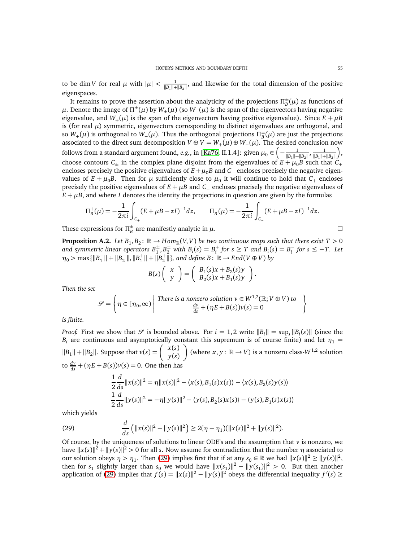to be dim *V* for real  $\mu$  with  $|\mu| < \frac{1}{\ln |\mu|}$  $\frac{1}{\|B_1\|+\|B_2\|}$ , and likewise for the total dimension of the positive eigenspaces.

It remains to prove the assertion about the analyticity of the projections  $\Pi_B^{\pm}(\mu)$  as functions of  $\mu.$  Denote the image of Π $^{\pm}(\mu)$  by  $W_{\pm}(\mu)$  (so  $W_{-}(\mu)$  is the span of the eigenvectors having negative eigenvalue, and  $W_+(\mu)$  is the span of the eigenvectors having positive eigenvalue). Since  $E + \mu B$ is (for real  $\mu$ ) symmetric, eigenvectors corresponding to distinct eigenvalues are orthogonal, and so  $W_+(\mu)$  is orthogonal to  $W_-(\mu)$ . Thus the orthogonal projections  $\Pi_B^{\pm}(\mu)$  are just the projections associated to the direct sum decomposition  $V \oplus V = W_+(\mu) \oplus W_-(\mu)$ . The desired conclusion now follows from a standard argument found, *e.g.*, in [[Ka76,](#page-60-31) II.1.4]: given  $\mu_0 \in \left(-\frac{1}{||B||_1 + ||B||_2}\right)$  $\frac{1}{\|B_1\|+\|B_2\|}$ ,  $\frac{1}{\|B_1\|+}$  $||B_1||+||B_2||$  , choose contours  $C_{\pm}$  in the complex plane disjoint from the eigenvalues of  $E + \mu_0 B$  such that  $C_{+}$ encloses precisely the positive eigenvalues of  $E + \mu_0 B$  and  $C_-\$  encloses precisely the negative eigenvalues of  $E + \mu_0 B$ . Then for  $\mu$  sufficiently close to  $\mu_0$  it will continue to hold that  $C_+$  encloses precisely the positive eigenvalues of  $E + \mu B$  and  $C_-\$  encloses precisely the negative eigenvalues of  $E + \mu B$ , and where *I* denotes the identity the projections in question are given by the formulas

$$
\Pi_B^+(\mu) = -\frac{1}{2\pi i} \int_{C_+} (E + \mu B - zI)^{-1} dz, \qquad \Pi_B^-(\mu) = -\frac{1}{2\pi i} \int_{C_-} (E + \mu B - zI)^{-1} dz.
$$

These expressions for  $\Pi_B^{\pm}$  are manifestly analytic in  $\mu$ .

<span id="page-54-1"></span>**Proposition A.2.** Let  $B_1, B_2 \colon \mathbb{R} \to Hom_{\mathbb{R}}(V, V)$  be two continuous maps such that there exist  $T > 0$ and symmetric linear operators  $B_1^{\pm}, B_2^{\pm}$  with  $B_i(s) = B_i^+$  for  $s \geq T$  and  $B_i(s) = B_i^-$  for  $s \leq -T$ . Let  $\eta_0$  > max{ $\|B_1^-\| + \|B_2^-\|, \|B_1^+\| + \|B_2^+\|\}$ , and define B:  $\mathbb{R} \to End(V \oplus V)$  by

$$
B(s)\left(\begin{array}{c} x \\ y \end{array}\right) = \left(\begin{array}{c} B_1(s)x + B_2(s)y \\ B_2(s)x + B_1(s)y \end{array}\right)
$$

.

*Then the set*

$$
\mathcal{S} = \left\{ \eta \in [\eta_0, \infty) \middle| \begin{array}{c} \text{There is a nonzero solution } v \in W^{1,2}(\mathbb{R}; V \oplus V) \text{ to} \\ \frac{dv}{ds} + (\eta E + B(s))v(s) = 0 \end{array} \right\}
$$

*is finite.*

*Proof.* First we show that  $\mathscr S$  is bounded above. For  $i = 1, 2$  write  $||B_i|| = \sup_s ||B_i(s)||$  (since the *B<sub>i</sub>* are continuous and asymptotically constant this supremum is of course finite) and let  $\eta_1$  =  $||B_1|| + ||B_2||$ . Suppose that  $v(s) = \begin{cases} x(s) \\ v(s) \end{cases}$ *y*(*s*) (where  $x, y: \mathbb{R} \to V$ ) is a nonzero class- $W^{1,2}$  solution  $\frac{dv}{ds} + (\eta E + B(s))v(s) = 0$ . One then has

<span id="page-54-0"></span>
$$
\frac{1}{2}\frac{d}{ds}\|x(s)\|^2 = \eta\|x(s)\|^2 - \langle x(s), B_1(s)x(s)\rangle - \langle x(s), B_2(s)y(s)\rangle
$$
  

$$
\frac{1}{2}\frac{d}{ds}\|y(s)\|^2 = -\eta\|y(s)\|^2 - \langle y(s), B_2(s)x(s)\rangle - \langle y(s), B_1(s)x(s)\rangle
$$

which yields

(29) 
$$
\frac{d}{ds} (||x(s)||^2 - ||y(s)||^2) \ge 2(\eta - \eta_1)(||x(s)||^2 + ||y(s)||^2).
$$

Of course, by the uniqueness of solutions to linear ODE's and the assumption that  $\nu$  is nonzero, we have  $||x(s)||^2 + ||y(s)||^2 > 0$  for all *s*. Now assume for contradiction that the number  $\eta$  associated to our solution obeys  $\eta > \eta_1$ . Then [\(29\)](#page-54-0) implies first that if at any  $s_0 \in \mathbb{R}$  we had  $||x(s)||^2 \ge ||y(s)||^2$ , then for  $s_1$  slightly larger than  $s_0$  we would have  $||x(s_1)||^2 - ||y(s_1)||^2 > 0$ . But then another application of [\(29\)](#page-54-0) implies that  $f(s) = ||x(s)||^2 - ||y(s)||^2$  obeys the differential inequality  $f'(s) \ge$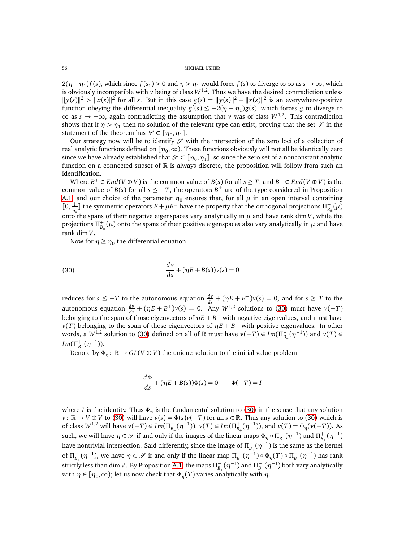$2(\eta - \eta_1)f(s)$ , which since  $f(s_1) > 0$  and  $\eta > \eta_1$  would force  $f(s)$  to diverge to  $\infty$  as  $s \to \infty$ , which is obviously incompatible with  $\nu$  being of class  $W^{1,2}$ . Thus we have the desired contradiction unless  $||y(s)||^2$  >  $||x(s)||^2$  for all *s*. But in this case  $g(s) = ||y(s)||^2 - ||x(s)||^2$  is an everywhere-positive function obeying the differential inequality  $g'(s) \leq -2(\eta - \eta_1)g(s)$ , which forces *g* to diverge to ∞ as *s* → −∞, again contradicting the assumption that *v* was of class *W*1,2. This contradiction shows that if  $\eta > \eta_1$  then no solution of the relevant type can exist, proving that the set  $\mathscr S$  in the statement of the theorem has  $\mathscr{S} \subset [\eta_0, \eta_1].$ 

Our strategy now will be to identify  $\mathcal S$  with the intersection of the zero loci of a collection of real analytic functions defined on [ $\eta_0,\infty$ ). These functions obviously will not all be identically zero since we have already established that  $\mathscr{S}\subset[\eta_0,\eta_1]$ , so since the zero set of a nonconstant analytic function on a connected subset of  $\mathbb R$  is always discrete, the proposition will follow from such an identification.

Where  $B^+ \in End(V \oplus V)$  is the common value of  $B(s)$  for all  $s \geq T$ , and  $B^- \in End(V \oplus V)$  is the common value of *B*(*s*) for all  $s \leq -T$ , the operators  $B^{\pm}$  are of the type considered in Proposition [A.1,](#page-53-1) and our choice of the parameter  $\eta_0$  ensures that, for all  $\mu$  in an open interval containing  $[0, \frac{1}{\eta_0}]$  the symmetric operators  $E + \mu B^{\pm}$  have the property that the orthogonal projections  $\Pi_{B_{\pm}}^-(\mu)$ onto the spans of their negative eigenspaces vary analytically in  $\mu$  and have rank dim *V*, while the projections  $\Pi_{B_\pm}^+(\mu)$  onto the spans of their positive eigenspaces also vary analytically in  $\mu$  and have rank dim *V*.

<span id="page-55-0"></span>Now for  $\eta \geq \eta_0$  the differential equation

(30) 
$$
\frac{dv}{ds} + (\eta E + B(s))v(s) = 0
$$

reduces for  $s \leq -T$  to the autonomous equation  $\frac{dv}{ds} + (\eta E + B^{-})v(s) = 0$ , and for  $s \geq T$  to the autonomous equation  $\frac{dv}{ds} + (\eta E + B^+)v(s) = 0$ . Any  $W^{1,2}$  solutions to [\(30\)](#page-55-0) must have  $v(-T)$ belonging to the span of those eigenvectors of *ηE* + *B* <sup>−</sup> with negative eigenvalues, and must have *v*(*T*) belonging to the span of those eigenvectors of  $\eta E + B^+$  with positive eigenvalues. In other words, a  $W^{1,2}$  solution to [\(30\)](#page-55-0) defined on all of R must have  $\nu(-T) \in Im(\Pi_{B_-}^-(\eta^{-1}))$  and  $\nu(T) \in$  $Im(\Pi_{B_+}^+(\eta^{-1})).$ 

Denote by  $\Phi_n : \mathbb{R} \to GL(V \oplus V)$  the unique solution to the initial value problem

$$
\frac{d\Phi}{ds} + (\eta E + B(s))\Phi(s) = 0 \qquad \Phi(-T) = I
$$

where *I* is the identity. Thus  $\Phi_n$  is the fundamental solution to [\(30\)](#page-55-0) in the sense that any solution *v* : ℝ → *V* ⊕ *V* to [\(30\)](#page-55-0) will have  $v(s) = \Phi(s)v(-T)$  for all  $s \in \mathbb{R}$ . Thus any solution to (30) which is of class *W*<sup>1,2</sup> will have *v*(−*T*) ∈ *Im*( $\Pi_{B_-}^-(η^{-1})$ ), *v*(*T*) ∈ *Im*( $\Pi_{B_+}^+(η^{-1})$ ), and *v*(*T*) =  $Φ_η(ν(−*T*))$ . As such, we will have  $\eta \in \mathcal{S}$  if and only if the images of the linear maps  $\Phi_{\eta} \circ \Pi_{B_-}^-(\eta^{-1})$  and  $\Pi_{B_+}^+(\eta^{-1})$ have nontrivial intersection. Said differently, since the image of  $\Pi^+_{B_+}(\eta^{-1})$  is the same as the kernel of  $\Pi_{B_+}^-(\eta^{-1})$ , we have  $\eta \in \mathcal{S}$  if and only if the linear map  $\Pi_{B_+}^-(\eta^{-1}) \circ \Phi_{\eta}(T) \circ \Pi_{B_-}^-(\eta^{-1})$  has rank strictly less than dim *V* . By Proposition [A.1,](#page-53-1) the maps  $\Pi_{B_+}^-(\eta^{-1})$  and  $\Pi_{B_-}^-(\eta^{-1})$  both vary analytically with  $\eta \in [\eta_0, \infty)$ ; let us now check that  $\Phi_{\eta}(T)$  varies analytically with  $\eta$ .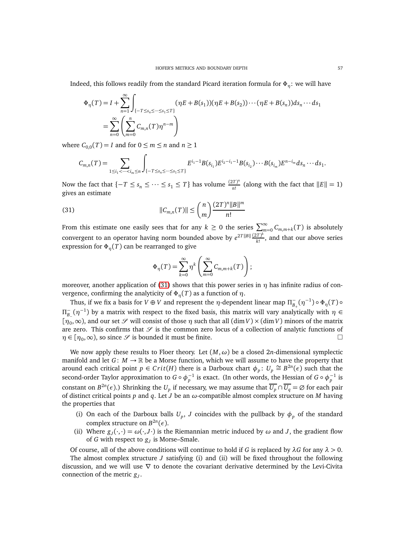Indeed, this follows readily from the standard Picard iteration formula for Φ*η*: we will have

$$
\Phi_{\eta}(T) = I + \sum_{n=1}^{\infty} \int_{\{-T \le s_n \le \dots \le s_1 \le T\}} (\eta E + B(s_1))(\eta E + B(s_2)) \cdots (\eta E + B(s_n)) ds_n \cdots ds_1
$$
  
= 
$$
\sum_{n=0}^{\infty} \left( \sum_{m=0}^{n} C_{m,n}(T) \eta^{n-m} \right)
$$

where  $C_{0,0}(T) = I$  and for  $0 \le m \le n$  and  $n \ge 1$ 

$$
C_{m,n}(T) = \sum_{1 \leq i_1 < \dots < i_m \leq n} \int_{\{-T \leq s_n \leq \dots \leq s_1 \leq T\}} E^{i_1 - 1} B(s_{i_1}) E^{i_2 - i_1 - 1} B(s_{i_2}) \dots B(s_{i_m}) E^{n - i_m} ds_n \dots ds_1.
$$

Now the fact that  $\{-T \leq s_n \leq \cdots \leq s_1 \leq T\}$  has volume  $\frac{(2T)^n}{n!}$  $\frac{f(T)^n}{n!}$  (along with the fact that  $||E|| = 1$ ) gives an estimate

(31) 
$$
||C_{m,n}(T)|| \leq {n \choose m} \frac{(2T)^n ||B||^m}{n!}
$$

From this estimate one easily sees that for any  $k \geq 0$  the series  $\sum_{m=0}^{\infty} C_{m,m+k}(T)$  is absolutely convergent to an operator having norm bounded above by  $e^{2T||B||} \frac{(2T)^k}{k!}$  $\frac{dI}{k!}$ , and that our above series expression for  $\Phi_n(T)$  can be rearranged to give

<span id="page-56-0"></span>
$$
\Phi_{\eta}(T) = \sum_{k=0}^{\infty} \eta^k \left( \sum_{m=0}^{\infty} C_{m,m+k}(T) \right);
$$

moreover, another application of [\(31\)](#page-56-0) shows that this power series in *η* has infinite radius of convergence, confirming the analyticity of  $\Phi_{\eta}(T)$  as a function of  $\eta$ .

Thus, if we fix a basis for *V* ⊕ *V* and represent the *η*-dependent linear map  $\Pi^-_{B_+}(\eta^{-1})\circ\Phi_\eta(T)\circ$  $\Pi_{B_-(}^-(η^{-1})$  by a matrix with respect to the fixed basis, this matrix will vary analytically with *η* ∈  $[\eta_0, \infty)$ , and our set  $\mathscr S$  will consist of those  $\eta$  such that all  $(\dim V) \times (\dim V)$  minors of the matrix are zero. This confirms that  $\mathscr S$  is the common zero locus of a collection of analytic functions of  $\eta \in [\eta_0, \infty)$ , so since  $\mathscr S$  is bounded it must be finite.

We now apply these results to Floer theory. Let  $(M, \omega)$  be a closed 2*n*-dimensional symplectic manifold and let  $G: M \to \mathbb{R}$  be a Morse function, which we will assume to have the property that around each critical point  $p \in Crit(H)$  there is a Darboux chart  $\phi_p$ :  $U_p \cong B^{2n}(\epsilon)$  such that the second-order Taylor approximation to  $G \circ \phi_p^{-1}$  is exact. (In other words, the Hessian of  $G \circ \phi_p^{-1}$  is constant on  $B^{2n}(\epsilon)$ .) Shrinking the  $U_p$  if necessary, we may assume that  $\overline{U_p} \cap \overline{U_q} = \emptyset$  for each pair of distinct critical points *p* and *q*. Let *J* be an *ω*-compatible almost complex structure on *M* having the properties that

- (i) On each of the Darboux balls  $U_p$ , *J* coincides with the pullback by  $\phi_p$  of the standard complex structure on  $B^{2n}(\epsilon)$ .
- (ii) Where  $g_J(\cdot, \cdot) = \omega(\cdot, J \cdot)$  is the Riemannian metric induced by  $\omega$  and *J*, the gradient flow of *G* with respect to *g<sup>J</sup>* is Morse–Smale.

Of course, all of the above conditions will continue to hold if *G* is replaced by *λG* for any *λ >* 0. The almost complex structure *J* satisfying (i) and (ii) will be fixed throughout the following

discussion, and we will use  $\nabla$  to denote the covariant derivative determined by the Levi-Civita connection of the metric *g<sup>J</sup>* .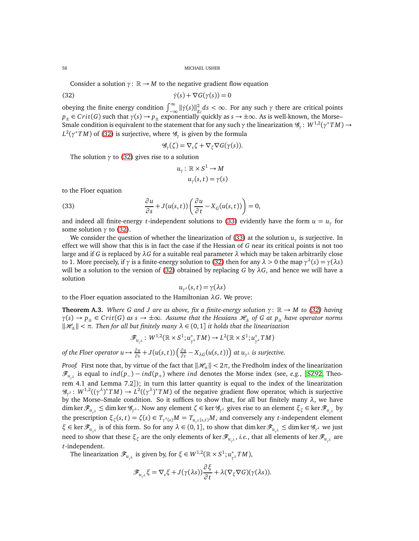Consider a solution  $\gamma: \mathbb{R} \to M$  to the negative gradient flow equation

(32) 
$$
\dot{\gamma}(s) + \nabla G(\gamma(s)) = 0
$$

obeying the finite energy condition  $\int_{-\infty}^{\infty} ||\dot{\gamma}(s)||^2_{g_J} ds < \infty$ . For any such *γ* there are critical points  $p_+ \in Crit(G)$  such that  $\gamma(s) \to p_+$  exponentially quickly as  $s \to \pm \infty$ . As is well-known, the Morse– Smale condition is equivalent to the statement that for any such *γ* the linearization  $\mathscr{G}_\gamma\colon W^{1,2}(\gamma^*TM)\to$  $L^2(\gamma^*TM)$  of [\(32\)](#page-57-1) is surjective, where  $\mathscr{G}_{\gamma}$  is given by the formula

<span id="page-57-1"></span>
$$
\mathscr{G}_{\gamma}(\zeta) = \nabla_{s}\zeta + \nabla_{\zeta}\nabla G(\gamma(s)).
$$

The solution  $\gamma$  to [\(32\)](#page-57-1) gives rise to a solution

<span id="page-57-2"></span>
$$
u_{\gamma}: \mathbb{R} \times S^1 \to M
$$

$$
u_{\gamma}(s, t) = \gamma(s)
$$

to the Floer equation

(33) 
$$
\frac{\partial u}{\partial s} + J(u(s, t)) \left( \frac{\partial u}{\partial t} - X_G(u(s, t)) \right) = 0,
$$

and indeed all finite-energy *t*-independent solutions to [\(33\)](#page-57-2) evidently have the form  $u = u_\gamma$  for some solution *γ* to [\(32\)](#page-57-1).

We consider the question of whether the linearization of [\(33\)](#page-57-2) at the solution  $u<sub>\gamma</sub>$  is surjective. In effect we will show that this is in fact the case if the Hessian of *G* near its critical points is not too large and if *G* is replaced by *λG* for a suitable real parameter *λ* which may be taken arbitrarily close to 1. More precisely, if *γ* is a finite-energy solution to [\(32\)](#page-57-1) then for any  $\lambda > 0$  the map  $\gamma^{\lambda}(s) = \gamma(\lambda s)$ will be a solution to the version of [\(32\)](#page-57-1) obtained by replacing *G* by  $\lambda$ *G*, and hence we will have a solution

$$
u_{\gamma^{\lambda}}(s,t)=\gamma(\lambda s)
$$

to the Floer equation associated to the Hamiltonian *λG*. We prove:

<span id="page-57-0"></span>**Theorem A.3.** Where G and J are as above, fix a finite-energy solution  $\gamma : \mathbb{R} \to M$  to [\(32\)](#page-57-1) having  $\gamma(s) \to p_{\pm} \in Crit(G)$  *as*  $s \to \pm \infty$ *. Assume that the Hessians*  $\mathcal{H}_{\pm}$  *of G at*  $p_{\pm}$  *have operator norms*  $\|\mathcal{H}_+\| < \pi$ . Then for all but finitely many  $\lambda \in (0,1]$  *it holds that the linearization* 

$$
\mathscr{F}_{u_{\gamma\lambda}}\colon\,W^{1,2}(\mathbb{R}\times S^1;u_{\gamma\lambda}^*TM)\to L^2(\mathbb{R}\times S^1;u_{\gamma\lambda}^*TM)
$$

*of the Floer operator*  $u \mapsto \frac{\partial u}{\partial s} + J(u(s,t)) \left(\frac{\partial u}{\partial t}\right)$  $\frac{\partial u}{\partial t}$  –  $X_{\lambda G}(u(s,t))$ ) at  $u_{\gamma^{\lambda}}$  is surjective.

*Proof.* First note that, by virtue of the fact that  $\|\mathcal{H}_{\pm}\|$  <  $2\pi$ , the Fredholm index of the linearization  $\mathscr{F}_{u_{\gamma^{\lambda}}}$  is equal to  $ind(p_{-})-ind(p_{+})$  where *ind* denotes the Morse index (see, *e.g.*, [[SZ92,](#page-61-25) Theorem 4.1 and Lemma 7.2]); in turn this latter quantity is equal to the index of the linearization  $\mathscr{G}_{\gamma^{\lambda}}: W^{1,2}((\gamma^{\lambda})^*TM) \to L^2((\gamma^{\lambda})^*TM)$  of the negative gradient flow operator, which is surjective by the Morse–Smale condition. So it suffices to show that, for all but finitely many *λ*, we have  $\dim \ker \mathscr{F}_{u_{\gamma^{\lambda}}} \leq \dim \ker \mathscr{G}_{\gamma^{\lambda}}.$  Now any element  $\zeta \in \ker \mathscr{G}_{\gamma^{\lambda}}$  gives rise to an element  $\xi_{\zeta} \in \ker \mathscr{F}_{u_{\gamma^{\lambda}}}$  by the prescription  $\xi_{\zeta}(s,t) = \zeta(s) \in T_{\gamma^{\lambda}(s)}M = T_{u_{\gamma^{\lambda}}(s,t)}M$ , and conversely any *t*-independent element  $\xi \in \ker \mathscr{F}_{u_{\gamma^{\lambda}}}$  is of this form. So for any  $\lambda \in (0,1]$ , to show that dim ker  $\mathscr{F}_{u_{\gamma^{\lambda}}} \leq$  dim ker  $\mathscr{G}_{\gamma^{\lambda}}$  we just need to show that these  $\xi_\zeta$  are the only elements of ker  $\mathscr{F}_{u_{\gamma^\lambda}}$ , *i.e.*, that all elements of ker  $\mathscr{F}_{u_{\gamma^\lambda}}$  are *t*-independent.

The linearization  $\mathscr{F}_{u_{\gamma^{\lambda}}}$  is given by, for  $\xi \in W^{1,2}(\mathbb{R} \times S^1;u_{\gamma}^*)$ *γ <sup>λ</sup> T M*),

$$
\mathscr{F}_{u_{\gamma\lambda}}\xi=\nabla_s\xi+J(\gamma(\lambda s))\frac{\partial\xi}{\partial t}+\lambda(\nabla_{\xi}\nabla G)(\gamma(\lambda s)).
$$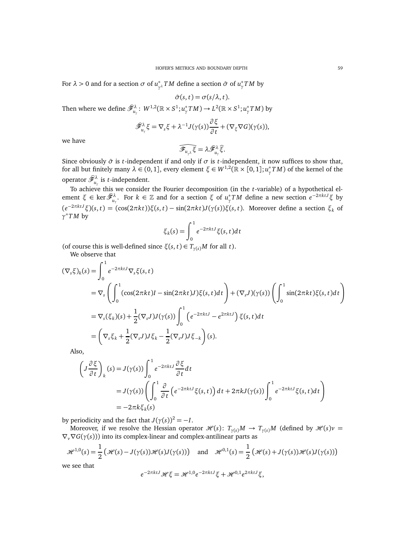For  $\lambda > 0$  and for a section  $\sigma$  of  $u^*$ *γ <sup>λ</sup> T M* define a section *σ*ˆ of *u* ∗ *γ T M* by

$$
\hat{\sigma}(s,t) = \sigma(s/\lambda,t).
$$

Then where we define  $\widehat{\mathscr{F}}_{u_{_\gamma}}^{\lambda} \colon W^{1,2}(\mathbb{R}\times S^1;u_{_\gamma}^*TM)\to L^2(\mathbb{R}\times S^1;u_{_\gamma}^*TM)$  by

$$
\widehat{\mathscr{F}}_{u_{\gamma}}^{\lambda}\xi=\nabla_{s}\xi+\lambda^{-1}J(\gamma(s))\frac{\partial\xi}{\partial t}+(\nabla_{\xi}\nabla G)(\gamma(s)),
$$

we have

$$
\widehat{\mathcal{F}_{u_{\gamma^{\lambda}}}}\overline{\xi}=\lambda\widehat{\mathcal{F}}_{u_{\gamma}}^{\lambda}\widehat{\xi}.
$$

Since obviously  $\hat{\sigma}$  is *t*-independent if and only if  $\sigma$  is *t*-independent, it now suffices to show that, for all but finitely many *λ* ∈ (0, 1], every element *ξ* ∈ *W*1,2(R × [0, 1];*u* ∗ *γ T M*) of the kernel of the operator  $\widehat{\mathscr{F}}_{u_{\gamma}}^{\lambda}$  is *t*-independent.

To achieve this we consider the Fourier decomposition (in the *t*-variable) of a hypothetical el $y$  ement *ξ* ∈ ker  $\widehat{\mathscr{F}}_{u_\gamma}^{\lambda}$ . For  $k \in \mathbb{Z}$  and for a section *ξ* of  $u_\gamma^*TM$  define a new section  $e^{-2\pi k t J}$ *ξ* by  $(e^{-2\pi k tJ}\xi)(s,t) = (\cos(2\pi k t))\xi(s,t) - \sin(2\pi k t)J(\gamma(s))\xi(s,t)$ . Moreover define a section  $\xi_k$  of *γ* <sup>∗</sup>*T M* by

$$
\xi_k(s) = \int_0^1 e^{-2\pi kt} \xi(s, t) dt
$$

(of course this is well-defined since  $\xi(s, t) \in T_{\gamma(s)}M$  for all *t*).

We observe that

$$
(\nabla_s \xi)_k(s) = \int_0^1 e^{-2\pi ktJ} \nabla_s \xi(s, t)
$$
  
\n
$$
= \nabla_s \left( \int_0^1 (\cos(2\pi kt)I - \sin(2\pi kt)J) \xi(s, t) dt \right) + (\nabla_s J)(\gamma(s)) \left( \int_0^1 \sin(2\pi kt) \xi(s, t) dt \right)
$$
  
\n
$$
= \nabla_s (\xi_k)(s) + \frac{1}{2} (\nabla_s J) J(\gamma(s)) \int_0^1 \left( e^{-2\pi ktJ} - e^{2\pi ktJ} \right) \xi(s, t) dt
$$
  
\n
$$
= \left( \nabla_s \xi_k + \frac{1}{2} (\nabla_s J) J \xi_k - \frac{1}{2} (\nabla_s J) J \xi_{-k} \right)(s).
$$

Also,

$$
\left(J\frac{\partial\xi}{\partial t}\right)_k(s) = J(\gamma(s))\int_0^1 e^{-2\pi ktJ}\frac{\partial\xi}{\partial t}dt
$$
  
=  $J(\gamma(s))\left(\int_0^1 \frac{\partial}{\partial t} \left(e^{-2\pi ktJ}\xi(s,t)\right)dt + 2\pi kJ(\gamma(s))\int_0^1 e^{-2\pi ktJ}\xi(s,t)dt\right)$   
=  $-2\pi k\xi_k(s)$ 

by periodicity and the fact that  $J(\gamma(s))^2 = -I$ .

Moreover, if we resolve the Hessian operator  $\mathcal{H}(s)$ :  $T_{\gamma(s)}M \to T_{\gamma(s)}M$  (defined by  $\mathcal{H}(s)v =$  $\nabla_{\nu} \nabla G(\gamma(s))$  into its complex-linear and complex-antilinear parts as

$$
\mathcal{H}^{1,0}(s) = \frac{1}{2} \left( \mathcal{H}(s) - J(\gamma(s)) \mathcal{H}(s) J(\gamma(s)) \right) \quad \text{and} \quad \mathcal{H}^{0,1}(s) = \frac{1}{2} \left( \mathcal{H}(s) + J(\gamma(s)) \mathcal{H}(s) J(\gamma(s)) \right)
$$

we see that

$$
e^{-2\pi ktJ}\mathcal{H}\xi = \mathcal{H}^{1,0}e^{-2\pi ktJ}\xi + \mathcal{H}^{0,1}e^{2\pi ktJ}\xi,
$$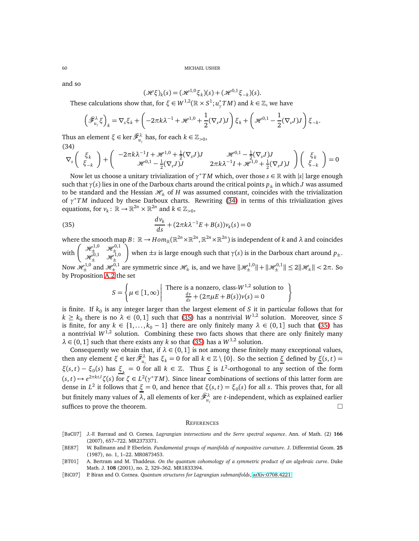and so

$$
(\mathcal{H}\xi)_k(s) = (\mathcal{H}^{1,0}\xi_k)(s) + (\mathcal{H}^{0,1}\xi_{-k})(s).
$$

These calculations show that, for  $\xi \in W^{1,2}(\mathbb{R} \times S^1; u_\gamma^*TM)$  and  $k \in \mathbb{Z}$ , we have

$$
\left(\widehat{\mathcal{F}}_{u_{\gamma}}^{\lambda}\xi\right)_{k} = \nabla_{s}\xi_{k} + \left(-2\pi k\lambda^{-1} + \mathcal{H}^{1,0} + \frac{1}{2}(\nabla_{s}J)J\right)\xi_{k} + \left(\mathcal{H}^{0,1} - \frac{1}{2}(\nabla_{s}J)J\right)\xi_{-k}.
$$

Thus an element *ξ* ∈ ker $\widehat{\mathscr{F}}^{\lambda}_{u_{_{\gamma}}}$  has, for each  $k$  ∈  $\mathbb{Z}_{>0}$ , (34)

<span id="page-59-4"></span>
$$
\nabla_s \left( \begin{array}{c} \xi_k \\ \xi_{-k} \end{array} \right) + \left( \begin{array}{cc} -2\pi k \lambda^{-1} I + \mathcal{H}^{1,0} + \frac{1}{2} (\nabla_s J) J & \mathcal{H}^{0,1} - \frac{1}{2} (\nabla_s J) J \\ \mathcal{H}^{0,1} - \frac{1}{2} (\nabla_s J) J & 2\pi k \lambda^{-1} I + \mathcal{H}^{1,0} + \frac{1}{2} (\nabla_s J) J \end{array} \right) \left( \begin{array}{c} \xi_k \\ \xi_{-k} \end{array} \right) = 0
$$

Now let us choose a unitary trivialization of *γ* <sup>∗</sup>*T M* which, over those *s* ∈ R with |*s*| large enough such that  $\gamma(s)$  lies in one of the Darboux charts around the critical points  $p_+$  in which *J* was assumed to be standard and the Hessian  $\mathcal{H}_+$  of *H* was assumed constant, coincides with the trivialization of *γ* <sup>∗</sup>*T M* induced by these Darboux charts. Rewriting [\(34\)](#page-59-4) in terms of this trivialization gives equations, for  $v_k: \mathbb{R} \to \mathbb{R}^{2n} \times \mathbb{R}^{2n}$  and  $k \in \mathbb{Z}_{>0}$ ,

(35) 
$$
\frac{d v_k}{ds} + (2\pi k\lambda^{-1}E + B(s))v_k(s) = 0
$$

where the smooth map  $B\colon\mathbb R\to Hom_\mathbb R(\mathbb R^{2n}\times\mathbb R^{2n},\mathbb R^{2n}\times\mathbb R^{2n})$  is independent of  $k$  and  $\lambda$  and coincides with  $\left( \begin{array}{cc} \mathcal{H}^{1,0}_\pm & \mathcal{H}^{0,1}_\pm \\ \mathcal{H}^{0,1}_\pm & \mathcal{H}^{0,1}_\pm \end{array} \right)$  $\mathscr{H}^{0,1}_\pm$   $\mathscr{H}^{1,0}_\pm$ ). **when**  $\pm$ **s** is large enough such that  $γ(s)$  is in the Darboux chart around  $p_±$ . Now  $\mathscr{H}^{1,0}_\pm$  and  $\mathscr{H}^{0,1}_\pm$  are symmetric since  $\mathscr{H}_\pm$  is, and we have  $\|\mathscr{H}^{1,0}_\pm\|$   $+\|\mathscr{H}^{0,1}_\pm\|\leq 2\|\mathscr{H}_\pm\|< 2\pi$ . So by Proposition [A.2](#page-54-1) the set

<span id="page-59-5"></span>
$$
S = \left\{ \mu \in [1, \infty) \middle| \text{ There is a nonzero, class-}W^{1,2} \text{ solution to} \atop \frac{dv}{ds} + (2\pi\mu E + B(s))v(s) = 0 \right\}
$$

is finite. If  $k_0$  is any integer larger than the largest element of  $S$  it in particular follows that for  $k \geq k_0$  there is no  $\lambda \in (0,1]$  such that [\(35\)](#page-59-5) has a nontrivial  $W^{1,2}$  solution. Moreover, since *S* is finite, for any  $k \in \{1, ..., k_0 - 1\}$  there are only finitely many  $\lambda \in (0, 1]$  such that [\(35\)](#page-59-5) has a nontrivial  $W^{1,2}$  solution. Combining these two facts shows that there are only finitely many  $\lambda \in (0, 1]$  such that there exists any *k* so that [\(35\)](#page-59-5) has a  $W^{1,2}$  solution.

Consequently we obtain that, if  $\lambda \in (0, 1]$  is not among these finitely many exceptional values, then any element *ξ* ∈ ker  $\widehat{\mathcal{F}}_{u_r}^{\lambda}$  has  $\xi_k = 0$  for all  $k \in \mathbb{Z} \setminus \{0\}$ . So the section <u>ξ</u> defined by <u>ξ</u>(*s*, *t*) =  $\xi(s,t) - \xi_0(s)$  has  $\underline{\xi}_k = 0$  for all  $k \in \mathbb{Z}$ . Thus  $\underline{\xi}$  is  $L^2$ -orthogonal to any section of the form  $(s, t) \mapsto e^{2\pi k t J} \zeta(s)$  for  $\zeta \in L^2(\gamma^*TM)$ . Since linear combinations of sections of this latter form are dense in *L*<sup>2</sup> it follows that *ξ* = 0, and hence that *ξ*(*s*, *t*) = *ξ*<sub>0</sub>(*s*) for all *s*. This proves that, for all but finitely many values of  $\lambda$ , all elements of ker  $\widehat{\mathscr F}_{u_{_Y}}^\lambda$  are *t*-independent, which as explained earlier suffices to prove the theorem.  $\Box$ 

### **REFERENCES**

- <span id="page-59-3"></span>[BaC07] J.-F. Barraud and O. Cornea. *Lagrangian intersections and the Serre spectral sequence*. Ann. of Math. (2) **166** (2007), 657–722. MR2373371.
- <span id="page-59-1"></span>[BE87] W. Ballmann and P. Eberlein. *Fundamental groups of manifolds of nonpositive curvature*. J. Differential Geom. **25** (1987), no. 1, 1–22. MR0873453.
- <span id="page-59-0"></span>[BT01] A. Bertram and M. Thaddeus. *On the quantum cohomology of a symmetric product of an algebraic curve*. Duke Math. J. **108** (2001), no. 2, 329–362. MR1833394.
- <span id="page-59-2"></span>[BiC07] P. Biran and O. Cornea. *Quantum structures for Lagrangian submanifolds*, [arXiv:0708.4221.](http://arxiv.org/abs/0708.4221)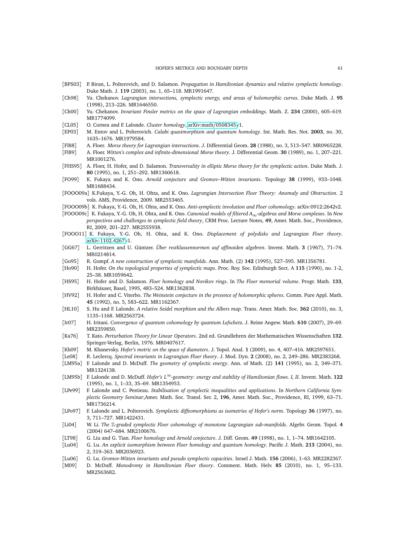- <span id="page-60-29"></span>[BPS03] P. Biran, L. Polterovich, and D. Salamon. *Propagation in Hamiltonian dynamics and relative symplectic homology*. Duke Math. J. **119** (2003), no. 1, 65–118. MR1991647.
- <span id="page-60-18"></span>[Ch98] Yu. Chekanov. *Lagrangian intersections, symplectic energy, and areas of holomorphic curves*. Duke Math. J. **95** (1998), 213–226. MR1646550.
- <span id="page-60-11"></span>[Ch00] Yu. Chekanov. *Invariant Finsler metrics on the space of Lagrangian embeddings*. Math. Z. **234** (2000), 605–619. MR1774099.
- <span id="page-60-20"></span>[CL05] O. Cornea and F. Lalonde. *Cluster homology*, [arXiv:math](http://arxiv.org/abs/math/0508345)/0508345v1.
- <span id="page-60-8"></span>[EP03] M. Entov and L. Polterovich. *Calabi quasimorphism and quantum homology*. Int. Math. Res. Not. **2003**, no. 30, 1635–1676. MR1979584.
- <span id="page-60-27"></span>[Fl88] A. Floer. *Morse theory for Lagrangian intersections*. J. Differential Geom. **28** (1988), no. 3, 513–547. MR0965228.
- <span id="page-60-30"></span>[Fl89] A. Floer. *Witten's complex and infinite-dimensional Morse theory*. J. Differential Geom. **30** (1989), no. 1, 207–221. MR1001276.
- <span id="page-60-26"></span>[FHS95] A. Floer, H. Hofer, and D. Salamon. *Transversality in elliptic Morse theory for the symplectic action*. Duke Math. J. **80** (1995), no. 1, 251–292. MR1360618.
- <span id="page-60-15"></span>[FO99] K. Fukaya and K. Ono. *Arnold conjecture and Gromov–Witten invariants*. Topology **38** (1999), 933–1048. MR1688434.
- <span id="page-60-14"></span>[FOOO09a] K.Fukaya, Y.-G. Oh, H. Ohta, and K. Ono. *Lagrangian Intersection Floer Theory: Anomaly and Obstruction*. 2 vols. AMS, Providence, 2009. MR2553465.
- <span id="page-60-19"></span>[FOOO09b] K. Fukaya, Y.-G. Oh, H. Ohta, and K. Ono. *Anti-symplectic involution and Floer cohomology*. arXiv:0912:2642v2.
- <span id="page-60-23"></span>[FOOO09c] K. Fukaya, Y.-G. Oh, H. Ohta, and K. Ono. *Canonical models of filtered A*∞*-algebras and Morse complexes*. In *New perspectives and challenges in symplectic field theory*, CRM Proc. Lecture Notes, **49**, Amer. Math. Soc., Providence, RI, 2009, 201–227. MR2555938.
- <span id="page-60-21"></span>[FOOO11] K. Fukaya, Y.-G. Oh, H. Ohta, and K. Ono. *Displacement of polydisks and Lagrangian Floer theory*. [arXiv:1102.4267v](http://arxiv.org/abs/1102.4267)1.
- <span id="page-60-24"></span>[GG67] L. Gerritzen and U. Güntzer. *Über restklassennormen auf affinoiden algebren*. Invent. Math. **3** (1967), 71–74. MR0214814.
- <span id="page-60-2"></span>[Go95] R. Gompf. *A new construction of symplectic manifolds*. Ann. Math. (2) **142** (1995), 527–595. MR1356781.
- <span id="page-60-0"></span>[Ho90] H. Hofer. *On the topological properties of symplectic maps*. Proc. Roy. Soc. Edinburgh Sect. A **115** (1990), no. 1-2, 25–38. MR1059642.
- <span id="page-60-17"></span>[HS95] H. Hofer and D. Salamon. *Floer homology and Novikov rings*. In *The Floer memorial volume*. Progr. Math. **133**, Birkhäuser, Basel, 1995, 483–524. MR1362838.
- <span id="page-60-5"></span>[HV92] H. Hofer and C. Viterbo. *The Weinstein conjecture in the presence of holomorphic spheres*. Comm. Pure Appl. Math. **45** (1992), no. 5, 583–622. MR1162367.
- <span id="page-60-28"></span>[HL10] S. Hu and F. Lalonde. *A relative Seidel morphism and the Albers map*. Trans. Amer. Math. Soc. **362** (2010), no. 3, 1135–1168. MR2563724.
- <span id="page-60-6"></span>[Ir07] H. Iritani. *Convergence of quantum cohomology by quantum Lefschetz*. J. Reine Angew. Math. **610** (2007), 29–69. MR2359850.
- <span id="page-60-31"></span>[Ka76] T. Kato. *Perturbation Theory for Linear Operators*. 2nd ed. Grundlehren der Mathematischen Wissenschaften **132**. Springer-Verlag, Berlin, 1976. MR0407617.
- <span id="page-60-12"></span>[Kh09] M. Khanevsky. *Hofer's metric on the space of diameters*. J. Topol. Anal. **1** (2009), no. 4, 407–416. MR2597651.
- <span id="page-60-13"></span>[Le08] R. Leclercq. *Spectral invariants in Lagrangian Floer theory*. J. Mod. Dyn. **2** (2008), no. 2, 249–286. MR2383268.
- <span id="page-60-1"></span>[LM95a] F. Lalonde and D. McDuff. *The geometry of symplectic energy*. Ann. of Math. (2) **141** (1995), no. 2, 349–371. MR1324138.
- <span id="page-60-7"></span>[LM95b] F. Lalonde and D. McDuff. *Hofer's L*∞*-geometry: energy and stability of Hamiltonian flows. I, II*. Invent. Math. **122** (1995), no. 1, 1–33, 35–69. MR1354953.
- <span id="page-60-10"></span>[LPe99] F. Lalonde and C. Pestieau. *Stabilisation of symplectic inequalities and applications*. In *Northern California Symplectic Geometry Seminar*,Amer. Math. Soc. Transl. Ser. 2, **196**, Amer. Math. Soc., Providence, RI, 1999, 63–71. MR1736214.
- <span id="page-60-3"></span>[LPo97] F. Lalonde and L. Polterovich. *Symplectic diffeomorphisms as isometries of Hofer's norm*. Topology **36** (1997), no. 3, 711–727. MR1422431.
- <span id="page-60-22"></span>[Li04] W. Li. *The* Z*-graded symplectic Floer cohomology of monotone Lagrangian sub-manifolds*. Algebr. Geom. Topol. **4** (2004) 647–684. MR2100676.
- <span id="page-60-16"></span>[LT98] G. Liu and G. Tian. *Floer homology and Arnold conjecture*. J. Diff. Geom. **49** (1998), no. 1, 1–74. MR1642105.
- <span id="page-60-25"></span>[Lu04] G. Lu. *An explicit isomorphism between Floer homology and quantum homology*. Pacific J. Math. **213** (2004), no. 2, 319–363. MR2036923.
- <span id="page-60-4"></span>[Lu06] G. Lu. *Gromov-Witten invariants and pseudo symplectic capacities*. Israel J. Math. **156** (2006), 1–63. MR2282367.
- <span id="page-60-9"></span>[M09] D. McDuff. *Monodromy in Hamiltonian Floer theory*. Comment. Math. Helv. **85** (2010), no. 1, 95–133. MR2563682.